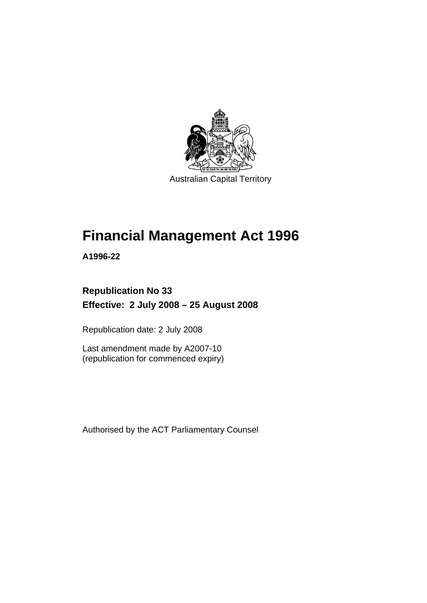

# **[Financial Management Act 1996](#page-10-0)**

**A1996-22** 

# **Republication No 33 Effective: 2 July 2008 – 25 August 2008**

Republication date: 2 July 2008

Last amendment made by A2007-10 (republication for commenced expiry)

Authorised by the ACT Parliamentary Counsel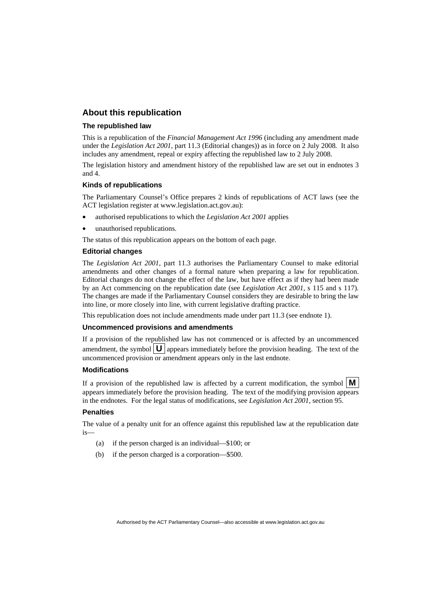#### **About this republication**

#### **The republished law**

This is a republication of the *Financial Management Act 1996* (including any amendment made under the *Legislation Act 2001*, part 11.3 (Editorial changes)) as in force on 2 July 2008*.* It also includes any amendment, repeal or expiry affecting the republished law to 2 July 2008.

The legislation history and amendment history of the republished law are set out in endnotes 3 and 4.

#### **Kinds of republications**

The Parliamentary Counsel's Office prepares 2 kinds of republications of ACT laws (see the ACT legislation register at www.legislation.act.gov.au):

- authorised republications to which the *Legislation Act 2001* applies
- unauthorised republications.

The status of this republication appears on the bottom of each page.

#### **Editorial changes**

The *Legislation Act 2001*, part 11.3 authorises the Parliamentary Counsel to make editorial amendments and other changes of a formal nature when preparing a law for republication. Editorial changes do not change the effect of the law, but have effect as if they had been made by an Act commencing on the republication date (see *Legislation Act 2001*, s 115 and s 117). The changes are made if the Parliamentary Counsel considers they are desirable to bring the law into line, or more closely into line, with current legislative drafting practice.

This republication does not include amendments made under part 11.3 (see endnote 1).

#### **Uncommenced provisions and amendments**

If a provision of the republished law has not commenced or is affected by an uncommenced amendment, the symbol  $\mathbf{U}$  appears immediately before the provision heading. The text of the uncommenced provision or amendment appears only in the last endnote.

#### **Modifications**

If a provision of the republished law is affected by a current modification, the symbol  $\mathbf{M}$ appears immediately before the provision heading. The text of the modifying provision appears in the endnotes. For the legal status of modifications, see *Legislation Act 2001*, section 95.

#### **Penalties**

The value of a penalty unit for an offence against this republished law at the republication date is—

- (a) if the person charged is an individual—\$100; or
- (b) if the person charged is a corporation—\$500.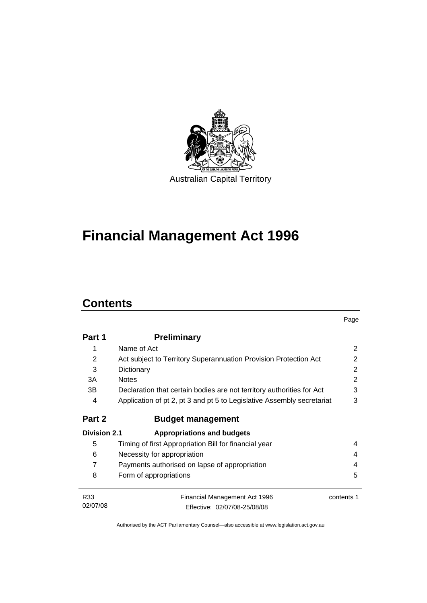

# **[Financial Management Act 1996](#page-10-0)**

# **Contents**

|                     |                                                                        | Page           |  |
|---------------------|------------------------------------------------------------------------|----------------|--|
| Part 1              | <b>Preliminary</b>                                                     |                |  |
| 1                   | Name of Act                                                            | 2              |  |
| 2                   | Act subject to Territory Superannuation Provision Protection Act       | 2              |  |
| 3                   | Dictionary                                                             |                |  |
| 3A                  | <b>Notes</b>                                                           | $\overline{2}$ |  |
| 3B                  | Declaration that certain bodies are not territory authorities for Act  | 3              |  |
| 4                   | Application of pt 2, pt 3 and pt 5 to Legislative Assembly secretariat | 3              |  |
| Part 2              | <b>Budget management</b>                                               |                |  |
| <b>Division 2.1</b> | <b>Appropriations and budgets</b>                                      |                |  |
| 5                   | Timing of first Appropriation Bill for financial year                  | 4              |  |
| 6                   | Necessity for appropriation                                            | 4              |  |
| $\overline{7}$      | Payments authorised on lapse of appropriation                          | 4              |  |
| 8                   | Form of appropriations                                                 | 5              |  |
| R <sub>33</sub>     | Financial Management Act 1996                                          | contents 1     |  |
| 02/07/08            | Effective: 02/07/08-25/08/08                                           |                |  |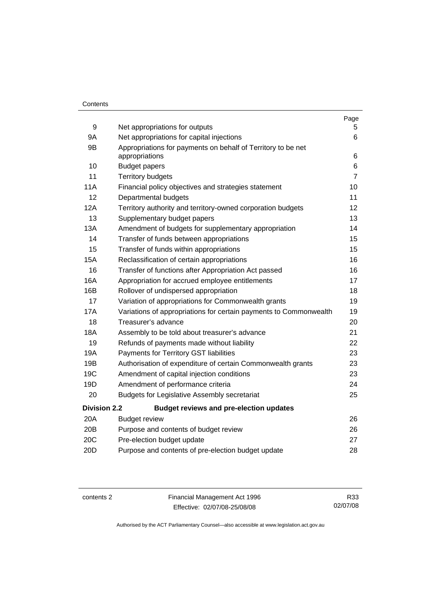#### **Contents**

|                     |                                                                                | Page           |
|---------------------|--------------------------------------------------------------------------------|----------------|
| 9                   | Net appropriations for outputs                                                 | 5.<br>6        |
| 9Α                  | Net appropriations for capital injections                                      |                |
| 9B                  | Appropriations for payments on behalf of Territory to be net<br>appropriations |                |
| 10                  | <b>Budget papers</b>                                                           | 6<br>6         |
| 11                  | <b>Territory budgets</b>                                                       | $\overline{7}$ |
| 11A                 | Financial policy objectives and strategies statement                           | 10             |
| 12                  | Departmental budgets                                                           | 11             |
| 12A                 | Territory authority and territory-owned corporation budgets                    | 12             |
| 13                  | Supplementary budget papers                                                    | 13             |
| 13A                 | Amendment of budgets for supplementary appropriation                           | 14             |
| 14                  | Transfer of funds between appropriations                                       | 15             |
| 15                  | Transfer of funds within appropriations                                        | 15             |
| 15A                 | Reclassification of certain appropriations                                     | 16             |
| 16                  | Transfer of functions after Appropriation Act passed                           | 16             |
| 16A                 | Appropriation for accrued employee entitlements                                | 17             |
| 16B                 | Rollover of undispersed appropriation                                          | 18             |
| 17                  | Variation of appropriations for Commonwealth grants                            | 19             |
| <b>17A</b>          | Variations of appropriations for certain payments to Commonwealth              | 19             |
| 18                  | Treasurer's advance                                                            | 20             |
| <b>18A</b>          | Assembly to be told about treasurer's advance                                  | 21             |
| 19                  | Refunds of payments made without liability                                     | 22             |
| 19A                 | Payments for Territory GST liabilities                                         | 23             |
| 19B                 | Authorisation of expenditure of certain Commonwealth grants                    | 23             |
| 19C                 | Amendment of capital injection conditions                                      | 23             |
| 19D                 | Amendment of performance criteria                                              | 24             |
| 20                  | <b>Budgets for Legislative Assembly secretariat</b>                            | 25             |
| <b>Division 2.2</b> | <b>Budget reviews and pre-election updates</b>                                 |                |
| 20A                 | <b>Budget review</b>                                                           | 26             |
| 20B                 | Purpose and contents of budget review                                          | 26             |
| 20C                 | Pre-election budget update                                                     | 27             |
| 20 <sub>D</sub>     | Purpose and contents of pre-election budget update                             | 28             |
|                     |                                                                                |                |

contents 2 Financial Management Act 1996 Effective: 02/07/08-25/08/08

R33 02/07/08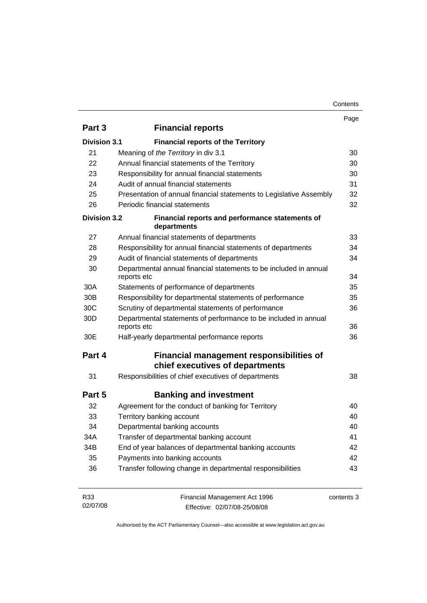| Contents |
|----------|
|----------|

|                     |                                                                                  | Page       |
|---------------------|----------------------------------------------------------------------------------|------------|
| Part 3              | <b>Financial reports</b>                                                         |            |
| <b>Division 3.1</b> | <b>Financial reports of the Territory</b>                                        |            |
| 21                  | Meaning of the Territory in div 3.1                                              | 30         |
| 22                  | Annual financial statements of the Territory                                     | 30         |
| 23                  | Responsibility for annual financial statements                                   |            |
| 24                  | Audit of annual financial statements                                             |            |
| 25                  | Presentation of annual financial statements to Legislative Assembly              |            |
| 26                  | Periodic financial statements                                                    |            |
| <b>Division 3.2</b> | Financial reports and performance statements of<br>departments                   |            |
| 27                  | Annual financial statements of departments                                       | 33         |
| 28                  | Responsibility for annual financial statements of departments                    | 34         |
| 29                  | Audit of financial statements of departments                                     | 34         |
| 30                  | Departmental annual financial statements to be included in annual<br>reports etc |            |
| 30A                 | Statements of performance of departments                                         | 35         |
| 30 <sub>B</sub>     | Responsibility for departmental statements of performance                        | 35         |
| 30 <sub>C</sub>     | Scrutiny of departmental statements of performance                               | 36         |
| 30 <sub>D</sub>     | Departmental statements of performance to be included in annual<br>reports etc   |            |
| 30E                 | Half-yearly departmental performance reports                                     | 36         |
| Part 4              | Financial management responsibilities of<br>chief executives of departments      |            |
| 31                  | Responsibilities of chief executives of departments                              | 38         |
| Part 5              | <b>Banking and investment</b>                                                    |            |
| 32                  | Agreement for the conduct of banking for Territory                               | 40         |
| 33                  | Territory banking account                                                        | 40         |
| 34                  | Departmental banking accounts                                                    | 40         |
| 34A                 | Transfer of departmental banking account                                         | 41         |
| 34B                 | End of year balances of departmental banking accounts                            | 42         |
| 35                  | Payments into banking accounts                                                   |            |
| 36                  | Transfer following change in departmental responsibilities                       | 43         |
| R33<br>02/07/08     | Financial Management Act 1996<br>Effective: 02/07/08-25/08/08                    | contents 3 |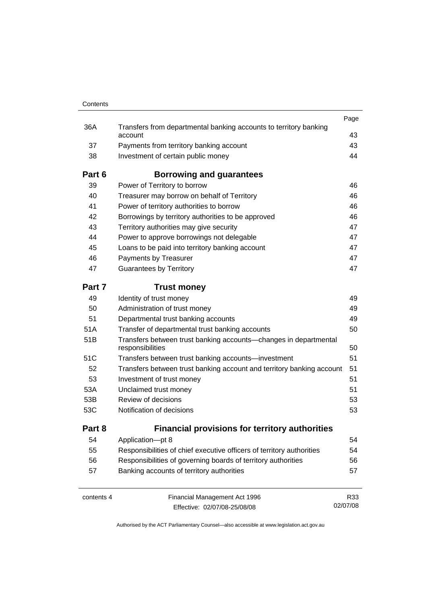| Contents   |                                                                                      |      |
|------------|--------------------------------------------------------------------------------------|------|
|            |                                                                                      | Page |
| 36A        | Transfers from departmental banking accounts to territory banking<br>account         | 43   |
| 37         | Payments from territory banking account                                              | 43   |
| 38         | Investment of certain public money                                                   | 44   |
| Part 6     | Borrowing and guarantees                                                             |      |
| 39         | Power of Territory to borrow                                                         | 46   |
| 40         | Treasurer may borrow on behalf of Territory                                          | 46   |
| 41         | Power of territory authorities to borrow                                             | 46   |
| 42         | Borrowings by territory authorities to be approved                                   | 46   |
| 43         | Territory authorities may give security                                              | 47   |
| 44         | Power to approve borrowings not delegable                                            | 47   |
| 45         | Loans to be paid into territory banking account                                      | 47   |
| 46         | Payments by Treasurer                                                                | 47   |
| 47         | <b>Guarantees by Territory</b>                                                       | 47   |
| Part 7     | <b>Trust money</b>                                                                   |      |
| 49         | Identity of trust money                                                              | 49   |
| 50         | Administration of trust money                                                        | 49   |
| 51         | Departmental trust banking accounts                                                  | 49   |
| 51A        | Transfer of departmental trust banking accounts                                      | 50   |
| 51B        | Transfers between trust banking accounts—changes in departmental<br>responsibilities | 50   |
| 51C        | Transfers between trust banking accounts-investment                                  | 51   |
| 52         | Transfers between trust banking account and territory banking account                | 51   |
| 53         | Investment of trust money                                                            | 51   |
| 53A        | Unclaimed trust money                                                                | 51   |
| 53B        | Review of decisions                                                                  | 53   |
| 53C        | Notification of decisions                                                            | 53   |
| Part 8     | <b>Financial provisions for territory authorities</b>                                |      |
| 54         | Application-pt 8                                                                     | 54   |
| 55         | Responsibilities of chief executive officers of territory authorities                | 54   |
| 56         | Responsibilities of governing boards of territory authorities                        | 56   |
| 57         | Banking accounts of territory authorities                                            | 57   |
| contents 4 | Financial Management Act 1996                                                        | R33  |

Effective: 02/07/08-25/08/08

02/07/08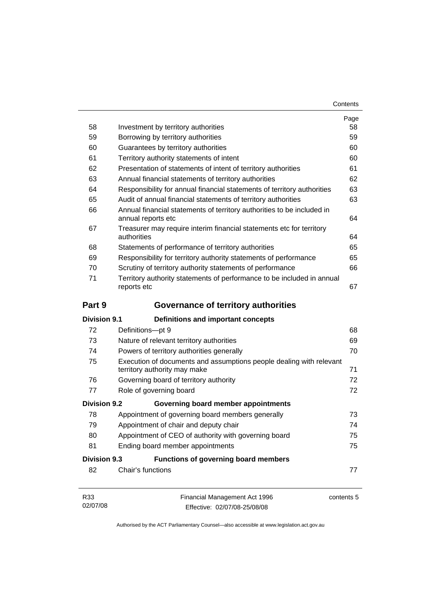| Contents |
|----------|
|----------|

|                     |                                                                                                     | Page<br>58 |  |          |
|---------------------|-----------------------------------------------------------------------------------------------------|------------|--|----------|
| 58                  | Investment by territory authorities                                                                 |            |  |          |
| 59                  | Borrowing by territory authorities                                                                  |            |  |          |
| 60                  | Guarantees by territory authorities                                                                 |            |  |          |
| 61                  | Territory authority statements of intent                                                            |            |  |          |
| 62                  | Presentation of statements of intent of territory authorities                                       |            |  |          |
| 63                  | Annual financial statements of territory authorities                                                |            |  |          |
| 64                  | Responsibility for annual financial statements of territory authorities                             |            |  | 63<br>63 |
| 65                  | Audit of annual financial statements of territory authorities                                       |            |  |          |
| 66                  | Annual financial statements of territory authorities to be included in<br>annual reports etc        |            |  |          |
| 67                  | Treasurer may require interim financial statements etc for territory<br>authorities                 |            |  |          |
| 68                  | Statements of performance of territory authorities                                                  | 65         |  |          |
| 69                  | Responsibility for territory authority statements of performance                                    | 65         |  |          |
| 70                  | Scrutiny of territory authority statements of performance                                           | 66         |  |          |
| 71                  | Territory authority statements of performance to be included in annual<br>reports etc               |            |  |          |
| Part 9              | <b>Governance of territory authorities</b>                                                          |            |  |          |
| <b>Division 9.1</b> | Definitions and important concepts                                                                  |            |  |          |
| 72                  | Definitions-pt 9                                                                                    | 68         |  |          |
| 73                  | Nature of relevant territory authorities                                                            | 69         |  |          |
| 74                  | Powers of territory authorities generally                                                           |            |  |          |
| 75                  | Execution of documents and assumptions people dealing with relevant<br>territory authority may make | 71         |  |          |
| 76                  | Governing board of territory authority                                                              | 72         |  |          |
| 77                  | Role of governing board                                                                             | 72         |  |          |
| <b>Division 9.2</b> | Governing board member appointments                                                                 |            |  |          |
| 78                  | Appointment of governing board members generally                                                    | 73         |  |          |
| 79                  | Appointment of chair and deputy chair                                                               | 74         |  |          |
| 80                  | Appointment of CEO of authority with governing board                                                |            |  |          |
| 81                  | Ending board member appointments                                                                    | 75         |  |          |
| <b>Division 9.3</b> | <b>Functions of governing board members</b>                                                         |            |  |          |
| 82                  | Chair's functions                                                                                   | 77         |  |          |
| R33<br>02/07/08     | Financial Management Act 1996<br>Effective: 02/07/08-25/08/08                                       | contents 5 |  |          |

Effective: 02/07/08-25/08/08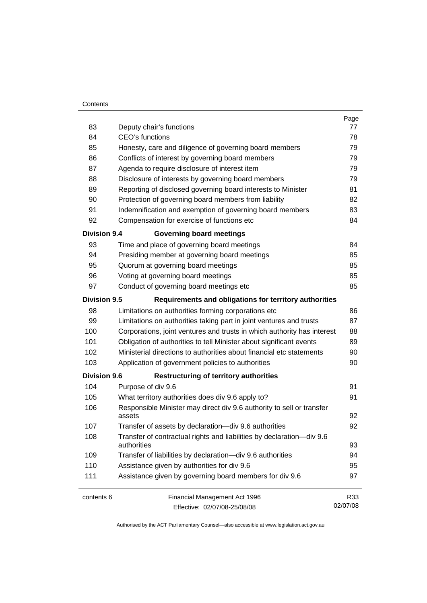#### **Contents**

| 83                  | Deputy chair's functions                                                             | Page<br>77 |  |  |
|---------------------|--------------------------------------------------------------------------------------|------------|--|--|
| 84                  | CEO's functions                                                                      |            |  |  |
| 85                  | Honesty, care and diligence of governing board members                               |            |  |  |
| 86                  | Conflicts of interest by governing board members                                     |            |  |  |
| 87                  | Agenda to require disclosure of interest item                                        |            |  |  |
| 88                  | Disclosure of interests by governing board members                                   |            |  |  |
| 89                  | Reporting of disclosed governing board interests to Minister                         |            |  |  |
| 90                  | Protection of governing board members from liability                                 |            |  |  |
| 91                  | Indemnification and exemption of governing board members                             |            |  |  |
| 92                  | Compensation for exercise of functions etc                                           |            |  |  |
| <b>Division 9.4</b> | <b>Governing board meetings</b>                                                      |            |  |  |
| 93                  | Time and place of governing board meetings                                           | 84         |  |  |
| 94                  | Presiding member at governing board meetings                                         | 85         |  |  |
| 95                  | Quorum at governing board meetings                                                   | 85         |  |  |
| 96                  | Voting at governing board meetings                                                   | 85         |  |  |
| 97                  | Conduct of governing board meetings etc                                              | 85         |  |  |
| <b>Division 9.5</b> | Requirements and obligations for territory authorities                               |            |  |  |
| 98                  | Limitations on authorities forming corporations etc                                  | 86         |  |  |
| 99                  | Limitations on authorities taking part in joint ventures and trusts                  | 87         |  |  |
| 100                 | Corporations, joint ventures and trusts in which authority has interest              |            |  |  |
| 101                 | Obligation of authorities to tell Minister about significant events                  | 89         |  |  |
| 102                 | Ministerial directions to authorities about financial etc statements                 |            |  |  |
| 103                 | Application of government policies to authorities                                    |            |  |  |
| <b>Division 9.6</b> | <b>Restructuring of territory authorities</b>                                        |            |  |  |
| 104                 | Purpose of div 9.6                                                                   | 91         |  |  |
| 105                 | What territory authorities does div 9.6 apply to?                                    |            |  |  |
| 106                 | Responsible Minister may direct div 9.6 authority to sell or transfer<br>assets      |            |  |  |
| 107                 | Transfer of assets by declaration-div 9.6 authorities                                | 92         |  |  |
| 108                 | Transfer of contractual rights and liabilities by declaration-div 9.6<br>authorities |            |  |  |
| 109                 | Transfer of liabilities by declaration-div 9.6 authorities                           |            |  |  |
| 110                 | Assistance given by authorities for div 9.6                                          |            |  |  |
| 111                 | Assistance given by governing board members for div 9.6                              |            |  |  |
| contents 6          | Financial Management Act 1996                                                        | R33        |  |  |
|                     | Effective: 02/07/08-25/08/08                                                         | 02/07/08   |  |  |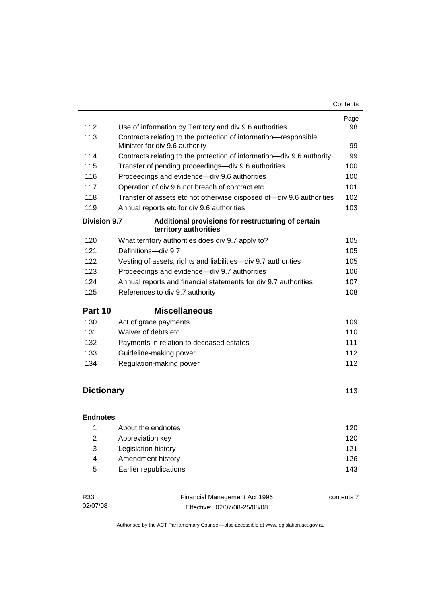| 112                          |                                                                                                   | Page<br>98 |  |  |
|------------------------------|---------------------------------------------------------------------------------------------------|------------|--|--|
| 113                          | Use of information by Territory and div 9.6 authorities                                           |            |  |  |
|                              | Contracts relating to the protection of information-responsible<br>Minister for div 9.6 authority |            |  |  |
| 114                          | Contracts relating to the protection of information-div 9.6 authority                             |            |  |  |
| 115                          | Transfer of pending proceedings-div 9.6 authorities                                               |            |  |  |
| 116                          | Proceedings and evidence-div 9.6 authorities                                                      |            |  |  |
| 117                          | 101<br>Operation of div 9.6 not breach of contract etc                                            |            |  |  |
| 118                          | Transfer of assets etc not otherwise disposed of-div 9.6 authorities                              |            |  |  |
| 119                          | Annual reports etc for div 9.6 authorities                                                        |            |  |  |
| <b>Division 9.7</b>          | Additional provisions for restructuring of certain<br>territory authorities                       |            |  |  |
| 120                          | What territory authorities does div 9.7 apply to?                                                 | 105        |  |  |
| 121                          | Definitions-div 9.7                                                                               | 105        |  |  |
| 122                          | Vesting of assets, rights and liabilities-div 9.7 authorities                                     | 105        |  |  |
| 123                          | Proceedings and evidence-div 9.7 authorities                                                      | 106        |  |  |
| 124                          | Annual reports and financial statements for div 9.7 authorities                                   | 107        |  |  |
| 125                          | References to div 9.7 authority<br>108                                                            |            |  |  |
|                              |                                                                                                   |            |  |  |
| Part 10                      | <b>Miscellaneous</b>                                                                              |            |  |  |
| 130                          | Act of grace payments                                                                             | 109        |  |  |
| 131                          | Waiver of debts etc                                                                               | 110        |  |  |
| 132                          | Payments in relation to deceased estates                                                          | 111        |  |  |
| 133                          | Guideline-making power                                                                            | 112        |  |  |
| 134                          | Regulation-making power                                                                           | 112        |  |  |
|                              |                                                                                                   |            |  |  |
| <b>Dictionary</b>            |                                                                                                   | 113        |  |  |
|                              |                                                                                                   |            |  |  |
| <b>Endnotes</b>              |                                                                                                   |            |  |  |
| $\overline{1}$               | About the endnotes                                                                                | 120        |  |  |
| $\overline{2}$               | Abbreviation key                                                                                  | 120        |  |  |
| 3                            | Legislation history                                                                               | 121        |  |  |
| $\overline{\mathbf{4}}$<br>5 | Amendment history<br>Earlier republications                                                       | 126<br>143 |  |  |

| R33      | Financial Management Act 1996 | contents 7 |
|----------|-------------------------------|------------|
| 02/07/08 | Effective: 02/07/08-25/08/08  |            |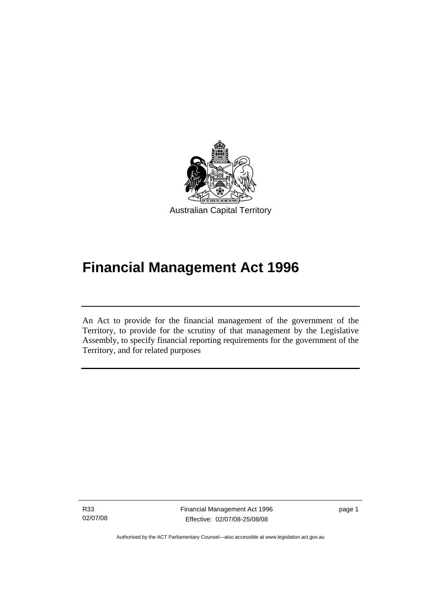<span id="page-10-0"></span>

# **Financial Management Act 1996**

An Act to provide for the financial management of the government of the Territory, to provide for the scrutiny of that management by the Legislative Assembly, to specify financial reporting requirements for the government of the Territory, and for related purposes

R33 02/07/08

I

Financial Management Act 1996 Effective: 02/07/08-25/08/08

page 1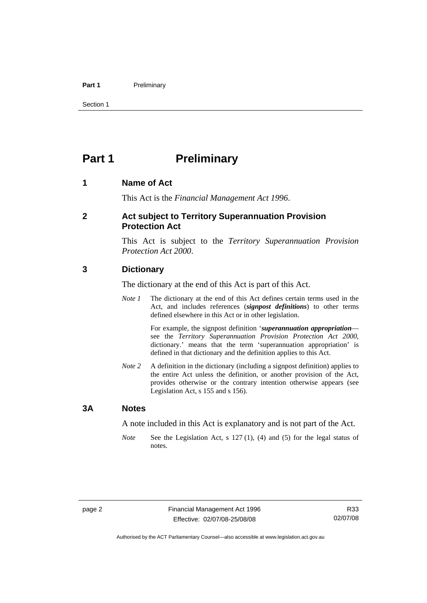#### <span id="page-11-0"></span>Part 1 **Preliminary**

Section 1

# **Part 1** Preliminary

#### **1 Name of Act**

This Act is the *Financial Management Act 1996*.

#### **2 Act subject to Territory Superannuation Provision Protection Act**

This Act is subject to the *Territory Superannuation Provision Protection Act 2000*.

#### **3 Dictionary**

The dictionary at the end of this Act is part of this Act.

*Note 1* The dictionary at the end of this Act defines certain terms used in the Act, and includes references (*signpost definitions*) to other terms defined elsewhere in this Act or in other legislation.

> For example, the signpost definition '*superannuation appropriation* see the *Territory Superannuation Provision Protection Act 2000*, dictionary.' means that the term 'superannuation appropriation' is defined in that dictionary and the definition applies to this Act.

*Note 2* A definition in the dictionary (including a signpost definition) applies to the entire Act unless the definition, or another provision of the Act, provides otherwise or the contrary intention otherwise appears (see Legislation Act, s 155 and s 156).

#### **3A Notes**

A note included in this Act is explanatory and is not part of the Act.

*Note* See the Legislation Act, s 127 (1), (4) and (5) for the legal status of notes.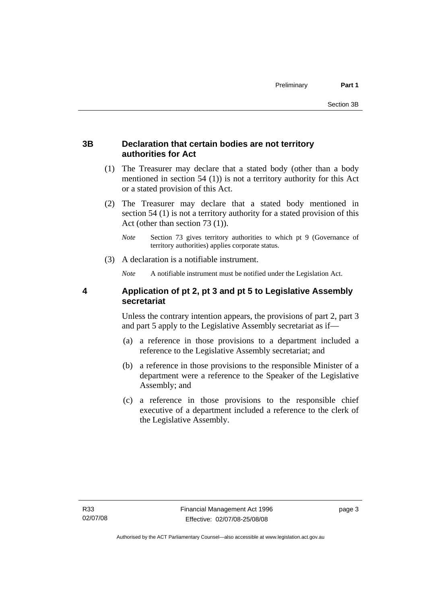#### <span id="page-12-0"></span>**3B Declaration that certain bodies are not territory authorities for Act**

- (1) The Treasurer may declare that a stated body (other than a body mentioned in section 54 (1)) is not a territory authority for this Act or a stated provision of this Act.
- (2) The Treasurer may declare that a stated body mentioned in section 54 (1) is not a territory authority for a stated provision of this Act (other than section 73 (1)).
	- *Note* Section 73 gives territory authorities to which pt 9 (Governance of territory authorities) applies corporate status.
- (3) A declaration is a notifiable instrument.

*Note* A notifiable instrument must be notified under the Legislation Act.

#### **4 Application of pt 2, pt 3 and pt 5 to Legislative Assembly secretariat**

Unless the contrary intention appears, the provisions of part 2, part 3 and part 5 apply to the Legislative Assembly secretariat as if—

- (a) a reference in those provisions to a department included a reference to the Legislative Assembly secretariat; and
- (b) a reference in those provisions to the responsible Minister of a department were a reference to the Speaker of the Legislative Assembly; and
- (c) a reference in those provisions to the responsible chief executive of a department included a reference to the clerk of the Legislative Assembly.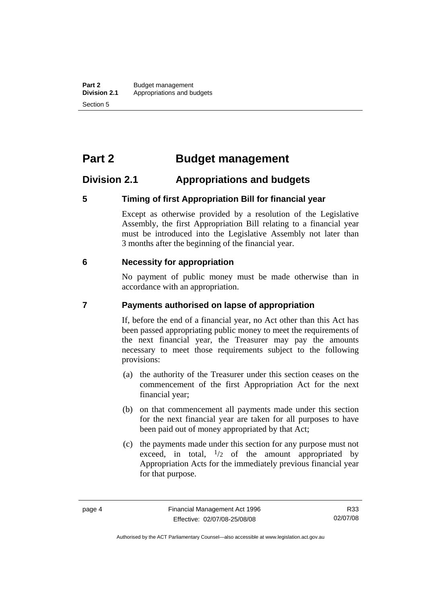# <span id="page-13-0"></span>**Part 2 Budget management**

# **Division 2.1 Appropriations and budgets**

#### **5 Timing of first Appropriation Bill for financial year**

Except as otherwise provided by a resolution of the Legislative Assembly, the first Appropriation Bill relating to a financial year must be introduced into the Legislative Assembly not later than 3 months after the beginning of the financial year.

#### **6 Necessity for appropriation**

No payment of public money must be made otherwise than in accordance with an appropriation.

#### **7 Payments authorised on lapse of appropriation**

If, before the end of a financial year, no Act other than this Act has been passed appropriating public money to meet the requirements of the next financial year, the Treasurer may pay the amounts necessary to meet those requirements subject to the following provisions:

- (a) the authority of the Treasurer under this section ceases on the commencement of the first Appropriation Act for the next financial year;
- (b) on that commencement all payments made under this section for the next financial year are taken for all purposes to have been paid out of money appropriated by that Act;
- (c) the payments made under this section for any purpose must not exceed, in total,  $\frac{1}{2}$  of the amount appropriated by Appropriation Acts for the immediately previous financial year for that purpose.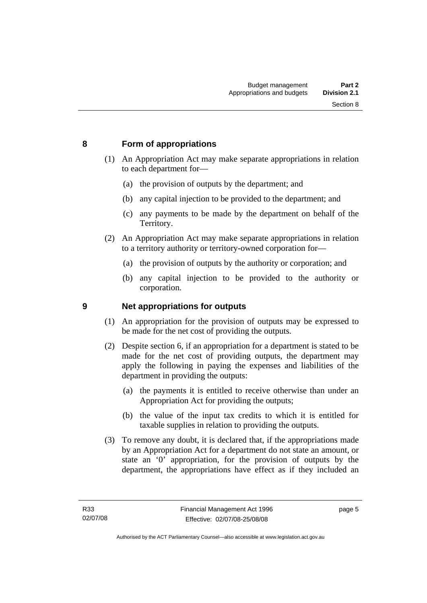#### <span id="page-14-0"></span>**8 Form of appropriations**

- (1) An Appropriation Act may make separate appropriations in relation to each department for—
	- (a) the provision of outputs by the department; and
	- (b) any capital injection to be provided to the department; and
	- (c) any payments to be made by the department on behalf of the Territory.
- (2) An Appropriation Act may make separate appropriations in relation to a territory authority or territory-owned corporation for—
	- (a) the provision of outputs by the authority or corporation; and
	- (b) any capital injection to be provided to the authority or corporation.

#### **9 Net appropriations for outputs**

- (1) An appropriation for the provision of outputs may be expressed to be made for the net cost of providing the outputs.
- (2) Despite section 6, if an appropriation for a department is stated to be made for the net cost of providing outputs, the department may apply the following in paying the expenses and liabilities of the department in providing the outputs:
	- (a) the payments it is entitled to receive otherwise than under an Appropriation Act for providing the outputs;
	- (b) the value of the input tax credits to which it is entitled for taxable supplies in relation to providing the outputs.
- (3) To remove any doubt, it is declared that, if the appropriations made by an Appropriation Act for a department do not state an amount, or state an '0' appropriation, for the provision of outputs by the department, the appropriations have effect as if they included an

page 5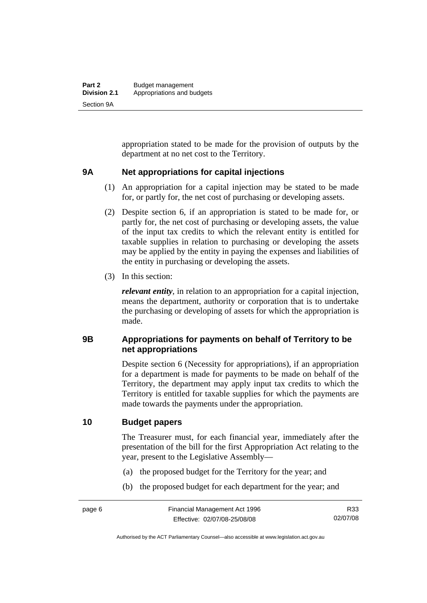<span id="page-15-0"></span>appropriation stated to be made for the provision of outputs by the department at no net cost to the Territory.

#### **9A Net appropriations for capital injections**

- (1) An appropriation for a capital injection may be stated to be made for, or partly for, the net cost of purchasing or developing assets.
- (2) Despite section 6, if an appropriation is stated to be made for, or partly for, the net cost of purchasing or developing assets, the value of the input tax credits to which the relevant entity is entitled for taxable supplies in relation to purchasing or developing the assets may be applied by the entity in paying the expenses and liabilities of the entity in purchasing or developing the assets.
- (3) In this section:

*relevant entity*, in relation to an appropriation for a capital injection, means the department, authority or corporation that is to undertake the purchasing or developing of assets for which the appropriation is made.

#### **9B Appropriations for payments on behalf of Territory to be net appropriations**

Despite section 6 (Necessity for appropriations), if an appropriation for a department is made for payments to be made on behalf of the Territory, the department may apply input tax credits to which the Territory is entitled for taxable supplies for which the payments are made towards the payments under the appropriation.

#### **10 Budget papers**

The Treasurer must, for each financial year, immediately after the presentation of the bill for the first Appropriation Act relating to the year, present to the Legislative Assembly—

- (a) the proposed budget for the Territory for the year; and
- (b) the proposed budget for each department for the year; and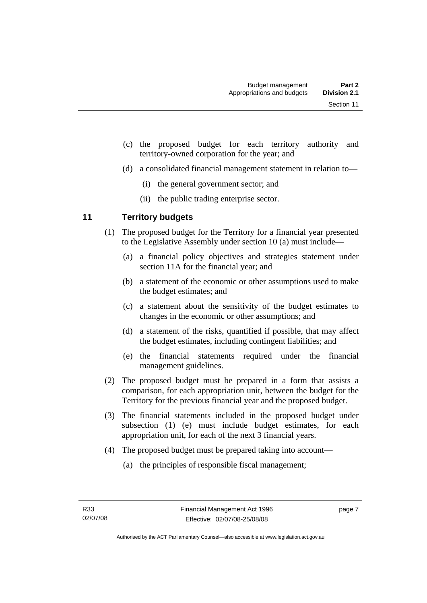- <span id="page-16-0"></span> (c) the proposed budget for each territory authority and territory-owned corporation for the year; and
- (d) a consolidated financial management statement in relation to—
	- (i) the general government sector; and
	- (ii) the public trading enterprise sector.

### **11 Territory budgets**

- (1) The proposed budget for the Territory for a financial year presented to the Legislative Assembly under section 10 (a) must include—
	- (a) a financial policy objectives and strategies statement under section 11A for the financial year; and
	- (b) a statement of the economic or other assumptions used to make the budget estimates; and
	- (c) a statement about the sensitivity of the budget estimates to changes in the economic or other assumptions; and
	- (d) a statement of the risks, quantified if possible, that may affect the budget estimates, including contingent liabilities; and
	- (e) the financial statements required under the financial management guidelines.
- (2) The proposed budget must be prepared in a form that assists a comparison, for each appropriation unit, between the budget for the Territory for the previous financial year and the proposed budget.
- (3) The financial statements included in the proposed budget under subsection (1) (e) must include budget estimates, for each appropriation unit, for each of the next 3 financial years.
- (4) The proposed budget must be prepared taking into account—
	- (a) the principles of responsible fiscal management;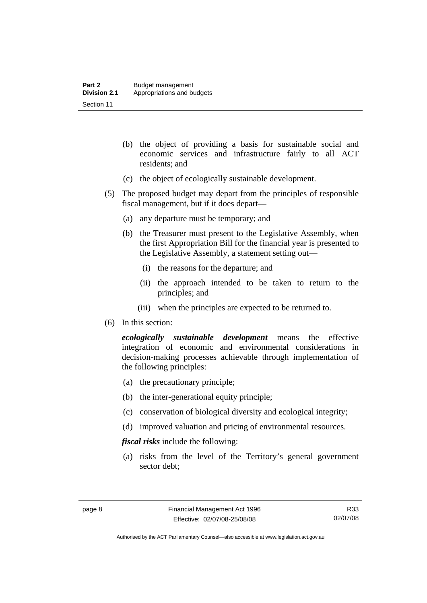- (b) the object of providing a basis for sustainable social and economic services and infrastructure fairly to all ACT residents; and
- (c) the object of ecologically sustainable development.
- (5) The proposed budget may depart from the principles of responsible fiscal management, but if it does depart—
	- (a) any departure must be temporary; and
	- (b) the Treasurer must present to the Legislative Assembly, when the first Appropriation Bill for the financial year is presented to the Legislative Assembly, a statement setting out—
		- (i) the reasons for the departure; and
		- (ii) the approach intended to be taken to return to the principles; and
		- (iii) when the principles are expected to be returned to.
- (6) In this section:

*ecologically sustainable development* means the effective integration of economic and environmental considerations in decision-making processes achievable through implementation of the following principles:

- (a) the precautionary principle;
- (b) the inter-generational equity principle;
- (c) conservation of biological diversity and ecological integrity;
- (d) improved valuation and pricing of environmental resources.

*fiscal risks* include the following:

 (a) risks from the level of the Territory's general government sector debt;

R33 02/07/08

Authorised by the ACT Parliamentary Counsel—also accessible at www.legislation.act.gov.au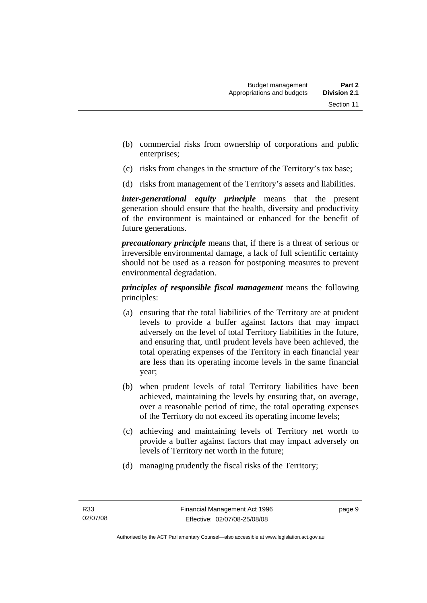- (b) commercial risks from ownership of corporations and public enterprises;
- (c) risks from changes in the structure of the Territory's tax base;
- (d) risks from management of the Territory's assets and liabilities.

*inter-generational equity principle* means that the present generation should ensure that the health, diversity and productivity of the environment is maintained or enhanced for the benefit of future generations.

*precautionary principle* means that, if there is a threat of serious or irreversible environmental damage, a lack of full scientific certainty should not be used as a reason for postponing measures to prevent environmental degradation.

*principles of responsible fiscal management* means the following principles:

- (a) ensuring that the total liabilities of the Territory are at prudent levels to provide a buffer against factors that may impact adversely on the level of total Territory liabilities in the future, and ensuring that, until prudent levels have been achieved, the total operating expenses of the Territory in each financial year are less than its operating income levels in the same financial year;
- (b) when prudent levels of total Territory liabilities have been achieved, maintaining the levels by ensuring that, on average, over a reasonable period of time, the total operating expenses of the Territory do not exceed its operating income levels;
- (c) achieving and maintaining levels of Territory net worth to provide a buffer against factors that may impact adversely on levels of Territory net worth in the future;
- (d) managing prudently the fiscal risks of the Territory;

page 9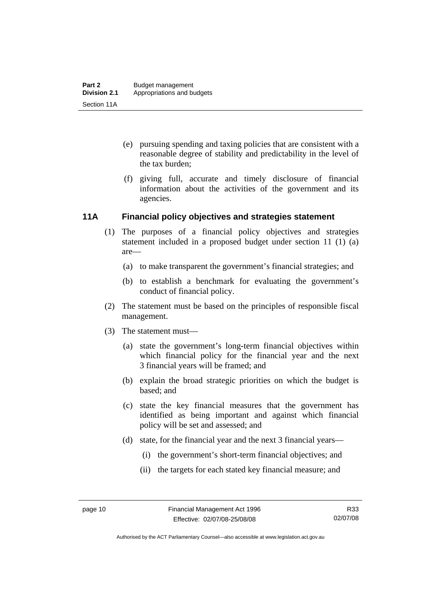- <span id="page-19-0"></span> (e) pursuing spending and taxing policies that are consistent with a reasonable degree of stability and predictability in the level of the tax burden;
- (f) giving full, accurate and timely disclosure of financial information about the activities of the government and its agencies.

#### **11A Financial policy objectives and strategies statement**

- (1) The purposes of a financial policy objectives and strategies statement included in a proposed budget under section 11 (1) (a) are—
	- (a) to make transparent the government's financial strategies; and
	- (b) to establish a benchmark for evaluating the government's conduct of financial policy.
- (2) The statement must be based on the principles of responsible fiscal management.
- (3) The statement must—
	- (a) state the government's long-term financial objectives within which financial policy for the financial year and the next 3 financial years will be framed; and
	- (b) explain the broad strategic priorities on which the budget is based; and
	- (c) state the key financial measures that the government has identified as being important and against which financial policy will be set and assessed; and
	- (d) state, for the financial year and the next 3 financial years—
		- (i) the government's short-term financial objectives; and
		- (ii) the targets for each stated key financial measure; and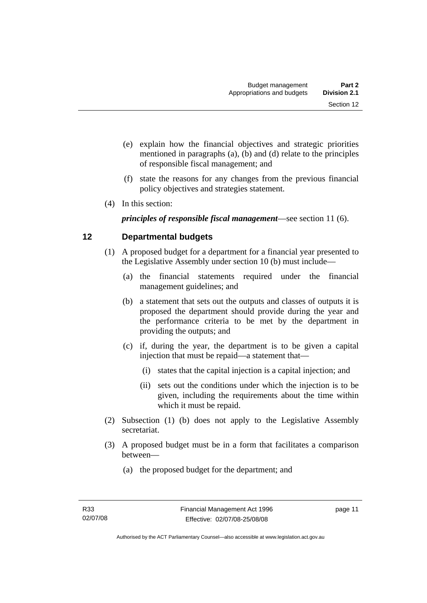- <span id="page-20-0"></span> (e) explain how the financial objectives and strategic priorities mentioned in paragraphs (a), (b) and (d) relate to the principles of responsible fiscal management; and
- (f) state the reasons for any changes from the previous financial policy objectives and strategies statement.
- (4) In this section:

*principles of responsible fiscal management*—see section 11 (6).

# **12 Departmental budgets**

- (1) A proposed budget for a department for a financial year presented to the Legislative Assembly under section 10 (b) must include—
	- (a) the financial statements required under the financial management guidelines; and
	- (b) a statement that sets out the outputs and classes of outputs it is proposed the department should provide during the year and the performance criteria to be met by the department in providing the outputs; and
	- (c) if, during the year, the department is to be given a capital injection that must be repaid—a statement that—
		- (i) states that the capital injection is a capital injection; and
		- (ii) sets out the conditions under which the injection is to be given, including the requirements about the time within which it must be repaid.
- (2) Subsection (1) (b) does not apply to the Legislative Assembly secretariat.
- (3) A proposed budget must be in a form that facilitates a comparison between—
	- (a) the proposed budget for the department; and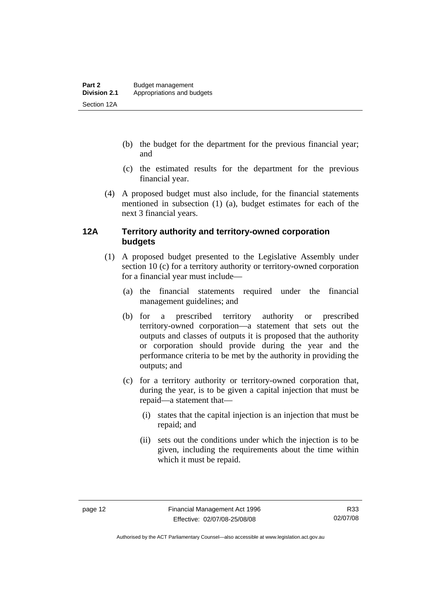- <span id="page-21-0"></span> (b) the budget for the department for the previous financial year; and
- (c) the estimated results for the department for the previous financial year.
- (4) A proposed budget must also include, for the financial statements mentioned in subsection (1) (a), budget estimates for each of the next 3 financial years.

#### **12A Territory authority and territory-owned corporation budgets**

- (1) A proposed budget presented to the Legislative Assembly under section 10 (c) for a territory authority or territory-owned corporation for a financial year must include—
	- (a) the financial statements required under the financial management guidelines; and
	- (b) for a prescribed territory authority or prescribed territory-owned corporation—a statement that sets out the outputs and classes of outputs it is proposed that the authority or corporation should provide during the year and the performance criteria to be met by the authority in providing the outputs; and
	- (c) for a territory authority or territory-owned corporation that, during the year, is to be given a capital injection that must be repaid—a statement that—
		- (i) states that the capital injection is an injection that must be repaid; and
		- (ii) sets out the conditions under which the injection is to be given, including the requirements about the time within which it must be repaid.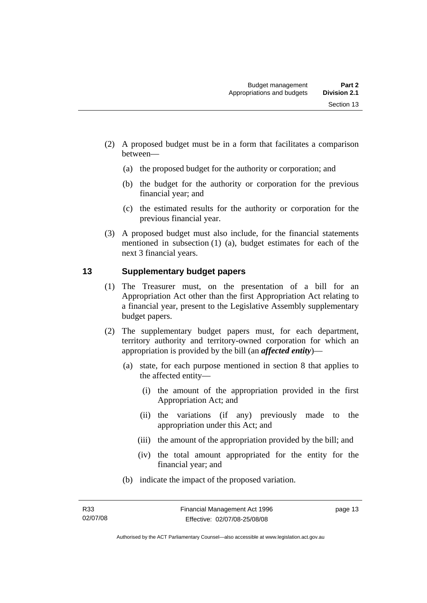- <span id="page-22-0"></span> (2) A proposed budget must be in a form that facilitates a comparison between—
	- (a) the proposed budget for the authority or corporation; and
	- (b) the budget for the authority or corporation for the previous financial year; and
	- (c) the estimated results for the authority or corporation for the previous financial year.
- (3) A proposed budget must also include, for the financial statements mentioned in subsection (1) (a), budget estimates for each of the next 3 financial years.

#### **13 Supplementary budget papers**

- (1) The Treasurer must, on the presentation of a bill for an Appropriation Act other than the first Appropriation Act relating to a financial year, present to the Legislative Assembly supplementary budget papers.
- (2) The supplementary budget papers must, for each department, territory authority and territory-owned corporation for which an appropriation is provided by the bill (an *affected entity*)—
	- (a) state, for each purpose mentioned in section 8 that applies to the affected entity—
		- (i) the amount of the appropriation provided in the first Appropriation Act; and
		- (ii) the variations (if any) previously made to the appropriation under this Act; and
		- (iii) the amount of the appropriation provided by the bill; and
		- (iv) the total amount appropriated for the entity for the financial year; and
	- (b) indicate the impact of the proposed variation.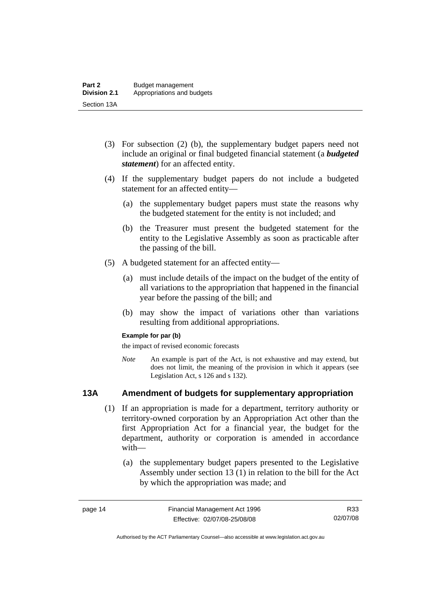- <span id="page-23-0"></span> (3) For subsection (2) (b), the supplementary budget papers need not include an original or final budgeted financial statement (a *budgeted statement*) for an affected entity.
- (4) If the supplementary budget papers do not include a budgeted statement for an affected entity—
	- (a) the supplementary budget papers must state the reasons why the budgeted statement for the entity is not included; and
	- (b) the Treasurer must present the budgeted statement for the entity to the Legislative Assembly as soon as practicable after the passing of the bill.
- (5) A budgeted statement for an affected entity—
	- (a) must include details of the impact on the budget of the entity of all variations to the appropriation that happened in the financial year before the passing of the bill; and
	- (b) may show the impact of variations other than variations resulting from additional appropriations.

#### **Example for par (b)**

the impact of revised economic forecasts

*Note* An example is part of the Act, is not exhaustive and may extend, but does not limit, the meaning of the provision in which it appears (see Legislation Act, s 126 and s 132).

#### **13A Amendment of budgets for supplementary appropriation**

- (1) If an appropriation is made for a department, territory authority or territory-owned corporation by an Appropriation Act other than the first Appropriation Act for a financial year, the budget for the department, authority or corporation is amended in accordance with—
	- (a) the supplementary budget papers presented to the Legislative Assembly under section 13 (1) in relation to the bill for the Act by which the appropriation was made; and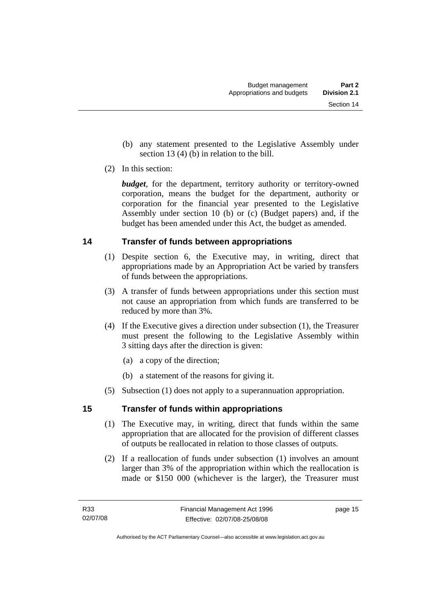- <span id="page-24-0"></span> (b) any statement presented to the Legislative Assembly under section 13 (4) (b) in relation to the bill.
- (2) In this section:

*budget*, for the department, territory authority or territory-owned corporation, means the budget for the department, authority or corporation for the financial year presented to the Legislative Assembly under section 10 (b) or (c) (Budget papers) and, if the budget has been amended under this Act, the budget as amended.

### **14 Transfer of funds between appropriations**

- (1) Despite section 6, the Executive may, in writing, direct that appropriations made by an Appropriation Act be varied by transfers of funds between the appropriations.
- (3) A transfer of funds between appropriations under this section must not cause an appropriation from which funds are transferred to be reduced by more than 3%.
- (4) If the Executive gives a direction under subsection (1), the Treasurer must present the following to the Legislative Assembly within 3 sitting days after the direction is given:
	- (a) a copy of the direction;
	- (b) a statement of the reasons for giving it.
- (5) Subsection (1) does not apply to a superannuation appropriation.

### **15 Transfer of funds within appropriations**

- (1) The Executive may, in writing, direct that funds within the same appropriation that are allocated for the provision of different classes of outputs be reallocated in relation to those classes of outputs.
- (2) If a reallocation of funds under subsection (1) involves an amount larger than 3% of the appropriation within which the reallocation is made or \$150 000 (whichever is the larger), the Treasurer must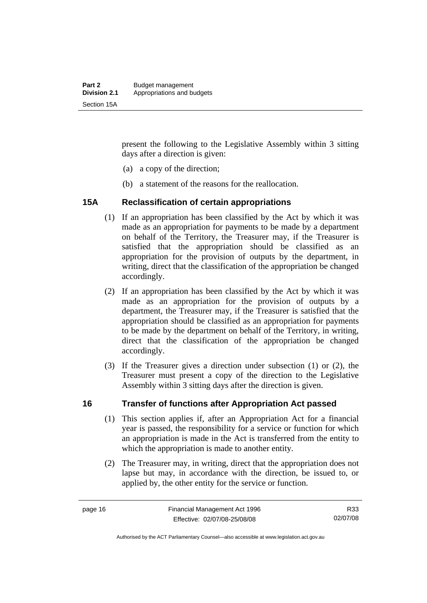<span id="page-25-0"></span>present the following to the Legislative Assembly within 3 sitting days after a direction is given:

- (a) a copy of the direction;
- (b) a statement of the reasons for the reallocation.

#### **15A Reclassification of certain appropriations**

- (1) If an appropriation has been classified by the Act by which it was made as an appropriation for payments to be made by a department on behalf of the Territory, the Treasurer may, if the Treasurer is satisfied that the appropriation should be classified as an appropriation for the provision of outputs by the department, in writing, direct that the classification of the appropriation be changed accordingly.
- (2) If an appropriation has been classified by the Act by which it was made as an appropriation for the provision of outputs by a department, the Treasurer may, if the Treasurer is satisfied that the appropriation should be classified as an appropriation for payments to be made by the department on behalf of the Territory, in writing, direct that the classification of the appropriation be changed accordingly.
- (3) If the Treasurer gives a direction under subsection (1) or (2), the Treasurer must present a copy of the direction to the Legislative Assembly within 3 sitting days after the direction is given.

#### **16 Transfer of functions after Appropriation Act passed**

- (1) This section applies if, after an Appropriation Act for a financial year is passed, the responsibility for a service or function for which an appropriation is made in the Act is transferred from the entity to which the appropriation is made to another entity.
- (2) The Treasurer may, in writing, direct that the appropriation does not lapse but may, in accordance with the direction, be issued to, or applied by, the other entity for the service or function.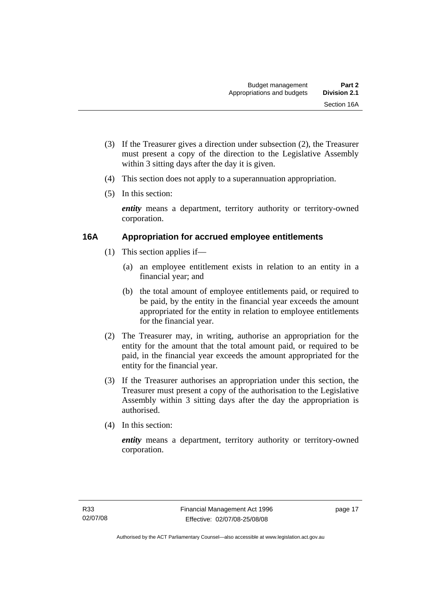- <span id="page-26-0"></span> (3) If the Treasurer gives a direction under subsection (2), the Treasurer must present a copy of the direction to the Legislative Assembly within 3 sitting days after the day it is given.
- (4) This section does not apply to a superannuation appropriation.
- (5) In this section:

*entity* means a department, territory authority or territory-owned corporation.

#### **16A Appropriation for accrued employee entitlements**

- (1) This section applies if—
	- (a) an employee entitlement exists in relation to an entity in a financial year; and
	- (b) the total amount of employee entitlements paid, or required to be paid, by the entity in the financial year exceeds the amount appropriated for the entity in relation to employee entitlements for the financial year.
- (2) The Treasurer may, in writing, authorise an appropriation for the entity for the amount that the total amount paid, or required to be paid, in the financial year exceeds the amount appropriated for the entity for the financial year.
- (3) If the Treasurer authorises an appropriation under this section, the Treasurer must present a copy of the authorisation to the Legislative Assembly within 3 sitting days after the day the appropriation is authorised.
- (4) In this section:

*entity* means a department, territory authority or territory-owned corporation.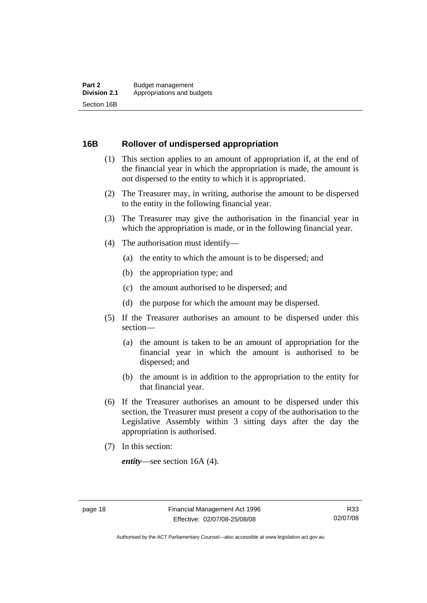#### <span id="page-27-0"></span>**16B Rollover of undispersed appropriation**

- (1) This section applies to an amount of appropriation if, at the end of the financial year in which the appropriation is made, the amount is not dispersed to the entity to which it is appropriated.
- (2) The Treasurer may, in writing, authorise the amount to be dispersed to the entity in the following financial year.
- (3) The Treasurer may give the authorisation in the financial year in which the appropriation is made, or in the following financial year.
- (4) The authorisation must identify—
	- (a) the entity to which the amount is to be dispersed; and
	- (b) the appropriation type; and
	- (c) the amount authorised to be dispersed; and
	- (d) the purpose for which the amount may be dispersed.
- (5) If the Treasurer authorises an amount to be dispersed under this section—
	- (a) the amount is taken to be an amount of appropriation for the financial year in which the amount is authorised to be dispersed; and
	- (b) the amount is in addition to the appropriation to the entity for that financial year.
- (6) If the Treasurer authorises an amount to be dispersed under this section, the Treasurer must present a copy of the authorisation to the Legislative Assembly within 3 sitting days after the day the appropriation is authorised.
- (7) In this section:

*entity*—see section 16A (4).

Authorised by the ACT Parliamentary Counsel—also accessible at www.legislation.act.gov.au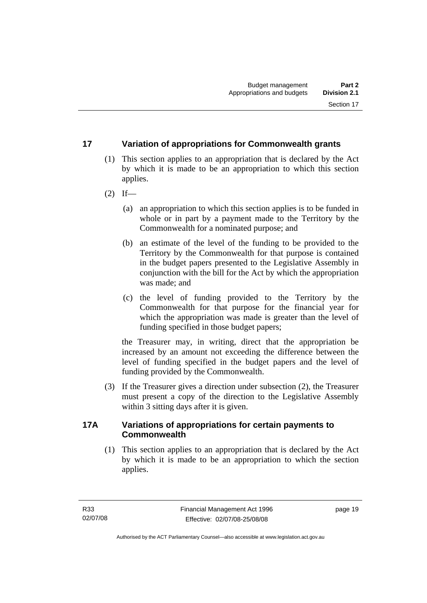#### <span id="page-28-0"></span>**17 Variation of appropriations for Commonwealth grants**

- (1) This section applies to an appropriation that is declared by the Act by which it is made to be an appropriation to which this section applies.
- $(2)$  If—
	- (a) an appropriation to which this section applies is to be funded in whole or in part by a payment made to the Territory by the Commonwealth for a nominated purpose; and
	- (b) an estimate of the level of the funding to be provided to the Territory by the Commonwealth for that purpose is contained in the budget papers presented to the Legislative Assembly in conjunction with the bill for the Act by which the appropriation was made; and
	- (c) the level of funding provided to the Territory by the Commonwealth for that purpose for the financial year for which the appropriation was made is greater than the level of funding specified in those budget papers;

the Treasurer may, in writing, direct that the appropriation be increased by an amount not exceeding the difference between the level of funding specified in the budget papers and the level of funding provided by the Commonwealth.

 (3) If the Treasurer gives a direction under subsection (2), the Treasurer must present a copy of the direction to the Legislative Assembly within 3 sitting days after it is given.

#### **17A Variations of appropriations for certain payments to Commonwealth**

 (1) This section applies to an appropriation that is declared by the Act by which it is made to be an appropriation to which the section applies.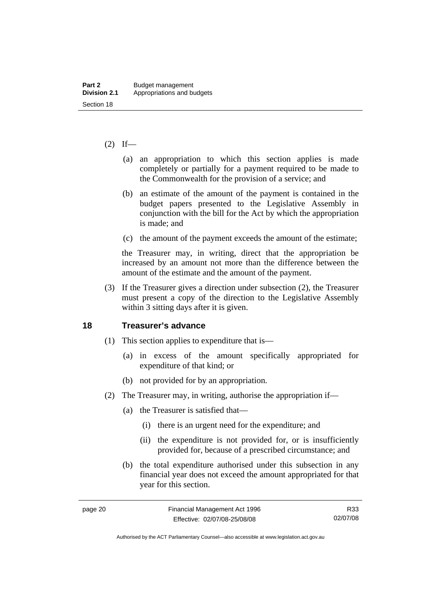#### <span id="page-29-0"></span> $(2)$  If—

- (a) an appropriation to which this section applies is made completely or partially for a payment required to be made to the Commonwealth for the provision of a service; and
- (b) an estimate of the amount of the payment is contained in the budget papers presented to the Legislative Assembly in conjunction with the bill for the Act by which the appropriation is made; and
- (c) the amount of the payment exceeds the amount of the estimate;

the Treasurer may, in writing, direct that the appropriation be increased by an amount not more than the difference between the amount of the estimate and the amount of the payment.

 (3) If the Treasurer gives a direction under subsection (2), the Treasurer must present a copy of the direction to the Legislative Assembly within 3 sitting days after it is given.

#### **18 Treasurer's advance**

- (1) This section applies to expenditure that is—
	- (a) in excess of the amount specifically appropriated for expenditure of that kind; or
	- (b) not provided for by an appropriation.
- (2) The Treasurer may, in writing, authorise the appropriation if—
	- (a) the Treasurer is satisfied that—
		- (i) there is an urgent need for the expenditure; and
		- (ii) the expenditure is not provided for, or is insufficiently provided for, because of a prescribed circumstance; and
	- (b) the total expenditure authorised under this subsection in any financial year does not exceed the amount appropriated for that year for this section.

Authorised by the ACT Parliamentary Counsel—also accessible at www.legislation.act.gov.au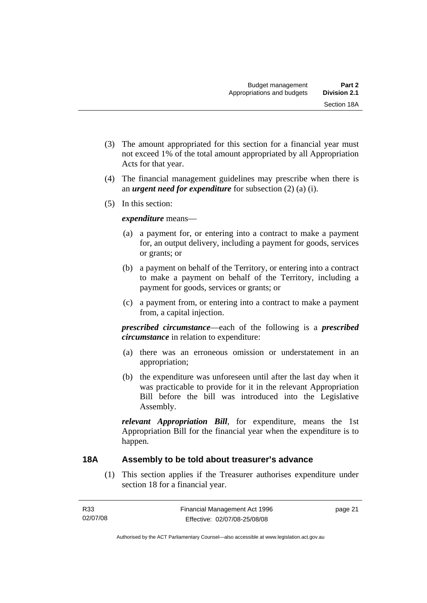- <span id="page-30-0"></span> (3) The amount appropriated for this section for a financial year must not exceed 1% of the total amount appropriated by all Appropriation Acts for that year.
- (4) The financial management guidelines may prescribe when there is an *urgent need for expenditure* for subsection (2) (a) (i).
- (5) In this section:

#### *expenditure* means—

- (a) a payment for, or entering into a contract to make a payment for, an output delivery, including a payment for goods, services or grants; or
- (b) a payment on behalf of the Territory, or entering into a contract to make a payment on behalf of the Territory, including a payment for goods, services or grants; or
- (c) a payment from, or entering into a contract to make a payment from, a capital injection.

*prescribed circumstance*—each of the following is a *prescribed circumstance* in relation to expenditure:

- (a) there was an erroneous omission or understatement in an appropriation;
- (b) the expenditure was unforeseen until after the last day when it was practicable to provide for it in the relevant Appropriation Bill before the bill was introduced into the Legislative Assembly.

*relevant Appropriation Bill*, for expenditure, means the 1st Appropriation Bill for the financial year when the expenditure is to happen.

#### **18A Assembly to be told about treasurer's advance**

 (1) This section applies if the Treasurer authorises expenditure under section 18 for a financial year.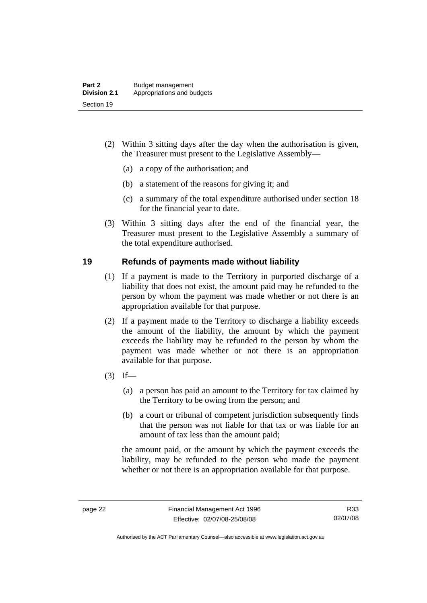- <span id="page-31-0"></span> (2) Within 3 sitting days after the day when the authorisation is given, the Treasurer must present to the Legislative Assembly—
	- (a) a copy of the authorisation; and
	- (b) a statement of the reasons for giving it; and
	- (c) a summary of the total expenditure authorised under section 18 for the financial year to date.
- (3) Within 3 sitting days after the end of the financial year, the Treasurer must present to the Legislative Assembly a summary of the total expenditure authorised.

#### **19 Refunds of payments made without liability**

- (1) If a payment is made to the Territory in purported discharge of a liability that does not exist, the amount paid may be refunded to the person by whom the payment was made whether or not there is an appropriation available for that purpose.
- (2) If a payment made to the Territory to discharge a liability exceeds the amount of the liability, the amount by which the payment exceeds the liability may be refunded to the person by whom the payment was made whether or not there is an appropriation available for that purpose.
- $(3)$  If—
	- (a) a person has paid an amount to the Territory for tax claimed by the Territory to be owing from the person; and
	- (b) a court or tribunal of competent jurisdiction subsequently finds that the person was not liable for that tax or was liable for an amount of tax less than the amount paid;

the amount paid, or the amount by which the payment exceeds the liability, may be refunded to the person who made the payment whether or not there is an appropriation available for that purpose.

Authorised by the ACT Parliamentary Counsel—also accessible at www.legislation.act.gov.au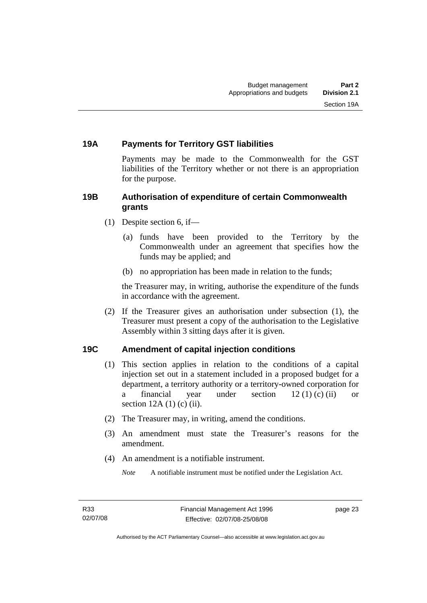#### <span id="page-32-0"></span>**19A Payments for Territory GST liabilities**

Payments may be made to the Commonwealth for the GST liabilities of the Territory whether or not there is an appropriation for the purpose.

#### **19B Authorisation of expenditure of certain Commonwealth grants**

- (1) Despite section 6, if—
	- (a) funds have been provided to the Territory by the Commonwealth under an agreement that specifies how the funds may be applied; and
	- (b) no appropriation has been made in relation to the funds;

the Treasurer may, in writing, authorise the expenditure of the funds in accordance with the agreement.

 (2) If the Treasurer gives an authorisation under subsection (1), the Treasurer must present a copy of the authorisation to the Legislative Assembly within 3 sitting days after it is given.

#### **19C Amendment of capital injection conditions**

- (1) This section applies in relation to the conditions of a capital injection set out in a statement included in a proposed budget for a department, a territory authority or a territory-owned corporation for a financial year under section  $12 (1) (c) (ii)$  or section  $12A(1)$  (c) (ii).
- (2) The Treasurer may, in writing, amend the conditions.
- (3) An amendment must state the Treasurer's reasons for the amendment.
- (4) An amendment is a notifiable instrument.

*Note* A notifiable instrument must be notified under the Legislation Act.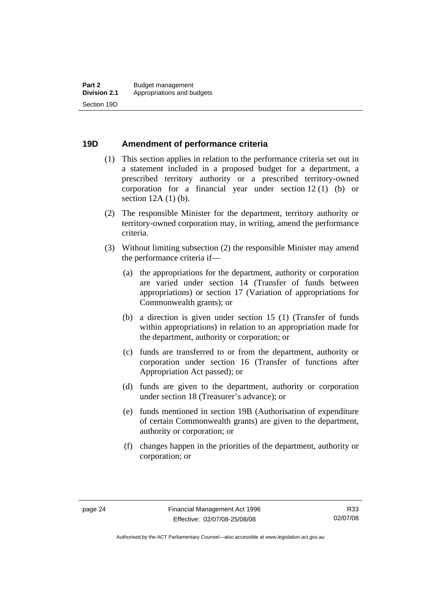#### <span id="page-33-0"></span>**19D Amendment of performance criteria**

- (1) This section applies in relation to the performance criteria set out in a statement included in a proposed budget for a department, a prescribed territory authority or a prescribed territory-owned corporation for a financial year under section 12 (1) (b) or section 12A (1) (b).
- (2) The responsible Minister for the department, territory authority or territory-owned corporation may, in writing, amend the performance criteria.
- (3) Without limiting subsection (2) the responsible Minister may amend the performance criteria if—
	- (a) the appropriations for the department, authority or corporation are varied under section 14 (Transfer of funds between appropriations) or section 17 (Variation of appropriations for Commonwealth grants); or
	- (b) a direction is given under section 15 (1) (Transfer of funds within appropriations) in relation to an appropriation made for the department, authority or corporation; or
	- (c) funds are transferred to or from the department, authority or corporation under section 16 (Transfer of functions after Appropriation Act passed); or
	- (d) funds are given to the department, authority or corporation under section 18 (Treasurer's advance); or
	- (e) funds mentioned in section 19B (Authorisation of expenditure of certain Commonwealth grants) are given to the department, authority or corporation; or
	- (f) changes happen in the priorities of the department, authority or corporation; or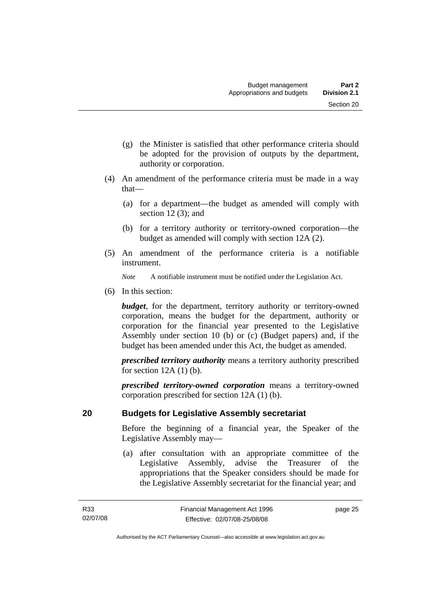- <span id="page-34-0"></span> (g) the Minister is satisfied that other performance criteria should be adopted for the provision of outputs by the department, authority or corporation.
- (4) An amendment of the performance criteria must be made in a way that—
	- (a) for a department—the budget as amended will comply with section  $12(3)$ ; and
	- (b) for a territory authority or territory-owned corporation—the budget as amended will comply with section 12A (2).
- (5) An amendment of the performance criteria is a notifiable instrument.

*Note* A notifiable instrument must be notified under the Legislation Act.

(6) In this section:

*budget*, for the department, territory authority or territory-owned corporation, means the budget for the department, authority or corporation for the financial year presented to the Legislative Assembly under section 10 (b) or (c) (Budget papers) and, if the budget has been amended under this Act, the budget as amended.

*prescribed territory authority* means a territory authority prescribed for section  $12A(1)$  (b).

*prescribed territory-owned corporation* means a territory-owned corporation prescribed for section 12A (1) (b).

#### **20 Budgets for Legislative Assembly secretariat**

Before the beginning of a financial year, the Speaker of the Legislative Assembly may—

 (a) after consultation with an appropriate committee of the Legislative Assembly, advise the Treasurer of the appropriations that the Speaker considers should be made for the Legislative Assembly secretariat for the financial year; and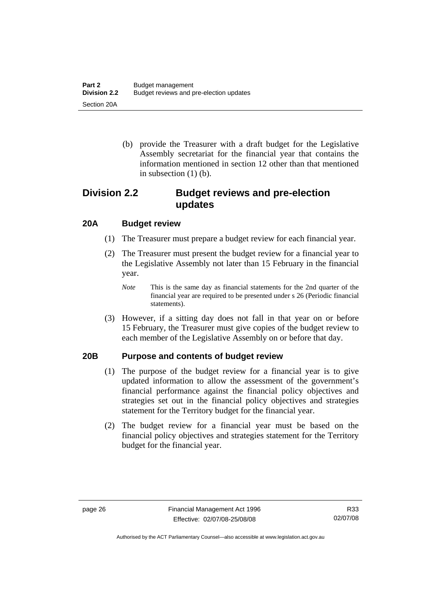<span id="page-35-0"></span> (b) provide the Treasurer with a draft budget for the Legislative Assembly secretariat for the financial year that contains the information mentioned in section 12 other than that mentioned in subsection  $(1)$  (b).

# **Division 2.2 Budget reviews and pre-election updates**

#### **20A Budget review**

- (1) The Treasurer must prepare a budget review for each financial year.
- (2) The Treasurer must present the budget review for a financial year to the Legislative Assembly not later than 15 February in the financial year.
	- *Note* This is the same day as financial statements for the 2nd quarter of the financial year are required to be presented under s 26 (Periodic financial statements).
- (3) However, if a sitting day does not fall in that year on or before 15 February, the Treasurer must give copies of the budget review to each member of the Legislative Assembly on or before that day.

#### **20B Purpose and contents of budget review**

- (1) The purpose of the budget review for a financial year is to give updated information to allow the assessment of the government's financial performance against the financial policy objectives and strategies set out in the financial policy objectives and strategies statement for the Territory budget for the financial year.
- (2) The budget review for a financial year must be based on the financial policy objectives and strategies statement for the Territory budget for the financial year.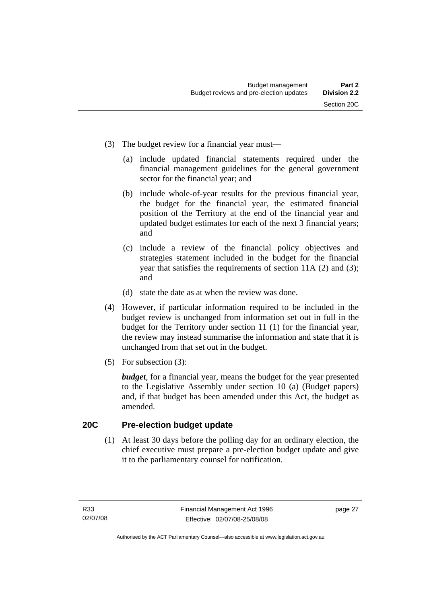- (3) The budget review for a financial year must—
	- (a) include updated financial statements required under the financial management guidelines for the general government sector for the financial year; and
	- (b) include whole-of-year results for the previous financial year, the budget for the financial year, the estimated financial position of the Territory at the end of the financial year and updated budget estimates for each of the next 3 financial years; and
	- (c) include a review of the financial policy objectives and strategies statement included in the budget for the financial year that satisfies the requirements of section 11A (2) and (3); and
	- (d) state the date as at when the review was done.
- (4) However, if particular information required to be included in the budget review is unchanged from information set out in full in the budget for the Territory under section 11 (1) for the financial year, the review may instead summarise the information and state that it is unchanged from that set out in the budget.
- (5) For subsection (3):

*budget*, for a financial year, means the budget for the year presented to the Legislative Assembly under section 10 (a) (Budget papers) and, if that budget has been amended under this Act, the budget as amended.

#### **20C Pre-election budget update**

 (1) At least 30 days before the polling day for an ordinary election, the chief executive must prepare a pre-election budget update and give it to the parliamentary counsel for notification.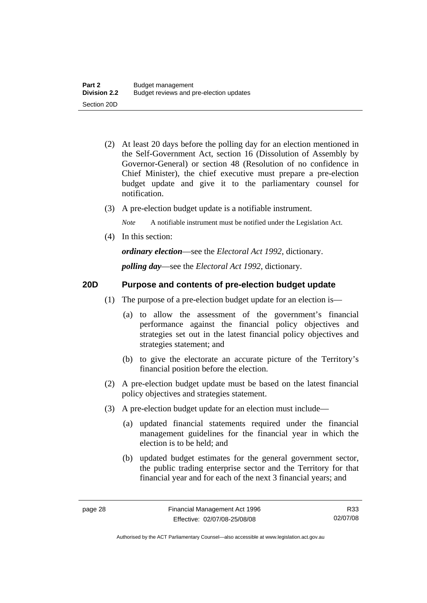- (2) At least 20 days before the polling day for an election mentioned in the Self-Government Act, section 16 (Dissolution of Assembly by Governor-General) or section 48 (Resolution of no confidence in Chief Minister), the chief executive must prepare a pre-election budget update and give it to the parliamentary counsel for notification.
- (3) A pre-election budget update is a notifiable instrument.

*Note* A notifiable instrument must be notified under the Legislation Act.

(4) In this section:

*ordinary election*—see the *Electoral Act 1992*, dictionary.

*polling day*—see the *Electoral Act 1992*, dictionary.

### **20D Purpose and contents of pre-election budget update**

- (1) The purpose of a pre-election budget update for an election is—
	- (a) to allow the assessment of the government's financial performance against the financial policy objectives and strategies set out in the latest financial policy objectives and strategies statement; and
	- (b) to give the electorate an accurate picture of the Territory's financial position before the election.
- (2) A pre-election budget update must be based on the latest financial policy objectives and strategies statement.
- (3) A pre-election budget update for an election must include—
	- (a) updated financial statements required under the financial management guidelines for the financial year in which the election is to be held; and
	- (b) updated budget estimates for the general government sector, the public trading enterprise sector and the Territory for that financial year and for each of the next 3 financial years; and

R33 02/07/08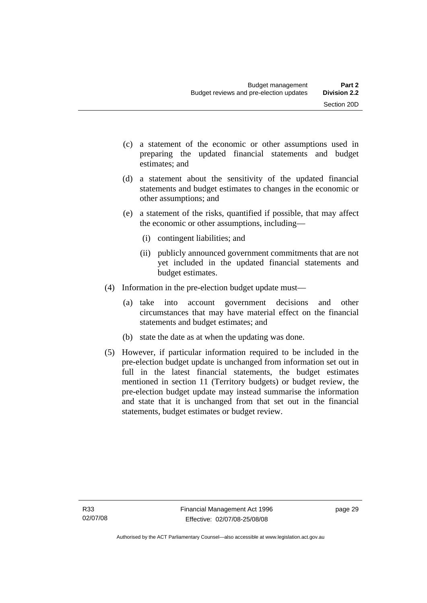- (c) a statement of the economic or other assumptions used in preparing the updated financial statements and budget estimates; and
- (d) a statement about the sensitivity of the updated financial statements and budget estimates to changes in the economic or other assumptions; and
- (e) a statement of the risks, quantified if possible, that may affect the economic or other assumptions, including—
	- (i) contingent liabilities; and
	- (ii) publicly announced government commitments that are not yet included in the updated financial statements and budget estimates.
- (4) Information in the pre-election budget update must—
	- (a) take into account government decisions and other circumstances that may have material effect on the financial statements and budget estimates; and
	- (b) state the date as at when the updating was done.
- (5) However, if particular information required to be included in the pre-election budget update is unchanged from information set out in full in the latest financial statements, the budget estimates mentioned in section 11 (Territory budgets) or budget review, the pre-election budget update may instead summarise the information and state that it is unchanged from that set out in the financial statements, budget estimates or budget review.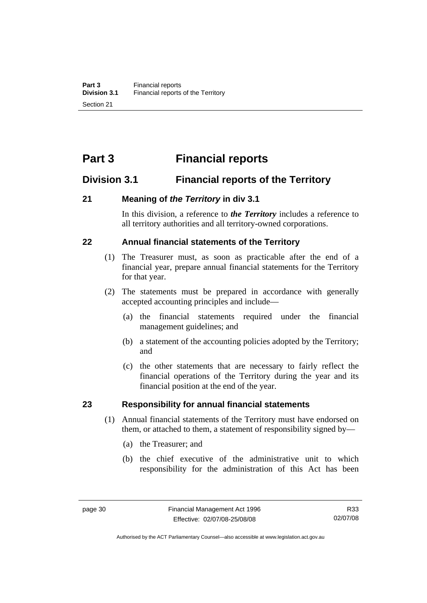# **Part 3 Financial reports**

# **Division 3.1 Financial reports of the Territory**

### **21 Meaning of** *the Territory* **in div 3.1**

In this division, a reference to *the Territory* includes a reference to all territory authorities and all territory-owned corporations.

# **22 Annual financial statements of the Territory**

- (1) The Treasurer must, as soon as practicable after the end of a financial year, prepare annual financial statements for the Territory for that year.
- (2) The statements must be prepared in accordance with generally accepted accounting principles and include—
	- (a) the financial statements required under the financial management guidelines; and
	- (b) a statement of the accounting policies adopted by the Territory; and
	- (c) the other statements that are necessary to fairly reflect the financial operations of the Territory during the year and its financial position at the end of the year.

#### **23 Responsibility for annual financial statements**

- (1) Annual financial statements of the Territory must have endorsed on them, or attached to them, a statement of responsibility signed by—
	- (a) the Treasurer; and
	- (b) the chief executive of the administrative unit to which responsibility for the administration of this Act has been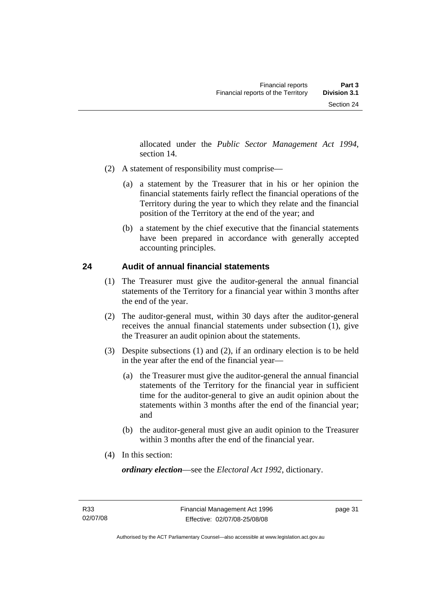allocated under the *Public Sector Management Act 1994*, section 14.

- (2) A statement of responsibility must comprise—
	- (a) a statement by the Treasurer that in his or her opinion the financial statements fairly reflect the financial operations of the Territory during the year to which they relate and the financial position of the Territory at the end of the year; and
	- (b) a statement by the chief executive that the financial statements have been prepared in accordance with generally accepted accounting principles.

# **24 Audit of annual financial statements**

- (1) The Treasurer must give the auditor-general the annual financial statements of the Territory for a financial year within 3 months after the end of the year.
- (2) The auditor-general must, within 30 days after the auditor-general receives the annual financial statements under subsection (1), give the Treasurer an audit opinion about the statements.
- (3) Despite subsections (1) and (2), if an ordinary election is to be held in the year after the end of the financial year—
	- (a) the Treasurer must give the auditor-general the annual financial statements of the Territory for the financial year in sufficient time for the auditor-general to give an audit opinion about the statements within 3 months after the end of the financial year; and
	- (b) the auditor-general must give an audit opinion to the Treasurer within 3 months after the end of the financial year.
- (4) In this section:

*ordinary election*—see the *Electoral Act 1992*, dictionary.

page 31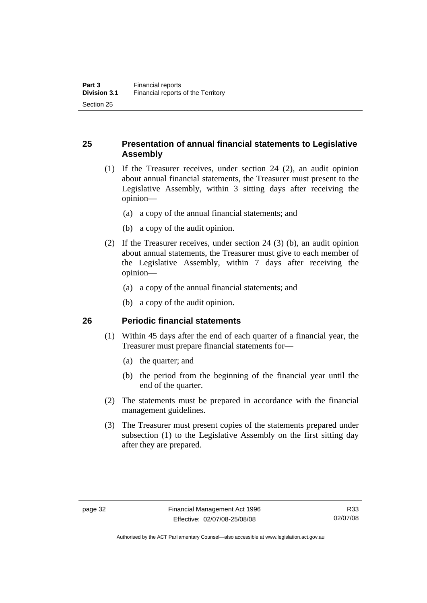# **25 Presentation of annual financial statements to Legislative Assembly**

- (1) If the Treasurer receives, under section 24 (2), an audit opinion about annual financial statements, the Treasurer must present to the Legislative Assembly, within 3 sitting days after receiving the opinion—
	- (a) a copy of the annual financial statements; and
	- (b) a copy of the audit opinion.
- (2) If the Treasurer receives, under section 24 (3) (b), an audit opinion about annual statements, the Treasurer must give to each member of the Legislative Assembly, within 7 days after receiving the opinion—
	- (a) a copy of the annual financial statements; and
	- (b) a copy of the audit opinion.

#### **26 Periodic financial statements**

- (1) Within 45 days after the end of each quarter of a financial year, the Treasurer must prepare financial statements for—
	- (a) the quarter; and
	- (b) the period from the beginning of the financial year until the end of the quarter.
- (2) The statements must be prepared in accordance with the financial management guidelines.
- (3) The Treasurer must present copies of the statements prepared under subsection (1) to the Legislative Assembly on the first sitting day after they are prepared.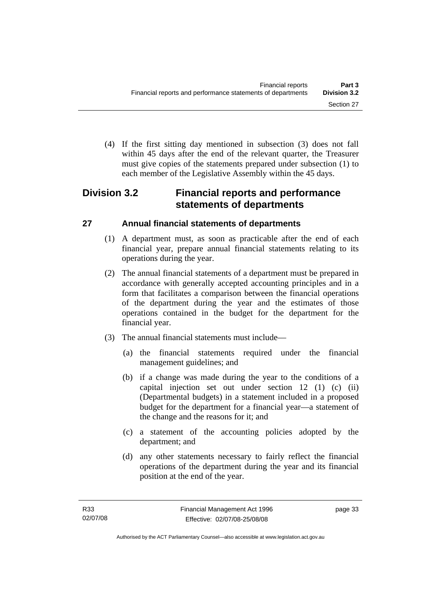(4) If the first sitting day mentioned in subsection (3) does not fall within 45 days after the end of the relevant quarter, the Treasurer must give copies of the statements prepared under subsection (1) to each member of the Legislative Assembly within the 45 days.

# **Division 3.2 Financial reports and performance statements of departments**

# **27 Annual financial statements of departments**

- (1) A department must, as soon as practicable after the end of each financial year, prepare annual financial statements relating to its operations during the year.
- (2) The annual financial statements of a department must be prepared in accordance with generally accepted accounting principles and in a form that facilitates a comparison between the financial operations of the department during the year and the estimates of those operations contained in the budget for the department for the financial year.
- (3) The annual financial statements must include—
	- (a) the financial statements required under the financial management guidelines; and
	- (b) if a change was made during the year to the conditions of a capital injection set out under section 12 (1) (c) (ii) (Departmental budgets) in a statement included in a proposed budget for the department for a financial year—a statement of the change and the reasons for it; and
	- (c) a statement of the accounting policies adopted by the department; and
	- (d) any other statements necessary to fairly reflect the financial operations of the department during the year and its financial position at the end of the year.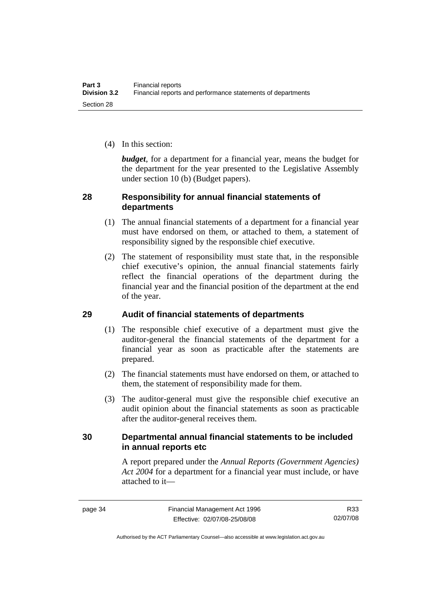(4) In this section:

*budget*, for a department for a financial year, means the budget for the department for the year presented to the Legislative Assembly under section 10 (b) (Budget papers).

## **28 Responsibility for annual financial statements of departments**

- (1) The annual financial statements of a department for a financial year must have endorsed on them, or attached to them, a statement of responsibility signed by the responsible chief executive.
- (2) The statement of responsibility must state that, in the responsible chief executive's opinion, the annual financial statements fairly reflect the financial operations of the department during the financial year and the financial position of the department at the end of the year.

# **29 Audit of financial statements of departments**

- (1) The responsible chief executive of a department must give the auditor-general the financial statements of the department for a financial year as soon as practicable after the statements are prepared.
- (2) The financial statements must have endorsed on them, or attached to them, the statement of responsibility made for them.
- (3) The auditor-general must give the responsible chief executive an audit opinion about the financial statements as soon as practicable after the auditor-general receives them.

# **30 Departmental annual financial statements to be included in annual reports etc**

A report prepared under the *Annual Reports (Government Agencies) Act 2004* for a department for a financial year must include, or have attached to it—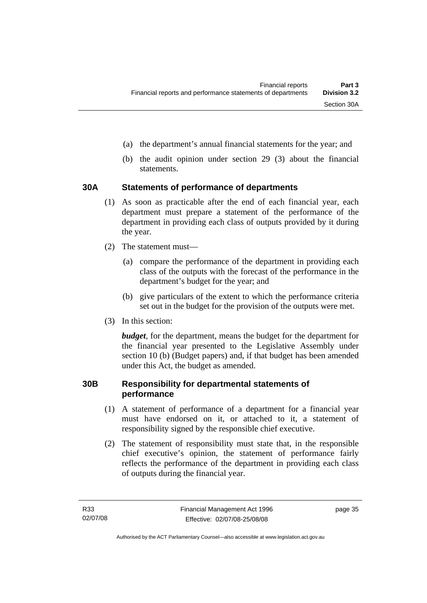- (a) the department's annual financial statements for the year; and
- (b) the audit opinion under section 29 (3) about the financial statements.

# **30A Statements of performance of departments**

- (1) As soon as practicable after the end of each financial year, each department must prepare a statement of the performance of the department in providing each class of outputs provided by it during the year.
- (2) The statement must—
	- (a) compare the performance of the department in providing each class of the outputs with the forecast of the performance in the department's budget for the year; and
	- (b) give particulars of the extent to which the performance criteria set out in the budget for the provision of the outputs were met.
- (3) In this section:

*budget*, for the department, means the budget for the department for the financial year presented to the Legislative Assembly under section 10 (b) (Budget papers) and, if that budget has been amended under this Act, the budget as amended.

### **30B Responsibility for departmental statements of performance**

- (1) A statement of performance of a department for a financial year must have endorsed on it, or attached to it, a statement of responsibility signed by the responsible chief executive.
- (2) The statement of responsibility must state that, in the responsible chief executive's opinion, the statement of performance fairly reflects the performance of the department in providing each class of outputs during the financial year.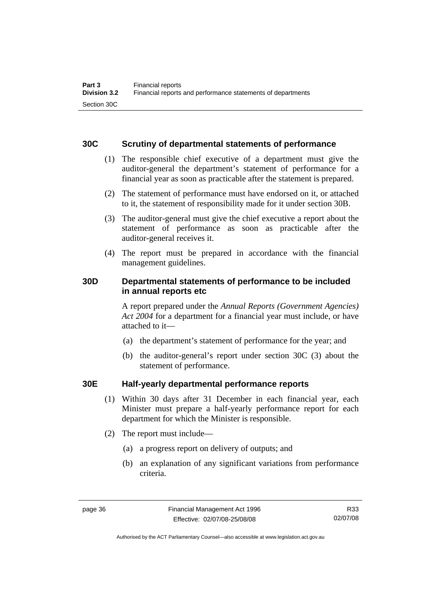## **30C Scrutiny of departmental statements of performance**

- (1) The responsible chief executive of a department must give the auditor-general the department's statement of performance for a financial year as soon as practicable after the statement is prepared.
- (2) The statement of performance must have endorsed on it, or attached to it, the statement of responsibility made for it under section 30B.
- (3) The auditor-general must give the chief executive a report about the statement of performance as soon as practicable after the auditor-general receives it.
- (4) The report must be prepared in accordance with the financial management guidelines.

# **30D Departmental statements of performance to be included in annual reports etc**

A report prepared under the *Annual Reports (Government Agencies) Act 2004* for a department for a financial year must include, or have attached to it—

- (a) the department's statement of performance for the year; and
- (b) the auditor-general's report under section 30C (3) about the statement of performance.

# **30E Half-yearly departmental performance reports**

- (1) Within 30 days after 31 December in each financial year, each Minister must prepare a half-yearly performance report for each department for which the Minister is responsible.
- (2) The report must include—
	- (a) a progress report on delivery of outputs; and
	- (b) an explanation of any significant variations from performance criteria.

R33 02/07/08

Authorised by the ACT Parliamentary Counsel—also accessible at www.legislation.act.gov.au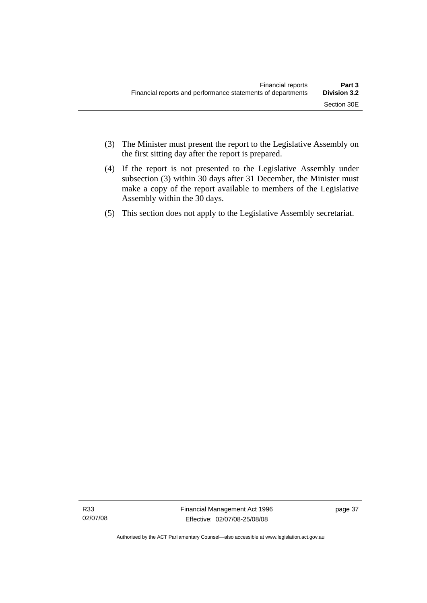- (3) The Minister must present the report to the Legislative Assembly on the first sitting day after the report is prepared.
- (4) If the report is not presented to the Legislative Assembly under subsection (3) within 30 days after 31 December, the Minister must make a copy of the report available to members of the Legislative Assembly within the 30 days.
- (5) This section does not apply to the Legislative Assembly secretariat.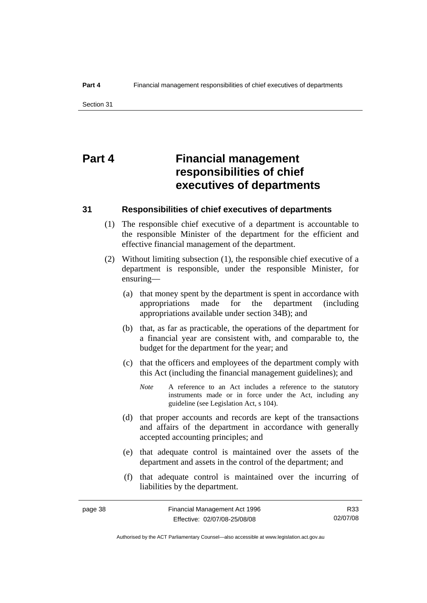# **Part 4 Financial management responsibilities of chief executives of departments**

#### **31 Responsibilities of chief executives of departments**

- (1) The responsible chief executive of a department is accountable to the responsible Minister of the department for the efficient and effective financial management of the department.
- (2) Without limiting subsection (1), the responsible chief executive of a department is responsible, under the responsible Minister, for ensuring—
	- (a) that money spent by the department is spent in accordance with appropriations made for the department (including appropriations available under section 34B); and
	- (b) that, as far as practicable, the operations of the department for a financial year are consistent with, and comparable to, the budget for the department for the year; and
	- (c) that the officers and employees of the department comply with this Act (including the financial management guidelines); and
		- *Note* A reference to an Act includes a reference to the statutory instruments made or in force under the Act, including any guideline (see Legislation Act, s 104).
	- (d) that proper accounts and records are kept of the transactions and affairs of the department in accordance with generally accepted accounting principles; and
	- (e) that adequate control is maintained over the assets of the department and assets in the control of the department; and
	- (f) that adequate control is maintained over the incurring of liabilities by the department.

Authorised by the ACT Parliamentary Counsel—also accessible at www.legislation.act.gov.au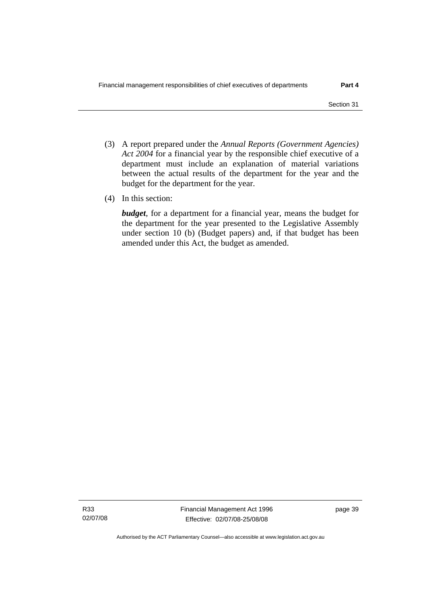- (3) A report prepared under the *Annual Reports (Government Agencies) Act 2004* for a financial year by the responsible chief executive of a department must include an explanation of material variations between the actual results of the department for the year and the budget for the department for the year.
- (4) In this section:

*budget*, for a department for a financial year, means the budget for the department for the year presented to the Legislative Assembly under section 10 (b) (Budget papers) and, if that budget has been amended under this Act, the budget as amended.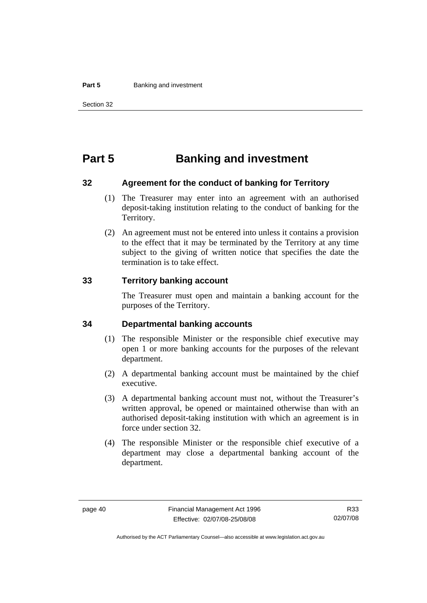#### **Part 5 Banking and investment**

# **Part 5 Banking and investment**

#### **32 Agreement for the conduct of banking for Territory**

- (1) The Treasurer may enter into an agreement with an authorised deposit-taking institution relating to the conduct of banking for the Territory.
- (2) An agreement must not be entered into unless it contains a provision to the effect that it may be terminated by the Territory at any time subject to the giving of written notice that specifies the date the termination is to take effect.

#### **33 Territory banking account**

The Treasurer must open and maintain a banking account for the purposes of the Territory.

#### **34 Departmental banking accounts**

- (1) The responsible Minister or the responsible chief executive may open 1 or more banking accounts for the purposes of the relevant department.
- (2) A departmental banking account must be maintained by the chief executive.
- (3) A departmental banking account must not, without the Treasurer's written approval, be opened or maintained otherwise than with an authorised deposit-taking institution with which an agreement is in force under section 32.
- (4) The responsible Minister or the responsible chief executive of a department may close a departmental banking account of the department.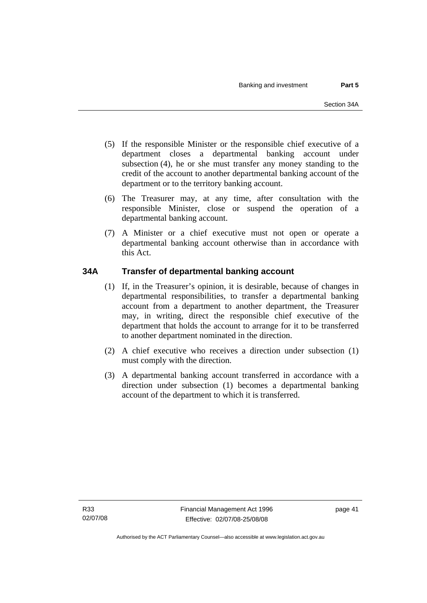- (5) If the responsible Minister or the responsible chief executive of a department closes a departmental banking account under subsection (4), he or she must transfer any money standing to the credit of the account to another departmental banking account of the department or to the territory banking account.
- (6) The Treasurer may, at any time, after consultation with the responsible Minister, close or suspend the operation of a departmental banking account.
- (7) A Minister or a chief executive must not open or operate a departmental banking account otherwise than in accordance with this Act.

# **34A Transfer of departmental banking account**

- (1) If, in the Treasurer's opinion, it is desirable, because of changes in departmental responsibilities, to transfer a departmental banking account from a department to another department, the Treasurer may, in writing, direct the responsible chief executive of the department that holds the account to arrange for it to be transferred to another department nominated in the direction.
- (2) A chief executive who receives a direction under subsection (1) must comply with the direction.
- (3) A departmental banking account transferred in accordance with a direction under subsection (1) becomes a departmental banking account of the department to which it is transferred.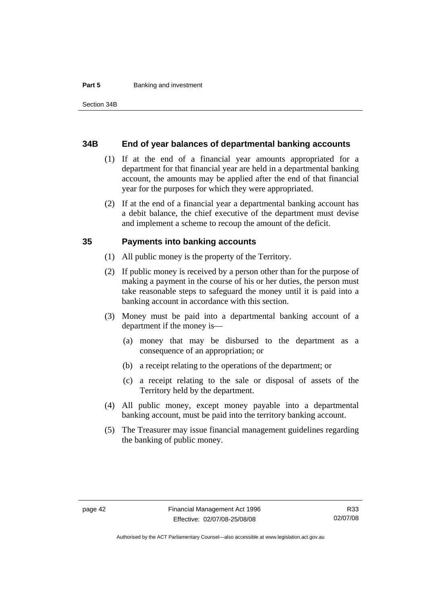#### **Part 5 Banking and investment**

#### **34B End of year balances of departmental banking accounts**

- (1) If at the end of a financial year amounts appropriated for a department for that financial year are held in a departmental banking account, the amounts may be applied after the end of that financial year for the purposes for which they were appropriated.
- (2) If at the end of a financial year a departmental banking account has a debit balance, the chief executive of the department must devise and implement a scheme to recoup the amount of the deficit.

#### **35 Payments into banking accounts**

- (1) All public money is the property of the Territory.
- (2) If public money is received by a person other than for the purpose of making a payment in the course of his or her duties, the person must take reasonable steps to safeguard the money until it is paid into a banking account in accordance with this section.
- (3) Money must be paid into a departmental banking account of a department if the money is—
	- (a) money that may be disbursed to the department as a consequence of an appropriation; or
	- (b) a receipt relating to the operations of the department; or
	- (c) a receipt relating to the sale or disposal of assets of the Territory held by the department.
- (4) All public money, except money payable into a departmental banking account, must be paid into the territory banking account.
- (5) The Treasurer may issue financial management guidelines regarding the banking of public money.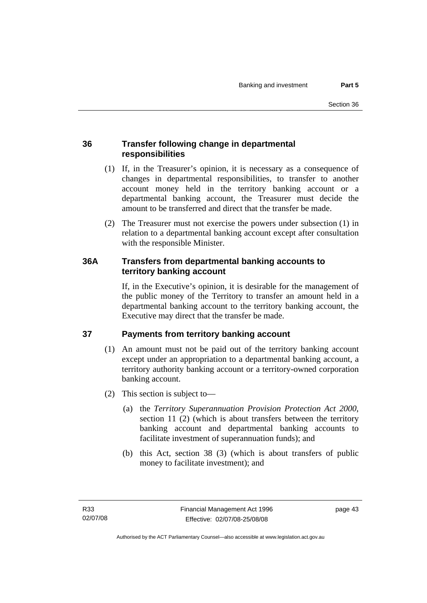# **36 Transfer following change in departmental responsibilities**

- (1) If, in the Treasurer's opinion, it is necessary as a consequence of changes in departmental responsibilities, to transfer to another account money held in the territory banking account or a departmental banking account, the Treasurer must decide the amount to be transferred and direct that the transfer be made.
- (2) The Treasurer must not exercise the powers under subsection (1) in relation to a departmental banking account except after consultation with the responsible Minister.

# **36A Transfers from departmental banking accounts to territory banking account**

If, in the Executive's opinion, it is desirable for the management of the public money of the Territory to transfer an amount held in a departmental banking account to the territory banking account, the Executive may direct that the transfer be made.

# **37 Payments from territory banking account**

- (1) An amount must not be paid out of the territory banking account except under an appropriation to a departmental banking account, a territory authority banking account or a territory-owned corporation banking account.
- (2) This section is subject to—
	- (a) the *Territory Superannuation Provision Protection Act 2000*, section 11 (2) (which is about transfers between the territory banking account and departmental banking accounts to facilitate investment of superannuation funds); and
	- (b) this Act, section 38 (3) (which is about transfers of public money to facilitate investment); and

page 43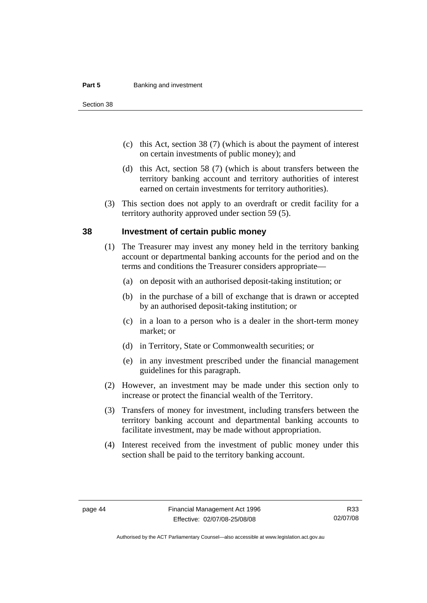#### **Part 5 Banking and investment**

Section 38

- (c) this Act, section 38 (7) (which is about the payment of interest on certain investments of public money); and
- (d) this Act, section 58 (7) (which is about transfers between the territory banking account and territory authorities of interest earned on certain investments for territory authorities).
- (3) This section does not apply to an overdraft or credit facility for a territory authority approved under section 59 (5).

#### **38 Investment of certain public money**

- (1) The Treasurer may invest any money held in the territory banking account or departmental banking accounts for the period and on the terms and conditions the Treasurer considers appropriate—
	- (a) on deposit with an authorised deposit-taking institution; or
	- (b) in the purchase of a bill of exchange that is drawn or accepted by an authorised deposit-taking institution; or
	- (c) in a loan to a person who is a dealer in the short-term money market; or
	- (d) in Territory, State or Commonwealth securities; or
	- (e) in any investment prescribed under the financial management guidelines for this paragraph.
- (2) However, an investment may be made under this section only to increase or protect the financial wealth of the Territory.
- (3) Transfers of money for investment, including transfers between the territory banking account and departmental banking accounts to facilitate investment, may be made without appropriation.
- (4) Interest received from the investment of public money under this section shall be paid to the territory banking account.

Authorised by the ACT Parliamentary Counsel—also accessible at www.legislation.act.gov.au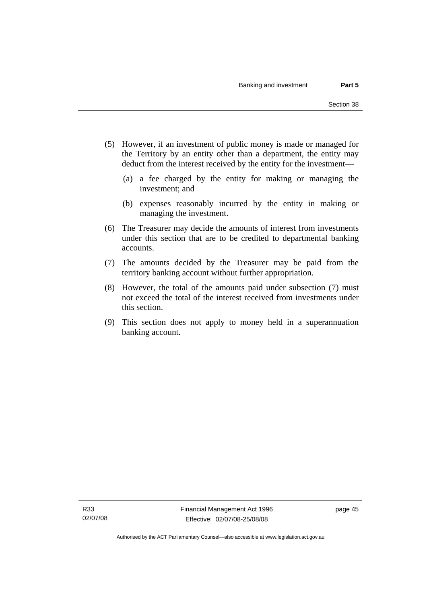- (5) However, if an investment of public money is made or managed for the Territory by an entity other than a department, the entity may deduct from the interest received by the entity for the investment—
	- (a) a fee charged by the entity for making or managing the investment; and
	- (b) expenses reasonably incurred by the entity in making or managing the investment.
- (6) The Treasurer may decide the amounts of interest from investments under this section that are to be credited to departmental banking accounts.
- (7) The amounts decided by the Treasurer may be paid from the territory banking account without further appropriation.
- (8) However, the total of the amounts paid under subsection (7) must not exceed the total of the interest received from investments under this section.
- (9) This section does not apply to money held in a superannuation banking account.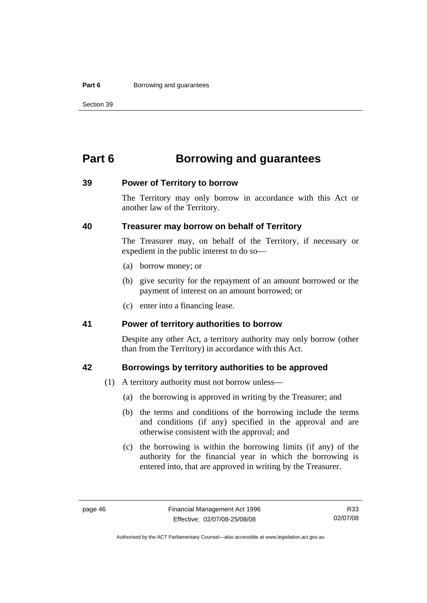#### **Part 6 Borrowing and guarantees**

Section 39

# **Part 6 Borrowing and guarantees**

#### **39 Power of Territory to borrow**

The Territory may only borrow in accordance with this Act or another law of the Territory.

### **40 Treasurer may borrow on behalf of Territory**

The Treasurer may, on behalf of the Territory, if necessary or expedient in the public interest to do so—

- (a) borrow money; or
- (b) give security for the repayment of an amount borrowed or the payment of interest on an amount borrowed; or
- (c) enter into a financing lease.

#### **41 Power of territory authorities to borrow**

Despite any other Act, a territory authority may only borrow (other than from the Territory) in accordance with this Act.

#### **42 Borrowings by territory authorities to be approved**

- (1) A territory authority must not borrow unless—
	- (a) the borrowing is approved in writing by the Treasurer; and
	- (b) the terms and conditions of the borrowing include the terms and conditions (if any) specified in the approval and are otherwise consistent with the approval; and
	- (c) the borrowing is within the borrowing limits (if any) of the authority for the financial year in which the borrowing is entered into, that are approved in writing by the Treasurer.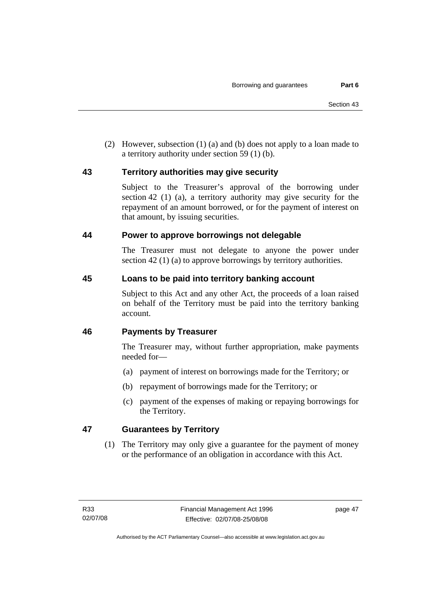(2) However, subsection (1) (a) and (b) does not apply to a loan made to a territory authority under section 59 (1) (b).

# **43 Territory authorities may give security**

Subject to the Treasurer's approval of the borrowing under section 42 (1) (a), a territory authority may give security for the repayment of an amount borrowed, or for the payment of interest on that amount, by issuing securities.

### **44 Power to approve borrowings not delegable**

The Treasurer must not delegate to anyone the power under section 42 (1) (a) to approve borrowings by territory authorities.

# **45 Loans to be paid into territory banking account**

Subject to this Act and any other Act, the proceeds of a loan raised on behalf of the Territory must be paid into the territory banking account.

# **46 Payments by Treasurer**

The Treasurer may, without further appropriation, make payments needed for—

- (a) payment of interest on borrowings made for the Territory; or
- (b) repayment of borrowings made for the Territory; or
- (c) payment of the expenses of making or repaying borrowings for the Territory.

# **47 Guarantees by Territory**

 (1) The Territory may only give a guarantee for the payment of money or the performance of an obligation in accordance with this Act.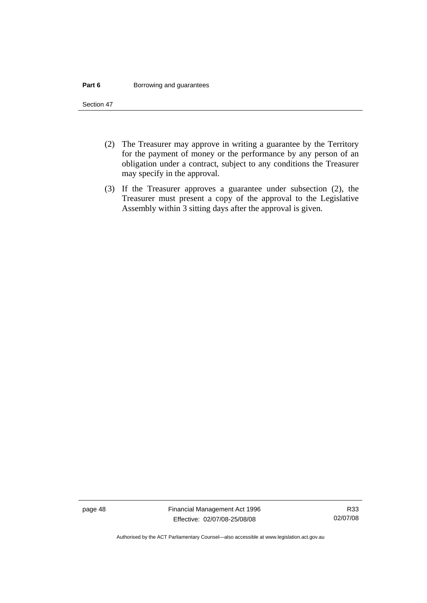#### **Part 6 Borrowing and guarantees**

Section 47

- (2) The Treasurer may approve in writing a guarantee by the Territory for the payment of money or the performance by any person of an obligation under a contract, subject to any conditions the Treasurer may specify in the approval.
- (3) If the Treasurer approves a guarantee under subsection (2), the Treasurer must present a copy of the approval to the Legislative Assembly within 3 sitting days after the approval is given.

page 48 Financial Management Act 1996 Effective: 02/07/08-25/08/08

Authorised by the ACT Parliamentary Counsel—also accessible at www.legislation.act.gov.au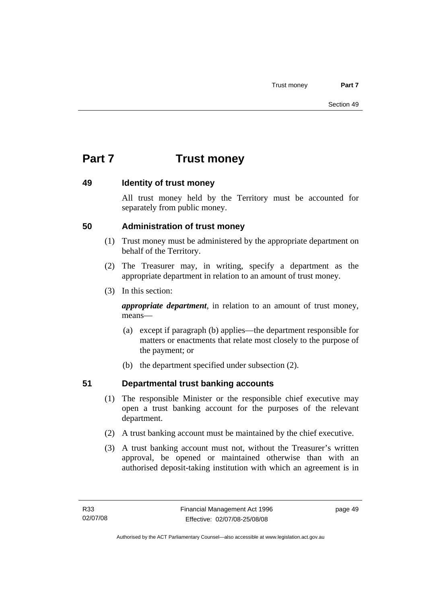# **Part 7 Trust money**

### **49 Identity of trust money**

All trust money held by the Territory must be accounted for separately from public money.

# **50 Administration of trust money**

- (1) Trust money must be administered by the appropriate department on behalf of the Territory.
- (2) The Treasurer may, in writing, specify a department as the appropriate department in relation to an amount of trust money.
- (3) In this section:

*appropriate department*, in relation to an amount of trust money, means—

- (a) except if paragraph (b) applies—the department responsible for matters or enactments that relate most closely to the purpose of the payment; or
- (b) the department specified under subsection (2).

# **51 Departmental trust banking accounts**

- (1) The responsible Minister or the responsible chief executive may open a trust banking account for the purposes of the relevant department.
- (2) A trust banking account must be maintained by the chief executive.
- (3) A trust banking account must not, without the Treasurer's written approval, be opened or maintained otherwise than with an authorised deposit-taking institution with which an agreement is in

page 49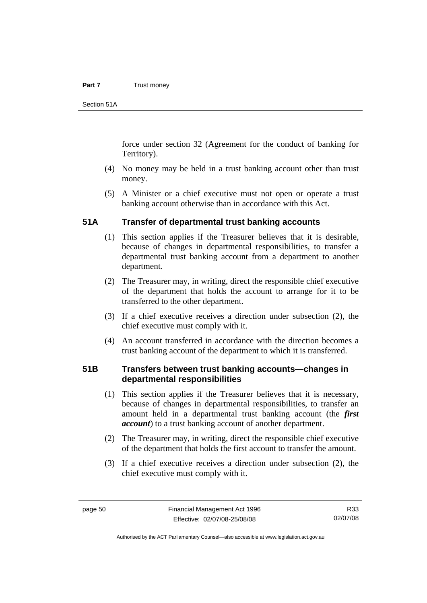#### **Part 7** Trust money

Section 51A

force under section 32 (Agreement for the conduct of banking for Territory).

- (4) No money may be held in a trust banking account other than trust money.
- (5) A Minister or a chief executive must not open or operate a trust banking account otherwise than in accordance with this Act.

#### **51A Transfer of departmental trust banking accounts**

- (1) This section applies if the Treasurer believes that it is desirable, because of changes in departmental responsibilities, to transfer a departmental trust banking account from a department to another department.
- (2) The Treasurer may, in writing, direct the responsible chief executive of the department that holds the account to arrange for it to be transferred to the other department.
- (3) If a chief executive receives a direction under subsection (2), the chief executive must comply with it.
- (4) An account transferred in accordance with the direction becomes a trust banking account of the department to which it is transferred.

#### **51B Transfers between trust banking accounts—changes in departmental responsibilities**

- (1) This section applies if the Treasurer believes that it is necessary, because of changes in departmental responsibilities, to transfer an amount held in a departmental trust banking account (the *first account*) to a trust banking account of another department.
- (2) The Treasurer may, in writing, direct the responsible chief executive of the department that holds the first account to transfer the amount.
- (3) If a chief executive receives a direction under subsection (2), the chief executive must comply with it.

R33 02/07/08

Authorised by the ACT Parliamentary Counsel—also accessible at www.legislation.act.gov.au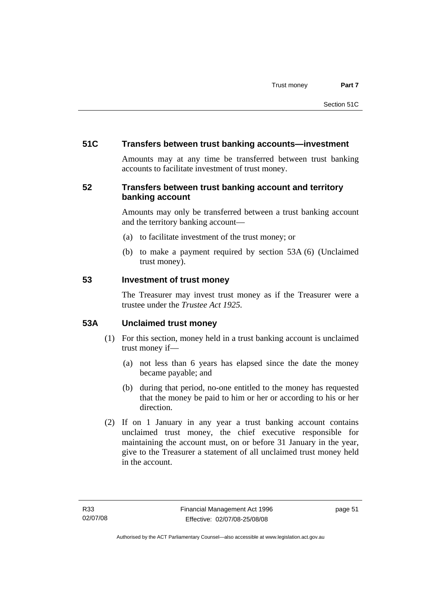## **51C Transfers between trust banking accounts—investment**

Amounts may at any time be transferred between trust banking accounts to facilitate investment of trust money.

# **52 Transfers between trust banking account and territory banking account**

Amounts may only be transferred between a trust banking account and the territory banking account—

- (a) to facilitate investment of the trust money; or
- (b) to make a payment required by section 53A (6) (Unclaimed trust money).

#### **53 Investment of trust money**

The Treasurer may invest trust money as if the Treasurer were a trustee under the *Trustee Act 1925.*

# **53A Unclaimed trust money**

- (1) For this section, money held in a trust banking account is unclaimed trust money if—
	- (a) not less than 6 years has elapsed since the date the money became payable; and
	- (b) during that period, no-one entitled to the money has requested that the money be paid to him or her or according to his or her direction.
- (2) If on 1 January in any year a trust banking account contains unclaimed trust money, the chief executive responsible for maintaining the account must, on or before 31 January in the year, give to the Treasurer a statement of all unclaimed trust money held in the account.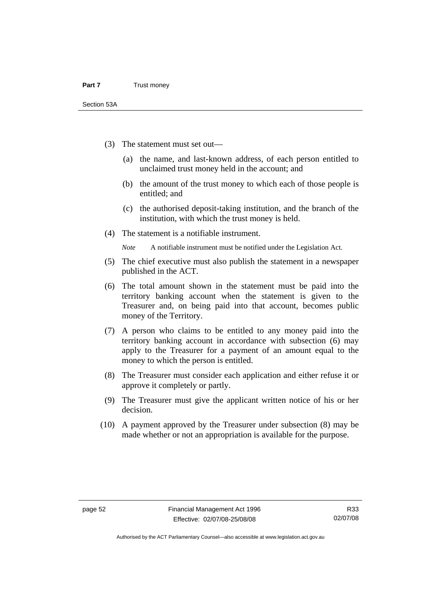- (3) The statement must set out—
	- (a) the name, and last-known address, of each person entitled to unclaimed trust money held in the account; and
	- (b) the amount of the trust money to which each of those people is entitled; and
	- (c) the authorised deposit-taking institution, and the branch of the institution, with which the trust money is held.
- (4) The statement is a notifiable instrument.

*Note* A notifiable instrument must be notified under the Legislation Act.

- (5) The chief executive must also publish the statement in a newspaper published in the ACT.
- (6) The total amount shown in the statement must be paid into the territory banking account when the statement is given to the Treasurer and, on being paid into that account, becomes public money of the Territory.
- (7) A person who claims to be entitled to any money paid into the territory banking account in accordance with subsection (6) may apply to the Treasurer for a payment of an amount equal to the money to which the person is entitled.
- (8) The Treasurer must consider each application and either refuse it or approve it completely or partly.
- (9) The Treasurer must give the applicant written notice of his or her decision.
- (10) A payment approved by the Treasurer under subsection (8) may be made whether or not an appropriation is available for the purpose.

Authorised by the ACT Parliamentary Counsel—also accessible at www.legislation.act.gov.au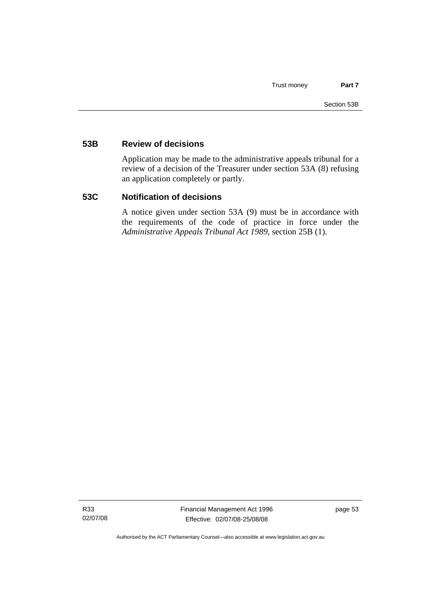#### **53B Review of decisions**

Application may be made to the administrative appeals tribunal for a review of a decision of the Treasurer under section 53A (8) refusing an application completely or partly.

#### **53C Notification of decisions**

A notice given under section 53A (9) must be in accordance with the requirements of the code of practice in force under the *Administrative Appeals Tribunal Act 1989*, section 25B (1).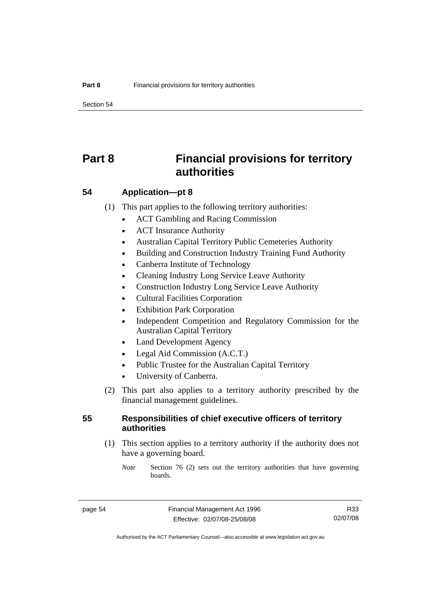Section 54

# **Part 8 Financial provisions for territory authorities**

#### **54 Application—pt 8**

(1) This part applies to the following territory authorities:

- ACT Gambling and Racing Commission
- ACT Insurance Authority
- Australian Capital Territory Public Cemeteries Authority
- Building and Construction Industry Training Fund Authority
- Canberra Institute of Technology
- Cleaning Industry Long Service Leave Authority
- Construction Industry Long Service Leave Authority
- Cultural Facilities Corporation
- Exhibition Park Corporation
- Independent Competition and Regulatory Commission for the Australian Capital Territory
- Land Development Agency
- Legal Aid Commission (A.C.T.)
- Public Trustee for the Australian Capital Territory
- University of Canberra.
- (2) This part also applies to a territory authority prescribed by the financial management guidelines.

#### **55 Responsibilities of chief executive officers of territory authorities**

- (1) This section applies to a territory authority if the authority does not have a governing board.
	- *Note* Section 76 (2) sets out the territory authorities that have governing boards.

R33 02/07/08

Authorised by the ACT Parliamentary Counsel—also accessible at www.legislation.act.gov.au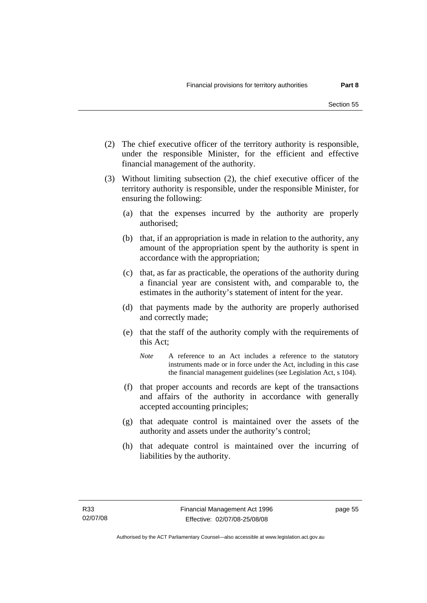- (2) The chief executive officer of the territory authority is responsible, under the responsible Minister, for the efficient and effective financial management of the authority.
- (3) Without limiting subsection (2), the chief executive officer of the territory authority is responsible, under the responsible Minister, for ensuring the following:
	- (a) that the expenses incurred by the authority are properly authorised;
	- (b) that, if an appropriation is made in relation to the authority, any amount of the appropriation spent by the authority is spent in accordance with the appropriation;
	- (c) that, as far as practicable, the operations of the authority during a financial year are consistent with, and comparable to, the estimates in the authority's statement of intent for the year.
	- (d) that payments made by the authority are properly authorised and correctly made;
	- (e) that the staff of the authority comply with the requirements of this Act;
		- *Note* A reference to an Act includes a reference to the statutory instruments made or in force under the Act, including in this case the financial management guidelines (see Legislation Act, s 104).
	- (f) that proper accounts and records are kept of the transactions and affairs of the authority in accordance with generally accepted accounting principles;
	- (g) that adequate control is maintained over the assets of the authority and assets under the authority's control;
	- (h) that adequate control is maintained over the incurring of liabilities by the authority.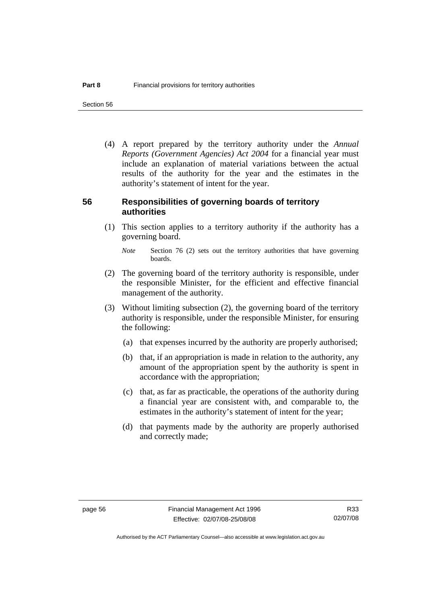Section 56

 (4) A report prepared by the territory authority under the *Annual Reports (Government Agencies) Act 2004* for a financial year must include an explanation of material variations between the actual results of the authority for the year and the estimates in the authority's statement of intent for the year.

#### **56 Responsibilities of governing boards of territory authorities**

 (1) This section applies to a territory authority if the authority has a governing board.

- (2) The governing board of the territory authority is responsible, under the responsible Minister, for the efficient and effective financial management of the authority.
- (3) Without limiting subsection (2), the governing board of the territory authority is responsible, under the responsible Minister, for ensuring the following:
	- (a) that expenses incurred by the authority are properly authorised;
	- (b) that, if an appropriation is made in relation to the authority, any amount of the appropriation spent by the authority is spent in accordance with the appropriation;
	- (c) that, as far as practicable, the operations of the authority during a financial year are consistent with, and comparable to, the estimates in the authority's statement of intent for the year;
	- (d) that payments made by the authority are properly authorised and correctly made;

*Note* Section 76 (2) sets out the territory authorities that have governing boards.

R33 02/07/08

Authorised by the ACT Parliamentary Counsel—also accessible at www.legislation.act.gov.au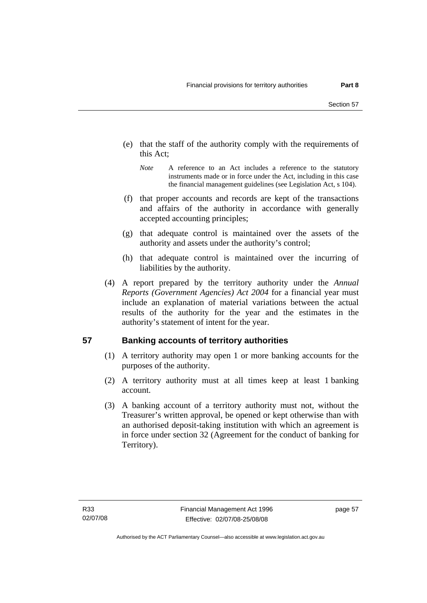- (e) that the staff of the authority comply with the requirements of this Act;
	- *Note* A reference to an Act includes a reference to the statutory instruments made or in force under the Act, including in this case the financial management guidelines (see Legislation Act, s 104).
- (f) that proper accounts and records are kept of the transactions and affairs of the authority in accordance with generally accepted accounting principles;
- (g) that adequate control is maintained over the assets of the authority and assets under the authority's control;
- (h) that adequate control is maintained over the incurring of liabilities by the authority.
- (4) A report prepared by the territory authority under the *Annual Reports (Government Agencies) Act 2004* for a financial year must include an explanation of material variations between the actual results of the authority for the year and the estimates in the authority's statement of intent for the year.

# **57 Banking accounts of territory authorities**

- (1) A territory authority may open 1 or more banking accounts for the purposes of the authority.
- (2) A territory authority must at all times keep at least 1 banking account.
- (3) A banking account of a territory authority must not, without the Treasurer's written approval, be opened or kept otherwise than with an authorised deposit-taking institution with which an agreement is in force under section 32 (Agreement for the conduct of banking for Territory).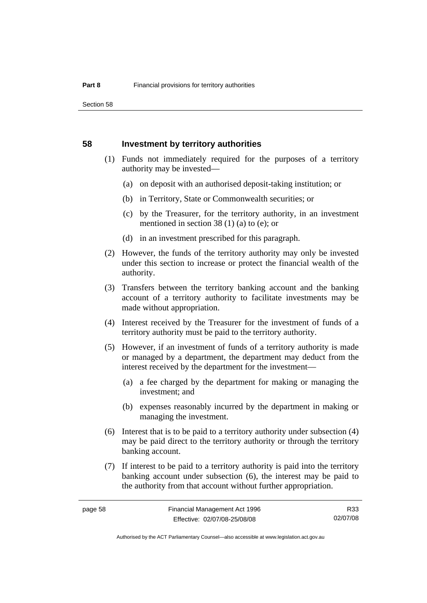#### **58 Investment by territory authorities**

- (1) Funds not immediately required for the purposes of a territory authority may be invested—
	- (a) on deposit with an authorised deposit-taking institution; or
	- (b) in Territory, State or Commonwealth securities; or
	- (c) by the Treasurer, for the territory authority, in an investment mentioned in section 38 (1) (a) to (e); or
	- (d) in an investment prescribed for this paragraph.
- (2) However, the funds of the territory authority may only be invested under this section to increase or protect the financial wealth of the authority.
- (3) Transfers between the territory banking account and the banking account of a territory authority to facilitate investments may be made without appropriation.
- (4) Interest received by the Treasurer for the investment of funds of a territory authority must be paid to the territory authority.
- (5) However, if an investment of funds of a territory authority is made or managed by a department, the department may deduct from the interest received by the department for the investment—
	- (a) a fee charged by the department for making or managing the investment; and
	- (b) expenses reasonably incurred by the department in making or managing the investment.
- (6) Interest that is to be paid to a territory authority under subsection (4) may be paid direct to the territory authority or through the territory banking account.
- (7) If interest to be paid to a territory authority is paid into the territory banking account under subsection (6), the interest may be paid to the authority from that account without further appropriation.

R33 02/07/08

Authorised by the ACT Parliamentary Counsel—also accessible at www.legislation.act.gov.au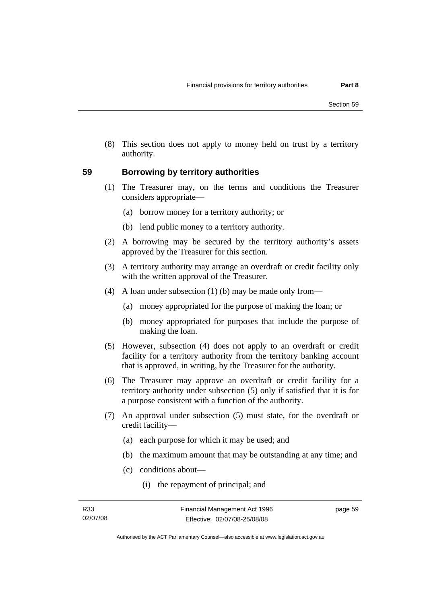(8) This section does not apply to money held on trust by a territory authority.

### **59 Borrowing by territory authorities**

- (1) The Treasurer may, on the terms and conditions the Treasurer considers appropriate—
	- (a) borrow money for a territory authority; or
	- (b) lend public money to a territory authority.
- (2) A borrowing may be secured by the territory authority's assets approved by the Treasurer for this section.
- (3) A territory authority may arrange an overdraft or credit facility only with the written approval of the Treasurer.
- (4) A loan under subsection (1) (b) may be made only from—
	- (a) money appropriated for the purpose of making the loan; or
	- (b) money appropriated for purposes that include the purpose of making the loan.
- (5) However, subsection (4) does not apply to an overdraft or credit facility for a territory authority from the territory banking account that is approved, in writing, by the Treasurer for the authority.
- (6) The Treasurer may approve an overdraft or credit facility for a territory authority under subsection (5) only if satisfied that it is for a purpose consistent with a function of the authority.
- (7) An approval under subsection (5) must state, for the overdraft or credit facility—
	- (a) each purpose for which it may be used; and
	- (b) the maximum amount that may be outstanding at any time; and
	- (c) conditions about—
		- (i) the repayment of principal; and

page 59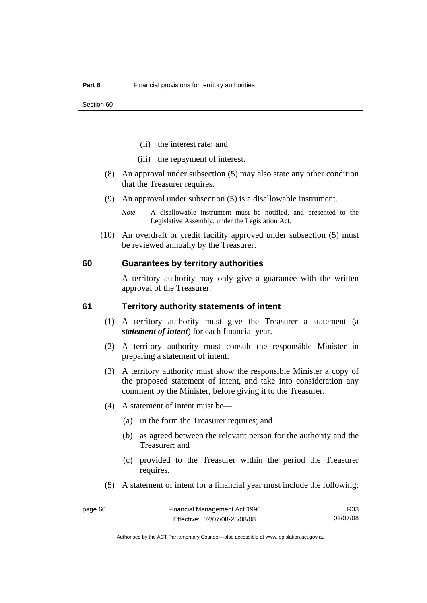- (ii) the interest rate; and
- (iii) the repayment of interest.
- (8) An approval under subsection (5) may also state any other condition that the Treasurer requires.
- (9) An approval under subsection (5) is a disallowable instrument.
	- *Note* A disallowable instrument must be notified, and presented to the Legislative Assembly, under the Legislation Act.
- (10) An overdraft or credit facility approved under subsection (5) must be reviewed annually by the Treasurer.

#### **60 Guarantees by territory authorities**

A territory authority may only give a guarantee with the written approval of the Treasurer.

#### **61 Territory authority statements of intent**

- (1) A territory authority must give the Treasurer a statement (a *statement of intent*) for each financial year.
- (2) A territory authority must consult the responsible Minister in preparing a statement of intent.
- (3) A territory authority must show the responsible Minister a copy of the proposed statement of intent, and take into consideration any comment by the Minister, before giving it to the Treasurer.
- (4) A statement of intent must be—
	- (a) in the form the Treasurer requires; and
	- (b) as agreed between the relevant person for the authority and the Treasurer; and
	- (c) provided to the Treasurer within the period the Treasurer requires.
- (5) A statement of intent for a financial year must include the following:

R33 02/07/08

Authorised by the ACT Parliamentary Counsel—also accessible at www.legislation.act.gov.au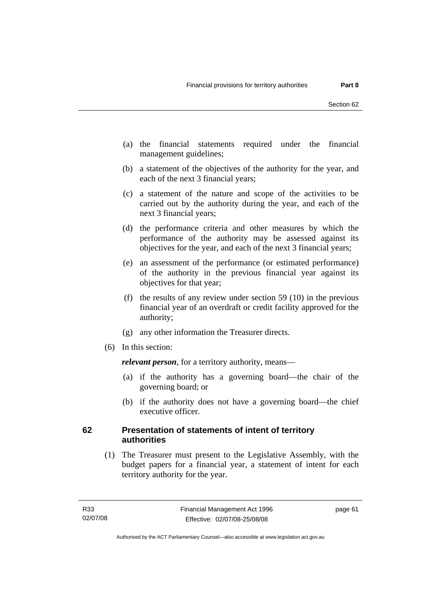- (a) the financial statements required under the financial management guidelines;
- (b) a statement of the objectives of the authority for the year, and each of the next 3 financial years;
- (c) a statement of the nature and scope of the activities to be carried out by the authority during the year, and each of the next 3 financial years;
- (d) the performance criteria and other measures by which the performance of the authority may be assessed against its objectives for the year, and each of the next 3 financial years;
- (e) an assessment of the performance (or estimated performance) of the authority in the previous financial year against its objectives for that year;
- (f) the results of any review under section 59 (10) in the previous financial year of an overdraft or credit facility approved for the authority;
- (g) any other information the Treasurer directs.
- (6) In this section:

*relevant person*, for a territory authority, means—

- (a) if the authority has a governing board—the chair of the governing board; or
- (b) if the authority does not have a governing board—the chief executive officer.

### **62 Presentation of statements of intent of territory authorities**

 (1) The Treasurer must present to the Legislative Assembly, with the budget papers for a financial year, a statement of intent for each territory authority for the year.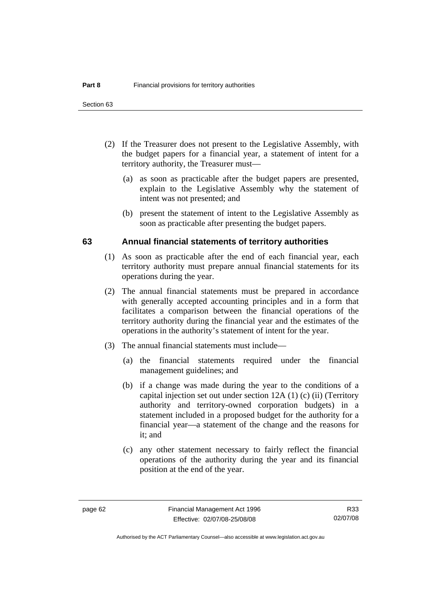- (2) If the Treasurer does not present to the Legislative Assembly, with the budget papers for a financial year, a statement of intent for a territory authority, the Treasurer must—
	- (a) as soon as practicable after the budget papers are presented, explain to the Legislative Assembly why the statement of intent was not presented; and
	- (b) present the statement of intent to the Legislative Assembly as soon as practicable after presenting the budget papers.

#### **63 Annual financial statements of territory authorities**

- (1) As soon as practicable after the end of each financial year, each territory authority must prepare annual financial statements for its operations during the year.
- (2) The annual financial statements must be prepared in accordance with generally accepted accounting principles and in a form that facilitates a comparison between the financial operations of the territory authority during the financial year and the estimates of the operations in the authority's statement of intent for the year.
- (3) The annual financial statements must include—
	- (a) the financial statements required under the financial management guidelines; and
	- (b) if a change was made during the year to the conditions of a capital injection set out under section 12A (1) (c) (ii) (Territory authority and territory-owned corporation budgets) in a statement included in a proposed budget for the authority for a financial year—a statement of the change and the reasons for it; and
	- (c) any other statement necessary to fairly reflect the financial operations of the authority during the year and its financial position at the end of the year.

R33 02/07/08

Authorised by the ACT Parliamentary Counsel—also accessible at www.legislation.act.gov.au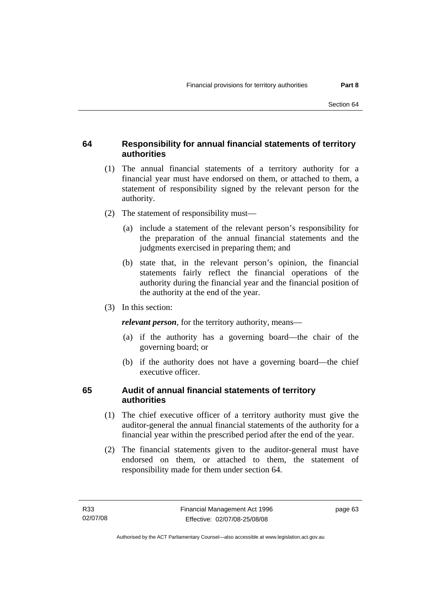# **64 Responsibility for annual financial statements of territory authorities**

- (1) The annual financial statements of a territory authority for a financial year must have endorsed on them, or attached to them, a statement of responsibility signed by the relevant person for the authority.
- (2) The statement of responsibility must—
	- (a) include a statement of the relevant person's responsibility for the preparation of the annual financial statements and the judgments exercised in preparing them; and
	- (b) state that, in the relevant person's opinion, the financial statements fairly reflect the financial operations of the authority during the financial year and the financial position of the authority at the end of the year.
- (3) In this section:

*relevant person*, for the territory authority, means—

- (a) if the authority has a governing board—the chair of the governing board; or
- (b) if the authority does not have a governing board—the chief executive officer.

# **65 Audit of annual financial statements of territory authorities**

- (1) The chief executive officer of a territory authority must give the auditor-general the annual financial statements of the authority for a financial year within the prescribed period after the end of the year.
- (2) The financial statements given to the auditor-general must have endorsed on them, or attached to them, the statement of responsibility made for them under section 64.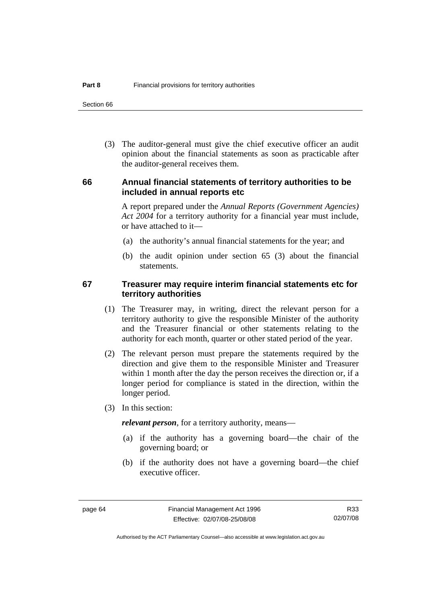Section 66

 (3) The auditor-general must give the chief executive officer an audit opinion about the financial statements as soon as practicable after the auditor-general receives them.

#### **66 Annual financial statements of territory authorities to be included in annual reports etc**

A report prepared under the *Annual Reports (Government Agencies) Act 2004* for a territory authority for a financial year must include, or have attached to it—

- (a) the authority's annual financial statements for the year; and
- (b) the audit opinion under section 65 (3) about the financial statements.

#### **67 Treasurer may require interim financial statements etc for territory authorities**

- (1) The Treasurer may, in writing, direct the relevant person for a territory authority to give the responsible Minister of the authority and the Treasurer financial or other statements relating to the authority for each month, quarter or other stated period of the year.
- (2) The relevant person must prepare the statements required by the direction and give them to the responsible Minister and Treasurer within 1 month after the day the person receives the direction or, if a longer period for compliance is stated in the direction, within the longer period.
- (3) In this section:

*relevant person*, for a territory authority, means—

- (a) if the authority has a governing board—the chair of the governing board; or
- (b) if the authority does not have a governing board—the chief executive officer.

R33 02/07/08

Authorised by the ACT Parliamentary Counsel—also accessible at www.legislation.act.gov.au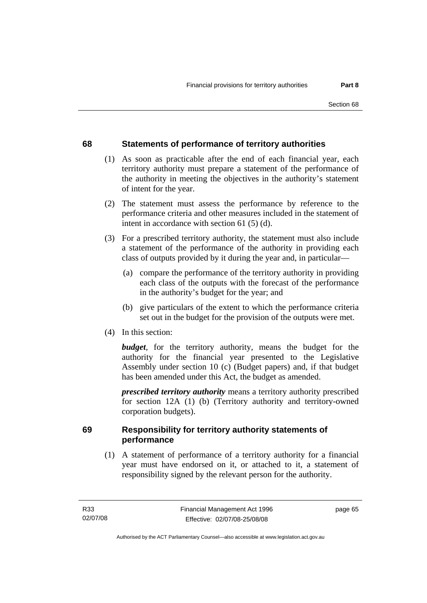# **68 Statements of performance of territory authorities**

- (1) As soon as practicable after the end of each financial year, each territory authority must prepare a statement of the performance of the authority in meeting the objectives in the authority's statement of intent for the year.
- (2) The statement must assess the performance by reference to the performance criteria and other measures included in the statement of intent in accordance with section 61 (5) (d).
- (3) For a prescribed territory authority, the statement must also include a statement of the performance of the authority in providing each class of outputs provided by it during the year and, in particular—
	- (a) compare the performance of the territory authority in providing each class of the outputs with the forecast of the performance in the authority's budget for the year; and
	- (b) give particulars of the extent to which the performance criteria set out in the budget for the provision of the outputs were met.
- (4) In this section:

*budget*, for the territory authority, means the budget for the authority for the financial year presented to the Legislative Assembly under section 10 (c) (Budget papers) and, if that budget has been amended under this Act, the budget as amended.

*prescribed territory authority* means a territory authority prescribed for section 12A (1) (b) (Territory authority and territory-owned corporation budgets).

# **69 Responsibility for territory authority statements of performance**

 (1) A statement of performance of a territory authority for a financial year must have endorsed on it, or attached to it, a statement of responsibility signed by the relevant person for the authority.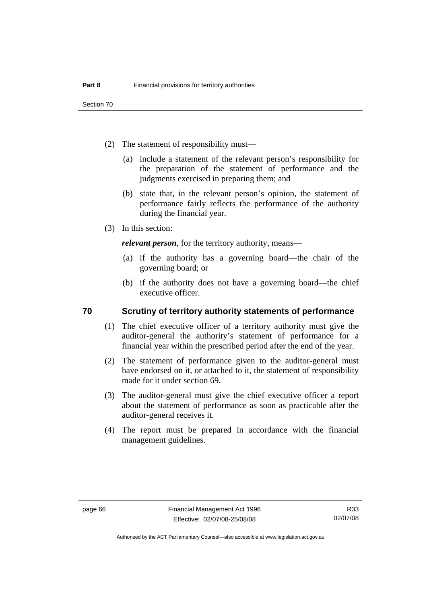Section 70

- (2) The statement of responsibility must—
	- (a) include a statement of the relevant person's responsibility for the preparation of the statement of performance and the judgments exercised in preparing them; and
	- (b) state that, in the relevant person's opinion, the statement of performance fairly reflects the performance of the authority during the financial year.
- (3) In this section:

*relevant person*, for the territory authority, means—

- (a) if the authority has a governing board—the chair of the governing board; or
- (b) if the authority does not have a governing board—the chief executive officer.

#### **70 Scrutiny of territory authority statements of performance**

- (1) The chief executive officer of a territory authority must give the auditor-general the authority's statement of performance for a financial year within the prescribed period after the end of the year.
- (2) The statement of performance given to the auditor-general must have endorsed on it, or attached to it, the statement of responsibility made for it under section 69.
- (3) The auditor-general must give the chief executive officer a report about the statement of performance as soon as practicable after the auditor-general receives it.
- (4) The report must be prepared in accordance with the financial management guidelines.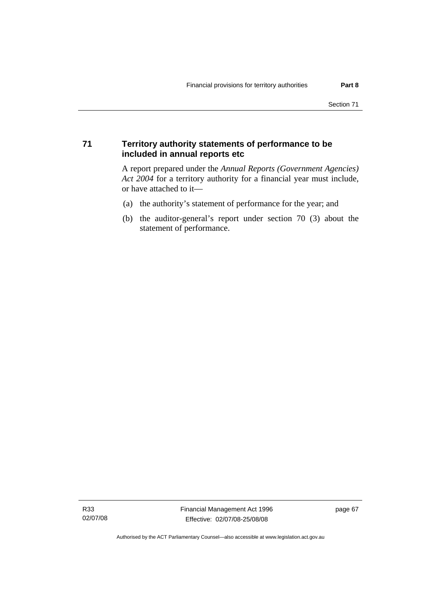#### **71 Territory authority statements of performance to be included in annual reports etc**

A report prepared under the *Annual Reports (Government Agencies) Act 2004* for a territory authority for a financial year must include, or have attached to it—

- (a) the authority's statement of performance for the year; and
- (b) the auditor-general's report under section 70 (3) about the statement of performance.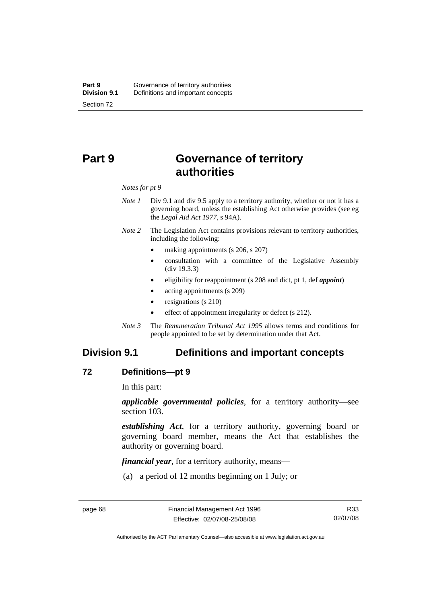# **Part 9 Governance of territory authorities**

*Notes for pt 9* 

- *Note 1* Div 9.1 and div 9.5 apply to a territory authority, whether or not it has a governing board, unless the establishing Act otherwise provides (see eg the *Legal Aid Act 1977*, s 94A).
- *Note 2* The Legislation Act contains provisions relevant to territory authorities, including the following:
	- making appointments (s 206, s 207)
	- consultation with a committee of the Legislative Assembly (div 19.3.3)
	- eligibility for reappointment (s 208 and dict, pt 1, def *appoint*)
	- acting appointments (s 209)
	- resignations (s 210)
	- effect of appointment irregularity or defect (s 212).
- *Note 3* The *Remuneration Tribunal Act 1995* allows terms and conditions for people appointed to be set by determination under that Act.

# **Division 9.1 Definitions and important concepts**

#### **72 Definitions—pt 9**

In this part:

*applicable governmental policies*, for a territory authority—see section 103.

*establishing Act*, for a territory authority, governing board or governing board member, means the Act that establishes the authority or governing board.

*financial year*, for a territory authority, means—

(a) a period of 12 months beginning on 1 July; or

R33 02/07/08

Authorised by the ACT Parliamentary Counsel—also accessible at www.legislation.act.gov.au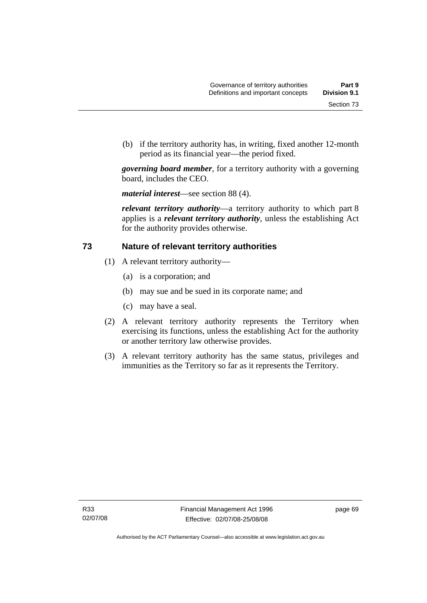(b) if the territory authority has, in writing, fixed another 12-month period as its financial year—the period fixed.

*governing board member*, for a territory authority with a governing board, includes the CEO.

*material interest*—see section 88 (4).

*relevant territory authority*—a territory authority to which part 8 applies is a *relevant territory authority*, unless the establishing Act for the authority provides otherwise.

#### **73 Nature of relevant territory authorities**

- (1) A relevant territory authority—
	- (a) is a corporation; and
	- (b) may sue and be sued in its corporate name; and
	- (c) may have a seal.
- (2) A relevant territory authority represents the Territory when exercising its functions, unless the establishing Act for the authority or another territory law otherwise provides.
- (3) A relevant territory authority has the same status, privileges and immunities as the Territory so far as it represents the Territory.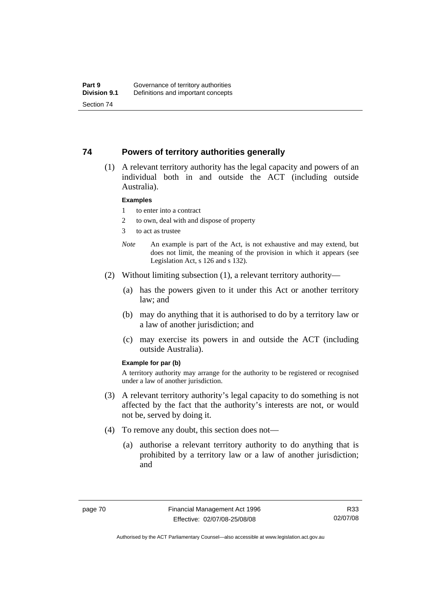#### **74 Powers of territory authorities generally**

 (1) A relevant territory authority has the legal capacity and powers of an individual both in and outside the ACT (including outside Australia).

#### **Examples**

- 1 to enter into a contract
- 2 to own, deal with and dispose of property
- 3 to act as trustee
- *Note* An example is part of the Act, is not exhaustive and may extend, but does not limit, the meaning of the provision in which it appears (see Legislation Act, s 126 and s 132).
- (2) Without limiting subsection (1), a relevant territory authority—
	- (a) has the powers given to it under this Act or another territory law; and
	- (b) may do anything that it is authorised to do by a territory law or a law of another jurisdiction; and
	- (c) may exercise its powers in and outside the ACT (including outside Australia).

#### **Example for par (b)**

A territory authority may arrange for the authority to be registered or recognised under a law of another jurisdiction.

- (3) A relevant territory authority's legal capacity to do something is not affected by the fact that the authority's interests are not, or would not be, served by doing it.
- (4) To remove any doubt, this section does not—
	- (a) authorise a relevant territory authority to do anything that is prohibited by a territory law or a law of another jurisdiction; and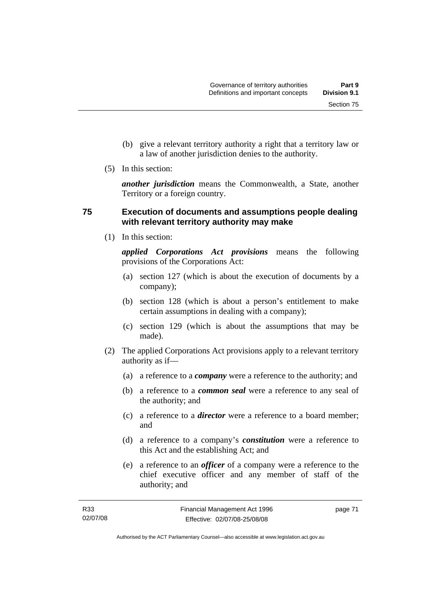Section 75

- (b) give a relevant territory authority a right that a territory law or a law of another jurisdiction denies to the authority.
- (5) In this section:

*another jurisdiction* means the Commonwealth, a State, another Territory or a foreign country.

# **75 Execution of documents and assumptions people dealing with relevant territory authority may make**

(1) In this section:

*applied Corporations Act provisions* means the following provisions of the Corporations Act:

- (a) section 127 (which is about the execution of documents by a company);
- (b) section 128 (which is about a person's entitlement to make certain assumptions in dealing with a company);
- (c) section 129 (which is about the assumptions that may be made).
- (2) The applied Corporations Act provisions apply to a relevant territory authority as if—
	- (a) a reference to a *company* were a reference to the authority; and
	- (b) a reference to a *common seal* were a reference to any seal of the authority; and
	- (c) a reference to a *director* were a reference to a board member; and
	- (d) a reference to a company's *constitution* were a reference to this Act and the establishing Act; and
	- (e) a reference to an *officer* of a company were a reference to the chief executive officer and any member of staff of the authority; and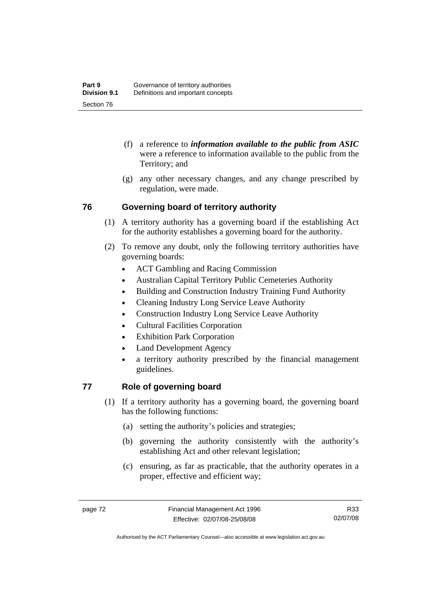- (f) a reference to *information available to the public from ASIC*  were a reference to information available to the public from the Territory; and
- (g) any other necessary changes, and any change prescribed by regulation, were made.

# **76 Governing board of territory authority**

- (1) A territory authority has a governing board if the establishing Act for the authority establishes a governing board for the authority.
- (2) To remove any doubt, only the following territory authorities have governing boards:
	- ACT Gambling and Racing Commission
	- Australian Capital Territory Public Cemeteries Authority
	- Building and Construction Industry Training Fund Authority
	- Cleaning Industry Long Service Leave Authority
	- Construction Industry Long Service Leave Authority
	- Cultural Facilities Corporation
	- **Exhibition Park Corporation**
	- Land Development Agency
	- a territory authority prescribed by the financial management guidelines.

# **77 Role of governing board**

- (1) If a territory authority has a governing board, the governing board has the following functions:
	- (a) setting the authority's policies and strategies;
	- (b) governing the authority consistently with the authority's establishing Act and other relevant legislation;
	- (c) ensuring, as far as practicable, that the authority operates in a proper, effective and efficient way;

R33 02/07/08

Authorised by the ACT Parliamentary Counsel—also accessible at www.legislation.act.gov.au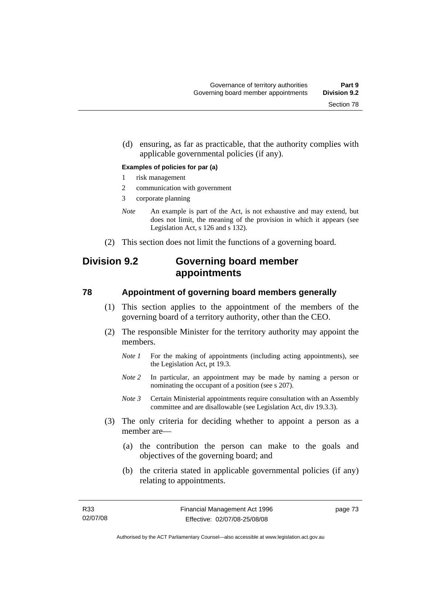(d) ensuring, as far as practicable, that the authority complies with applicable governmental policies (if any).

#### **Examples of policies for par (a)**

- 1 risk management
- 2 communication with government
- 3 corporate planning
- *Note* An example is part of the Act, is not exhaustive and may extend, but does not limit, the meaning of the provision in which it appears (see Legislation Act, s 126 and s 132).
- (2) This section does not limit the functions of a governing board.

# **Division 9.2 Governing board member appointments**

#### **78 Appointment of governing board members generally**

- (1) This section applies to the appointment of the members of the governing board of a territory authority, other than the CEO.
- (2) The responsible Minister for the territory authority may appoint the members.
	- *Note 1* For the making of appointments (including acting appointments), see the Legislation Act, pt 19.3.
	- *Note 2* In particular, an appointment may be made by naming a person or nominating the occupant of a position (see s 207).
	- *Note 3* Certain Ministerial appointments require consultation with an Assembly committee and are disallowable (see Legislation Act, div 19.3.3).
- (3) The only criteria for deciding whether to appoint a person as a member are—
	- (a) the contribution the person can make to the goals and objectives of the governing board; and
	- (b) the criteria stated in applicable governmental policies (if any) relating to appointments.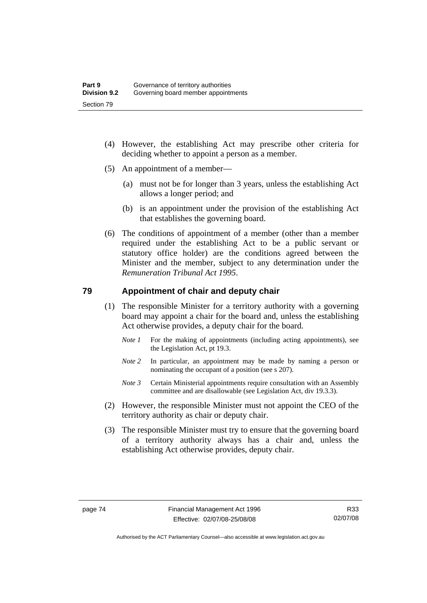- (4) However, the establishing Act may prescribe other criteria for deciding whether to appoint a person as a member.
- (5) An appointment of a member—
	- (a) must not be for longer than 3 years, unless the establishing Act allows a longer period; and
	- (b) is an appointment under the provision of the establishing Act that establishes the governing board.
- (6) The conditions of appointment of a member (other than a member required under the establishing Act to be a public servant or statutory office holder) are the conditions agreed between the Minister and the member, subject to any determination under the *Remuneration Tribunal Act 1995*.

#### **79 Appointment of chair and deputy chair**

- (1) The responsible Minister for a territory authority with a governing board may appoint a chair for the board and, unless the establishing Act otherwise provides, a deputy chair for the board.
	- *Note 1* For the making of appointments (including acting appointments), see the Legislation Act, pt 19.3.
	- *Note 2* In particular, an appointment may be made by naming a person or nominating the occupant of a position (see s 207).
	- *Note 3* Certain Ministerial appointments require consultation with an Assembly committee and are disallowable (see Legislation Act, div 19.3.3).
- (2) However, the responsible Minister must not appoint the CEO of the territory authority as chair or deputy chair.
- (3) The responsible Minister must try to ensure that the governing board of a territory authority always has a chair and, unless the establishing Act otherwise provides, deputy chair.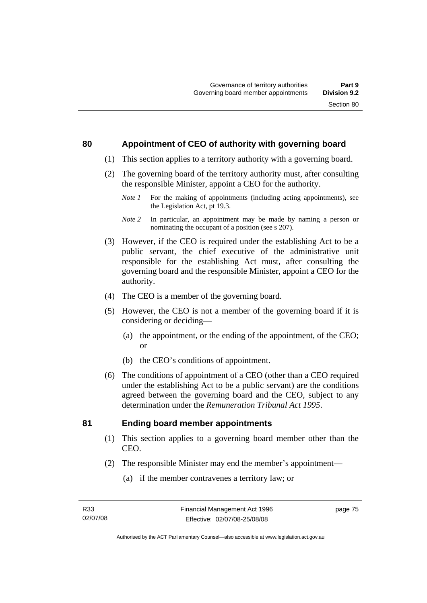#### **80 Appointment of CEO of authority with governing board**

- (1) This section applies to a territory authority with a governing board.
- (2) The governing board of the territory authority must, after consulting the responsible Minister, appoint a CEO for the authority.
	- *Note 1* For the making of appointments (including acting appointments), see the Legislation Act, pt 19.3.
	- *Note 2* In particular, an appointment may be made by naming a person or nominating the occupant of a position (see s 207).
- (3) However, if the CEO is required under the establishing Act to be a public servant, the chief executive of the administrative unit responsible for the establishing Act must, after consulting the governing board and the responsible Minister, appoint a CEO for the authority.
- (4) The CEO is a member of the governing board.
- (5) However, the CEO is not a member of the governing board if it is considering or deciding—
	- (a) the appointment, or the ending of the appointment, of the CEO; or
	- (b) the CEO's conditions of appointment.
- (6) The conditions of appointment of a CEO (other than a CEO required under the establishing Act to be a public servant) are the conditions agreed between the governing board and the CEO, subject to any determination under the *Remuneration Tribunal Act 1995*.

#### **81 Ending board member appointments**

- (1) This section applies to a governing board member other than the CEO.
- (2) The responsible Minister may end the member's appointment—
	- (a) if the member contravenes a territory law; or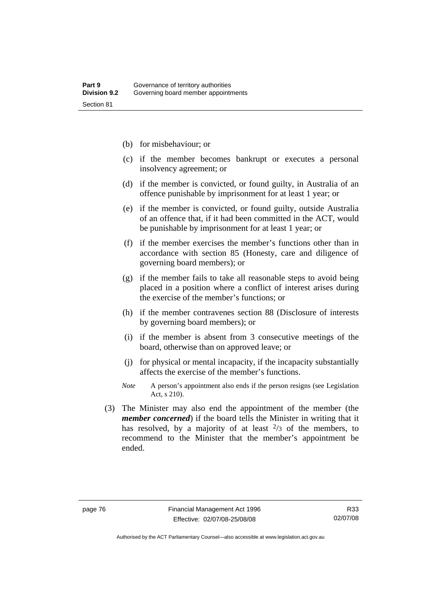- (b) for misbehaviour; or
- (c) if the member becomes bankrupt or executes a personal insolvency agreement; or
- (d) if the member is convicted, or found guilty, in Australia of an offence punishable by imprisonment for at least 1 year; or
- (e) if the member is convicted, or found guilty, outside Australia of an offence that, if it had been committed in the ACT, would be punishable by imprisonment for at least 1 year; or
- (f) if the member exercises the member's functions other than in accordance with section 85 (Honesty, care and diligence of governing board members); or
- (g) if the member fails to take all reasonable steps to avoid being placed in a position where a conflict of interest arises during the exercise of the member's functions; or
- (h) if the member contravenes section 88 (Disclosure of interests by governing board members); or
- (i) if the member is absent from 3 consecutive meetings of the board, otherwise than on approved leave; or
- (j) for physical or mental incapacity, if the incapacity substantially affects the exercise of the member's functions.
- *Note* A person's appointment also ends if the person resigns (see Legislation Act, s 210).
- (3) The Minister may also end the appointment of the member (the *member concerned*) if the board tells the Minister in writing that it has resolved, by a majority of at least  $\frac{2}{3}$  of the members, to recommend to the Minister that the member's appointment be ended.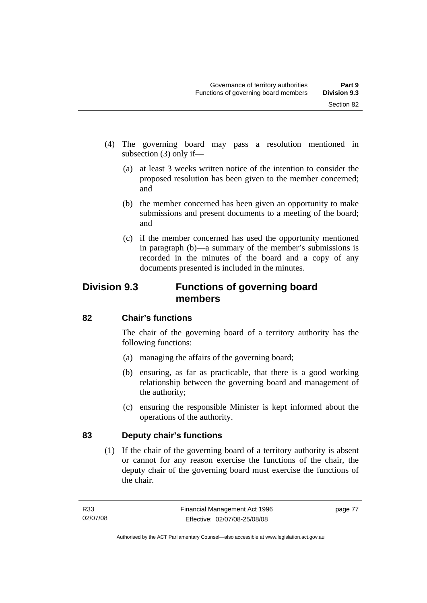- (4) The governing board may pass a resolution mentioned in subsection (3) only if—
	- (a) at least 3 weeks written notice of the intention to consider the proposed resolution has been given to the member concerned; and
	- (b) the member concerned has been given an opportunity to make submissions and present documents to a meeting of the board; and
	- (c) if the member concerned has used the opportunity mentioned in paragraph (b)—a summary of the member's submissions is recorded in the minutes of the board and a copy of any documents presented is included in the minutes.

# **Division 9.3 Functions of governing board members**

# **82 Chair's functions**

The chair of the governing board of a territory authority has the following functions:

- (a) managing the affairs of the governing board;
- (b) ensuring, as far as practicable, that there is a good working relationship between the governing board and management of the authority;
- (c) ensuring the responsible Minister is kept informed about the operations of the authority.

# **83 Deputy chair's functions**

 (1) If the chair of the governing board of a territory authority is absent or cannot for any reason exercise the functions of the chair, the deputy chair of the governing board must exercise the functions of the chair.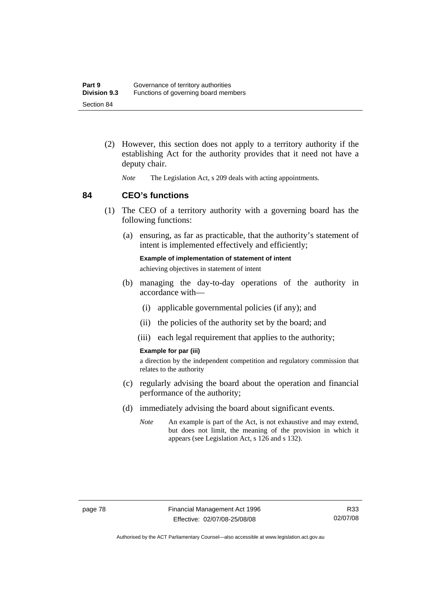- (2) However, this section does not apply to a territory authority if the establishing Act for the authority provides that it need not have a deputy chair.
	- *Note* The Legislation Act, s 209 deals with acting appointments.

#### **84 CEO's functions**

- (1) The CEO of a territory authority with a governing board has the following functions:
	- (a) ensuring, as far as practicable, that the authority's statement of intent is implemented effectively and efficiently;

**Example of implementation of statement of intent**  achieving objectives in statement of intent

- (b) managing the day-to-day operations of the authority in accordance with—
	- (i) applicable governmental policies (if any); and
	- (ii) the policies of the authority set by the board; and
	- (iii) each legal requirement that applies to the authority;

#### **Example for par (iii)**

a direction by the independent competition and regulatory commission that relates to the authority

- (c) regularly advising the board about the operation and financial performance of the authority;
- (d) immediately advising the board about significant events.
	- *Note* An example is part of the Act, is not exhaustive and may extend, but does not limit, the meaning of the provision in which it appears (see Legislation Act, s 126 and s 132).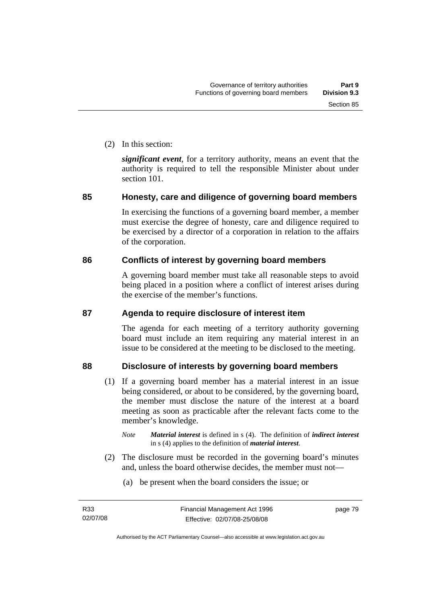(2) In this section:

*significant event*, for a territory authority, means an event that the authority is required to tell the responsible Minister about under section 101.

# **85 Honesty, care and diligence of governing board members**

In exercising the functions of a governing board member, a member must exercise the degree of honesty, care and diligence required to be exercised by a director of a corporation in relation to the affairs of the corporation.

# **86 Conflicts of interest by governing board members**

A governing board member must take all reasonable steps to avoid being placed in a position where a conflict of interest arises during the exercise of the member's functions.

# **87 Agenda to require disclosure of interest item**

The agenda for each meeting of a territory authority governing board must include an item requiring any material interest in an issue to be considered at the meeting to be disclosed to the meeting.

# **88 Disclosure of interests by governing board members**

- (1) If a governing board member has a material interest in an issue being considered, or about to be considered, by the governing board, the member must disclose the nature of the interest at a board meeting as soon as practicable after the relevant facts come to the member's knowledge.
	- *Note Material interest* is defined in s (4). The definition of *indirect interest* in s (4) applies to the definition of *material interest*.
- (2) The disclosure must be recorded in the governing board's minutes and, unless the board otherwise decides, the member must not—
	- (a) be present when the board considers the issue; or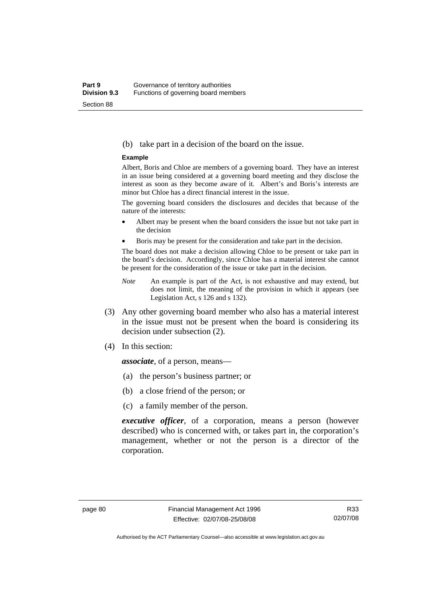#### (b) take part in a decision of the board on the issue.

#### **Example**

Albert, Boris and Chloe are members of a governing board. They have an interest in an issue being considered at a governing board meeting and they disclose the interest as soon as they become aware of it. Albert's and Boris's interests are minor but Chloe has a direct financial interest in the issue.

The governing board considers the disclosures and decides that because of the nature of the interests:

- Albert may be present when the board considers the issue but not take part in the decision
- Boris may be present for the consideration and take part in the decision.

The board does not make a decision allowing Chloe to be present or take part in the board's decision. Accordingly, since Chloe has a material interest she cannot be present for the consideration of the issue or take part in the decision.

- *Note* An example is part of the Act, is not exhaustive and may extend, but does not limit, the meaning of the provision in which it appears (see Legislation Act, s 126 and s 132).
- (3) Any other governing board member who also has a material interest in the issue must not be present when the board is considering its decision under subsection (2).
- (4) In this section:

*associate*, of a person, means—

- (a) the person's business partner; or
- (b) a close friend of the person; or
- (c) a family member of the person.

*executive officer*, of a corporation, means a person (however described) who is concerned with, or takes part in, the corporation's management, whether or not the person is a director of the corporation.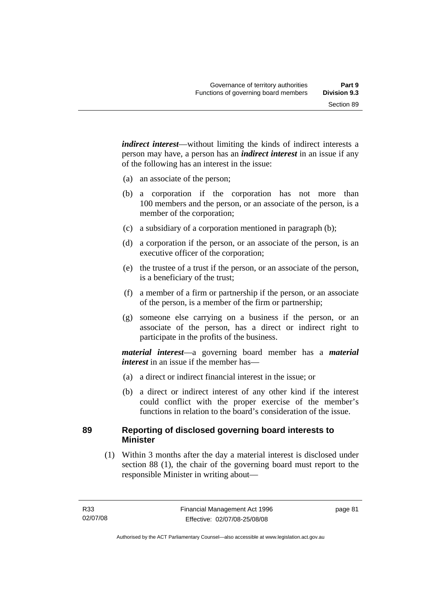*indirect interest*—without limiting the kinds of indirect interests a person may have, a person has an *indirect interest* in an issue if any of the following has an interest in the issue:

- (a) an associate of the person;
- (b) a corporation if the corporation has not more than 100 members and the person, or an associate of the person, is a member of the corporation;
- (c) a subsidiary of a corporation mentioned in paragraph (b);
- (d) a corporation if the person, or an associate of the person, is an executive officer of the corporation;
- (e) the trustee of a trust if the person, or an associate of the person, is a beneficiary of the trust;
- (f) a member of a firm or partnership if the person, or an associate of the person, is a member of the firm or partnership;
- (g) someone else carrying on a business if the person, or an associate of the person, has a direct or indirect right to participate in the profits of the business.

*material interest*—a governing board member has a *material interest* in an issue if the member has—

- (a) a direct or indirect financial interest in the issue; or
- (b) a direct or indirect interest of any other kind if the interest could conflict with the proper exercise of the member's functions in relation to the board's consideration of the issue.

# **89 Reporting of disclosed governing board interests to Minister**

 (1) Within 3 months after the day a material interest is disclosed under section 88 (1), the chair of the governing board must report to the responsible Minister in writing about—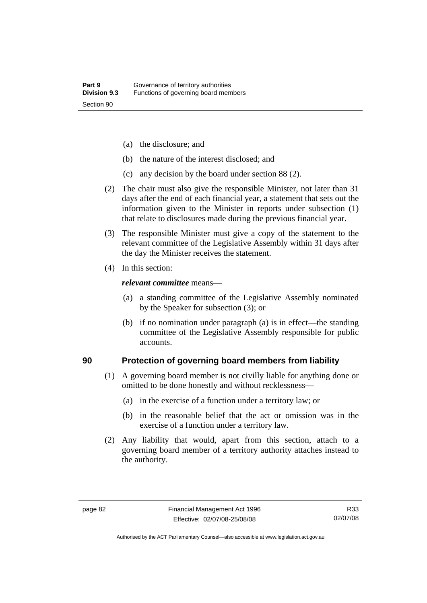- (a) the disclosure; and
- (b) the nature of the interest disclosed; and
- (c) any decision by the board under section 88 (2).
- (2) The chair must also give the responsible Minister, not later than 31 days after the end of each financial year, a statement that sets out the information given to the Minister in reports under subsection (1) that relate to disclosures made during the previous financial year.
- (3) The responsible Minister must give a copy of the statement to the relevant committee of the Legislative Assembly within 31 days after the day the Minister receives the statement.
- (4) In this section:

#### *relevant committee* means—

- (a) a standing committee of the Legislative Assembly nominated by the Speaker for subsection (3); or
- (b) if no nomination under paragraph (a) is in effect—the standing committee of the Legislative Assembly responsible for public accounts.

#### **90 Protection of governing board members from liability**

- (1) A governing board member is not civilly liable for anything done or omitted to be done honestly and without recklessness—
	- (a) in the exercise of a function under a territory law; or
	- (b) in the reasonable belief that the act or omission was in the exercise of a function under a territory law.
- (2) Any liability that would, apart from this section, attach to a governing board member of a territory authority attaches instead to the authority.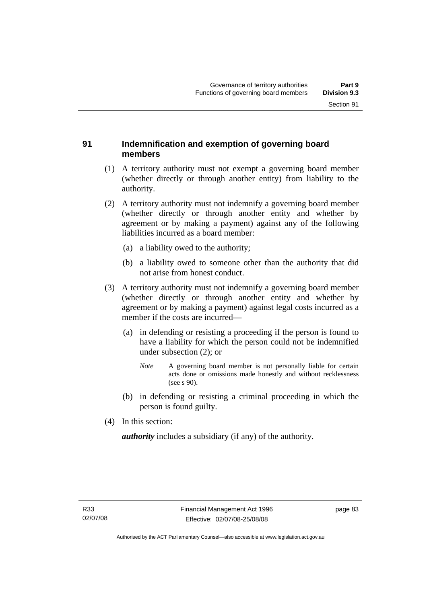#### **91 Indemnification and exemption of governing board members**

- (1) A territory authority must not exempt a governing board member (whether directly or through another entity) from liability to the authority.
- (2) A territory authority must not indemnify a governing board member (whether directly or through another entity and whether by agreement or by making a payment) against any of the following liabilities incurred as a board member:
	- (a) a liability owed to the authority;
	- (b) a liability owed to someone other than the authority that did not arise from honest conduct.
- (3) A territory authority must not indemnify a governing board member (whether directly or through another entity and whether by agreement or by making a payment) against legal costs incurred as a member if the costs are incurred—
	- (a) in defending or resisting a proceeding if the person is found to have a liability for which the person could not be indemnified under subsection (2); or
		- *Note* A governing board member is not personally liable for certain acts done or omissions made honestly and without recklessness (see s 90).
	- (b) in defending or resisting a criminal proceeding in which the person is found guilty.
- (4) In this section:

*authority* includes a subsidiary (if any) of the authority.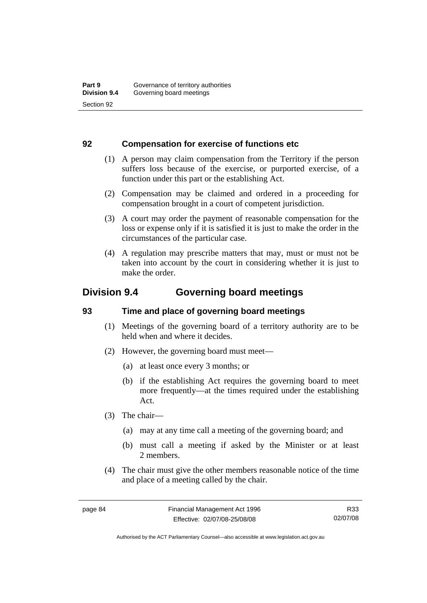#### **92 Compensation for exercise of functions etc**

- (1) A person may claim compensation from the Territory if the person suffers loss because of the exercise, or purported exercise, of a function under this part or the establishing Act.
- (2) Compensation may be claimed and ordered in a proceeding for compensation brought in a court of competent jurisdiction.
- (3) A court may order the payment of reasonable compensation for the loss or expense only if it is satisfied it is just to make the order in the circumstances of the particular case.
- (4) A regulation may prescribe matters that may, must or must not be taken into account by the court in considering whether it is just to make the order.

# **Division 9.4 Governing board meetings**

# **93 Time and place of governing board meetings**

- (1) Meetings of the governing board of a territory authority are to be held when and where it decides.
- (2) However, the governing board must meet—
	- (a) at least once every 3 months; or
	- (b) if the establishing Act requires the governing board to meet more frequently—at the times required under the establishing Act.
- (3) The chair—
	- (a) may at any time call a meeting of the governing board; and
	- (b) must call a meeting if asked by the Minister or at least 2 members.
- (4) The chair must give the other members reasonable notice of the time and place of a meeting called by the chair.

R33 02/07/08

Authorised by the ACT Parliamentary Counsel—also accessible at www.legislation.act.gov.au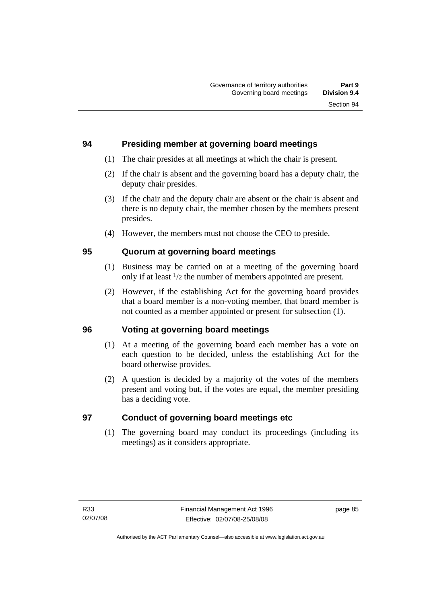#### **94 Presiding member at governing board meetings**

- (1) The chair presides at all meetings at which the chair is present.
- (2) If the chair is absent and the governing board has a deputy chair, the deputy chair presides.
- (3) If the chair and the deputy chair are absent or the chair is absent and there is no deputy chair, the member chosen by the members present presides.
- (4) However, the members must not choose the CEO to preside.

# **95 Quorum at governing board meetings**

- (1) Business may be carried on at a meeting of the governing board only if at least 1/2 the number of members appointed are present.
- (2) However, if the establishing Act for the governing board provides that a board member is a non-voting member, that board member is not counted as a member appointed or present for subsection (1).

# **96 Voting at governing board meetings**

- (1) At a meeting of the governing board each member has a vote on each question to be decided, unless the establishing Act for the board otherwise provides.
- (2) A question is decided by a majority of the votes of the members present and voting but, if the votes are equal, the member presiding has a deciding vote.

# **97 Conduct of governing board meetings etc**

 (1) The governing board may conduct its proceedings (including its meetings) as it considers appropriate.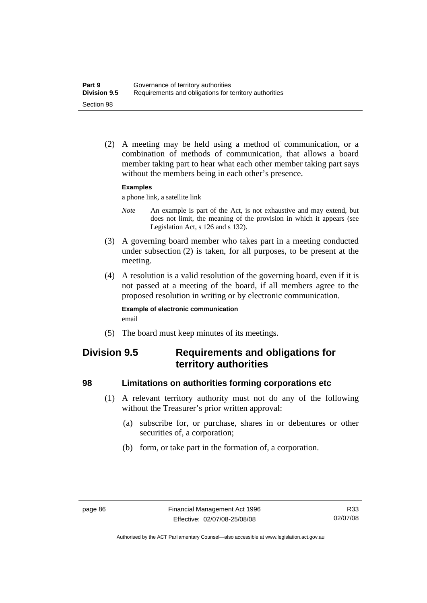(2) A meeting may be held using a method of communication, or a combination of methods of communication, that allows a board member taking part to hear what each other member taking part says without the members being in each other's presence.

#### **Examples**

a phone link, a satellite link

- *Note* An example is part of the Act, is not exhaustive and may extend, but does not limit, the meaning of the provision in which it appears (see Legislation Act, s 126 and s 132).
- (3) A governing board member who takes part in a meeting conducted under subsection (2) is taken, for all purposes, to be present at the meeting.
- (4) A resolution is a valid resolution of the governing board, even if it is not passed at a meeting of the board, if all members agree to the proposed resolution in writing or by electronic communication.

#### **Example of electronic communication**  email

(5) The board must keep minutes of its meetings.

# **Division 9.5 Requirements and obligations for territory authorities**

#### **98 Limitations on authorities forming corporations etc**

- (1) A relevant territory authority must not do any of the following without the Treasurer's prior written approval:
	- (a) subscribe for, or purchase, shares in or debentures or other securities of, a corporation;
	- (b) form, or take part in the formation of, a corporation.

Authorised by the ACT Parliamentary Counsel—also accessible at www.legislation.act.gov.au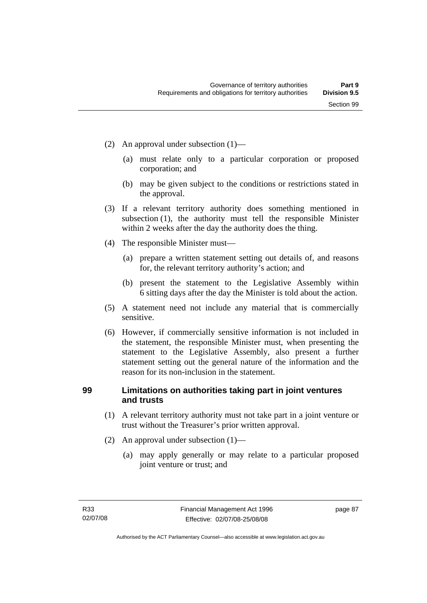- (2) An approval under subsection (1)—
	- (a) must relate only to a particular corporation or proposed corporation; and
	- (b) may be given subject to the conditions or restrictions stated in the approval.
- (3) If a relevant territory authority does something mentioned in subsection (1), the authority must tell the responsible Minister within 2 weeks after the day the authority does the thing.
- (4) The responsible Minister must—
	- (a) prepare a written statement setting out details of, and reasons for, the relevant territory authority's action; and
	- (b) present the statement to the Legislative Assembly within 6 sitting days after the day the Minister is told about the action.
- (5) A statement need not include any material that is commercially sensitive.
- (6) However, if commercially sensitive information is not included in the statement, the responsible Minister must, when presenting the statement to the Legislative Assembly, also present a further statement setting out the general nature of the information and the reason for its non-inclusion in the statement.

# **99 Limitations on authorities taking part in joint ventures and trusts**

- (1) A relevant territory authority must not take part in a joint venture or trust without the Treasurer's prior written approval.
- (2) An approval under subsection (1)—
	- (a) may apply generally or may relate to a particular proposed joint venture or trust; and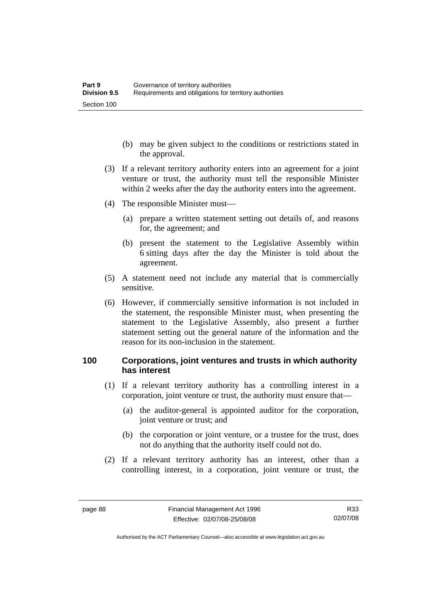- (b) may be given subject to the conditions or restrictions stated in the approval.
- (3) If a relevant territory authority enters into an agreement for a joint venture or trust, the authority must tell the responsible Minister within 2 weeks after the day the authority enters into the agreement.
- (4) The responsible Minister must—
	- (a) prepare a written statement setting out details of, and reasons for, the agreement; and
	- (b) present the statement to the Legislative Assembly within 6 sitting days after the day the Minister is told about the agreement.
- (5) A statement need not include any material that is commercially sensitive.
- (6) However, if commercially sensitive information is not included in the statement, the responsible Minister must, when presenting the statement to the Legislative Assembly, also present a further statement setting out the general nature of the information and the reason for its non-inclusion in the statement.

#### **100 Corporations, joint ventures and trusts in which authority has interest**

- (1) If a relevant territory authority has a controlling interest in a corporation, joint venture or trust, the authority must ensure that—
	- (a) the auditor-general is appointed auditor for the corporation, joint venture or trust; and
	- (b) the corporation or joint venture, or a trustee for the trust, does not do anything that the authority itself could not do.
- (2) If a relevant territory authority has an interest, other than a controlling interest, in a corporation, joint venture or trust, the

Authorised by the ACT Parliamentary Counsel—also accessible at www.legislation.act.gov.au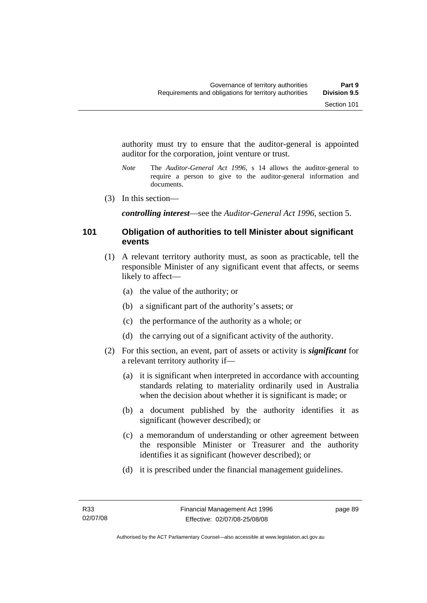authority must try to ensure that the auditor-general is appointed auditor for the corporation, joint venture or trust.

- *Note* The *Auditor-General Act 1996*, s 14 allows the auditor-general to require a person to give to the auditor-general information and documents.
- (3) In this section—

*controlling interest*—see the *Auditor-General Act 1996*, section 5.

#### **101 Obligation of authorities to tell Minister about significant events**

- (1) A relevant territory authority must, as soon as practicable, tell the responsible Minister of any significant event that affects, or seems likely to affect—
	- (a) the value of the authority; or
	- (b) a significant part of the authority's assets; or
	- (c) the performance of the authority as a whole; or
	- (d) the carrying out of a significant activity of the authority.
- (2) For this section, an event, part of assets or activity is *significant* for a relevant territory authority if—
	- (a) it is significant when interpreted in accordance with accounting standards relating to materiality ordinarily used in Australia when the decision about whether it is significant is made; or
	- (b) a document published by the authority identifies it as significant (however described); or
	- (c) a memorandum of understanding or other agreement between the responsible Minister or Treasurer and the authority identifies it as significant (however described); or
	- (d) it is prescribed under the financial management guidelines.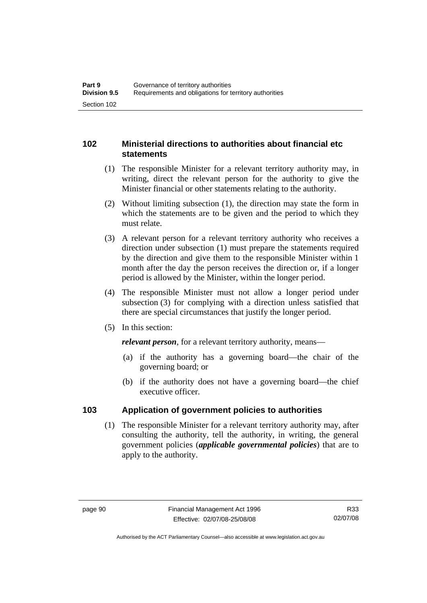# **102 Ministerial directions to authorities about financial etc statements**

- (1) The responsible Minister for a relevant territory authority may, in writing, direct the relevant person for the authority to give the Minister financial or other statements relating to the authority.
- (2) Without limiting subsection (1), the direction may state the form in which the statements are to be given and the period to which they must relate.
- (3) A relevant person for a relevant territory authority who receives a direction under subsection (1) must prepare the statements required by the direction and give them to the responsible Minister within 1 month after the day the person receives the direction or, if a longer period is allowed by the Minister, within the longer period.
- (4) The responsible Minister must not allow a longer period under subsection (3) for complying with a direction unless satisfied that there are special circumstances that justify the longer period.
- (5) In this section:

*relevant person*, for a relevant territory authority, means—

- (a) if the authority has a governing board—the chair of the governing board; or
- (b) if the authority does not have a governing board—the chief executive officer.

# **103 Application of government policies to authorities**

 (1) The responsible Minister for a relevant territory authority may, after consulting the authority, tell the authority, in writing, the general government policies (*applicable governmental policies*) that are to apply to the authority.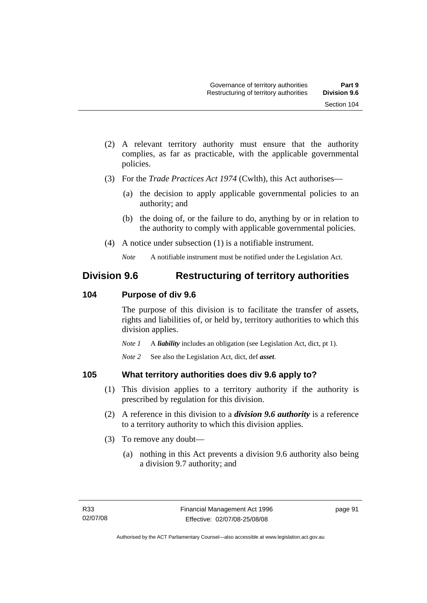- (2) A relevant territory authority must ensure that the authority complies, as far as practicable, with the applicable governmental policies.
- (3) For the *Trade Practices Act 1974* (Cwlth), this Act authorises—
	- (a) the decision to apply applicable governmental policies to an authority; and
	- (b) the doing of, or the failure to do, anything by or in relation to the authority to comply with applicable governmental policies.
- (4) A notice under subsection (1) is a notifiable instrument.

# **Division 9.6 Restructuring of territory authorities**

# **104 Purpose of div 9.6**

The purpose of this division is to facilitate the transfer of assets, rights and liabilities of, or held by, territory authorities to which this division applies.

*Note 1* A *liability* includes an obligation (see Legislation Act, dict, pt 1).

*Note 2* See also the Legislation Act, dict, def *asset*.

# **105 What territory authorities does div 9.6 apply to?**

- (1) This division applies to a territory authority if the authority is prescribed by regulation for this division.
- (2) A reference in this division to a *division 9.6 authority* is a reference to a territory authority to which this division applies.
- (3) To remove any doubt—
	- (a) nothing in this Act prevents a division 9.6 authority also being a division 9.7 authority; and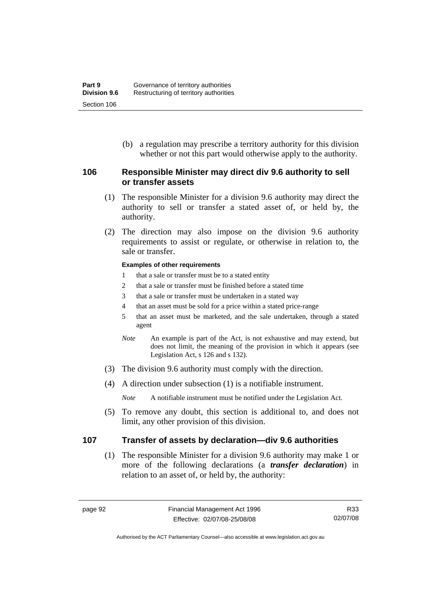(b) a regulation may prescribe a territory authority for this division whether or not this part would otherwise apply to the authority.

#### **106 Responsible Minister may direct div 9.6 authority to sell or transfer assets**

- (1) The responsible Minister for a division 9.6 authority may direct the authority to sell or transfer a stated asset of, or held by, the authority.
- (2) The direction may also impose on the division 9.6 authority requirements to assist or regulate, or otherwise in relation to, the sale or transfer.

#### **Examples of other requirements**

- 1 that a sale or transfer must be to a stated entity
- 2 that a sale or transfer must be finished before a stated time
- 3 that a sale or transfer must be undertaken in a stated way
- 4 that an asset must be sold for a price within a stated price-range
- 5 that an asset must be marketed, and the sale undertaken, through a stated agent
- *Note* An example is part of the Act, is not exhaustive and may extend, but does not limit, the meaning of the provision in which it appears (see Legislation Act, s 126 and s 132).
- (3) The division 9.6 authority must comply with the direction.
- (4) A direction under subsection (1) is a notifiable instrument.

*Note* A notifiable instrument must be notified under the Legislation Act.

 (5) To remove any doubt, this section is additional to, and does not limit, any other provision of this division.

#### **107 Transfer of assets by declaration—div 9.6 authorities**

 (1) The responsible Minister for a division 9.6 authority may make 1 or more of the following declarations (a *transfer declaration*) in relation to an asset of, or held by, the authority:

Authorised by the ACT Parliamentary Counsel—also accessible at www.legislation.act.gov.au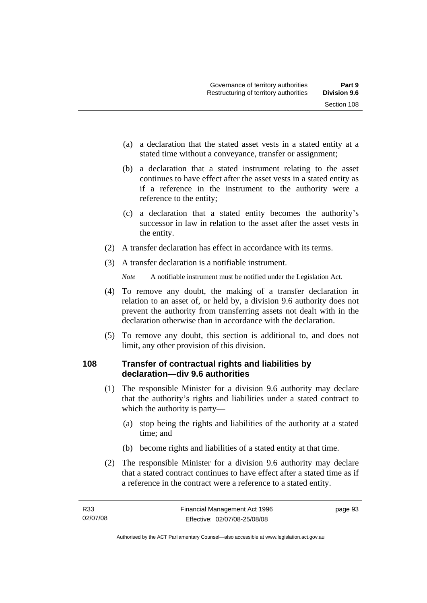- (a) a declaration that the stated asset vests in a stated entity at a stated time without a conveyance, transfer or assignment;
- (b) a declaration that a stated instrument relating to the asset continues to have effect after the asset vests in a stated entity as if a reference in the instrument to the authority were a reference to the entity;
- (c) a declaration that a stated entity becomes the authority's successor in law in relation to the asset after the asset vests in the entity.
- (2) A transfer declaration has effect in accordance with its terms.
- (3) A transfer declaration is a notifiable instrument.

- (4) To remove any doubt, the making of a transfer declaration in relation to an asset of, or held by, a division 9.6 authority does not prevent the authority from transferring assets not dealt with in the declaration otherwise than in accordance with the declaration.
- (5) To remove any doubt, this section is additional to, and does not limit, any other provision of this division.

# **108 Transfer of contractual rights and liabilities by declaration—div 9.6 authorities**

- (1) The responsible Minister for a division 9.6 authority may declare that the authority's rights and liabilities under a stated contract to which the authority is party—
	- (a) stop being the rights and liabilities of the authority at a stated time; and
	- (b) become rights and liabilities of a stated entity at that time.
- (2) The responsible Minister for a division 9.6 authority may declare that a stated contract continues to have effect after a stated time as if a reference in the contract were a reference to a stated entity.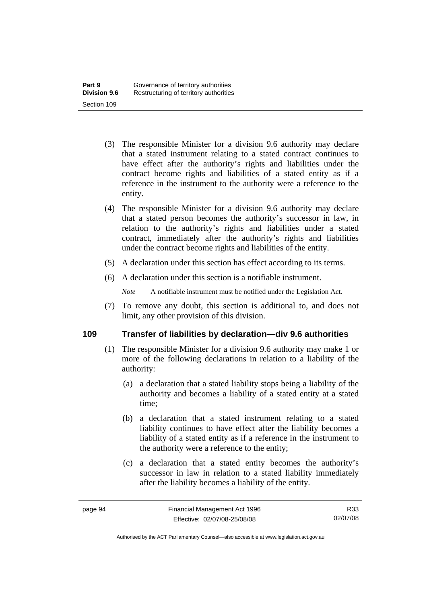- (3) The responsible Minister for a division 9.6 authority may declare that a stated instrument relating to a stated contract continues to have effect after the authority's rights and liabilities under the contract become rights and liabilities of a stated entity as if a reference in the instrument to the authority were a reference to the entity.
- (4) The responsible Minister for a division 9.6 authority may declare that a stated person becomes the authority's successor in law, in relation to the authority's rights and liabilities under a stated contract, immediately after the authority's rights and liabilities under the contract become rights and liabilities of the entity.
- (5) A declaration under this section has effect according to its terms.
- (6) A declaration under this section is a notifiable instrument.

 (7) To remove any doubt, this section is additional to, and does not limit, any other provision of this division.

#### **109 Transfer of liabilities by declaration—div 9.6 authorities**

- (1) The responsible Minister for a division 9.6 authority may make 1 or more of the following declarations in relation to a liability of the authority:
	- (a) a declaration that a stated liability stops being a liability of the authority and becomes a liability of a stated entity at a stated time;
	- (b) a declaration that a stated instrument relating to a stated liability continues to have effect after the liability becomes a liability of a stated entity as if a reference in the instrument to the authority were a reference to the entity;
	- (c) a declaration that a stated entity becomes the authority's successor in law in relation to a stated liability immediately after the liability becomes a liability of the entity.

Authorised by the ACT Parliamentary Counsel—also accessible at www.legislation.act.gov.au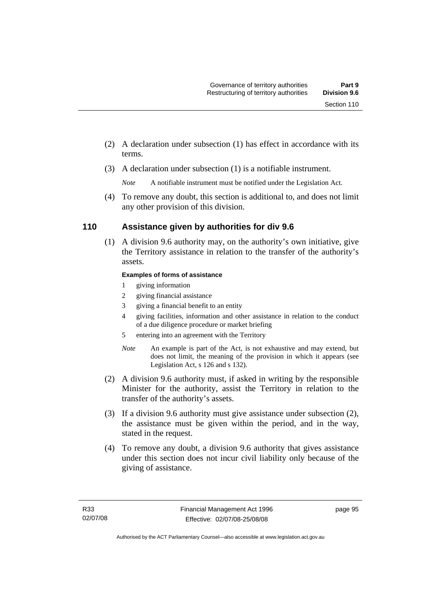- (2) A declaration under subsection (1) has effect in accordance with its terms.
- (3) A declaration under subsection (1) is a notifiable instrument.

 (4) To remove any doubt, this section is additional to, and does not limit any other provision of this division.

#### **110 Assistance given by authorities for div 9.6**

 (1) A division 9.6 authority may, on the authority's own initiative, give the Territory assistance in relation to the transfer of the authority's assets.

#### **Examples of forms of assistance**

- 1 giving information
- 2 giving financial assistance
- 3 giving a financial benefit to an entity
- 4 giving facilities, information and other assistance in relation to the conduct of a due diligence procedure or market briefing
- 5 entering into an agreement with the Territory
- *Note* An example is part of the Act, is not exhaustive and may extend, but does not limit, the meaning of the provision in which it appears (see Legislation Act, s 126 and s 132).
- (2) A division 9.6 authority must, if asked in writing by the responsible Minister for the authority, assist the Territory in relation to the transfer of the authority's assets.
- (3) If a division 9.6 authority must give assistance under subsection (2), the assistance must be given within the period, and in the way, stated in the request.
- (4) To remove any doubt, a division 9.6 authority that gives assistance under this section does not incur civil liability only because of the giving of assistance.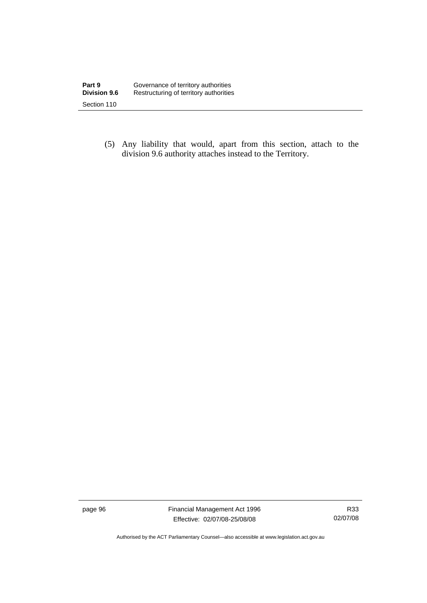(5) Any liability that would, apart from this section, attach to the division 9.6 authority attaches instead to the Territory.

page 96 Financial Management Act 1996 Effective: 02/07/08-25/08/08

R33 02/07/08

Authorised by the ACT Parliamentary Counsel—also accessible at www.legislation.act.gov.au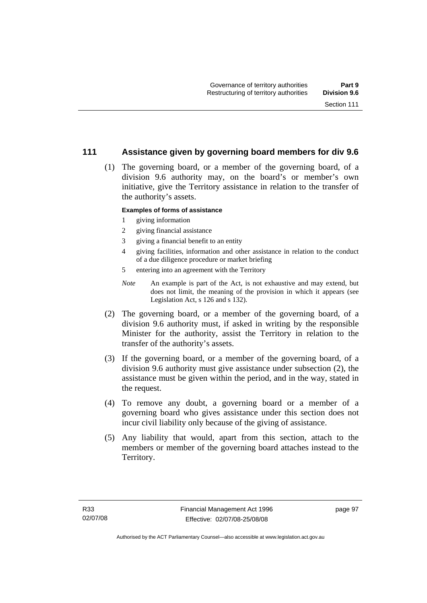#### **111 Assistance given by governing board members for div 9.6**

 (1) The governing board, or a member of the governing board, of a division 9.6 authority may, on the board's or member's own initiative, give the Territory assistance in relation to the transfer of the authority's assets.

#### **Examples of forms of assistance**

- 1 giving information
- 2 giving financial assistance
- 3 giving a financial benefit to an entity
- 4 giving facilities, information and other assistance in relation to the conduct of a due diligence procedure or market briefing
- 5 entering into an agreement with the Territory
- *Note* An example is part of the Act, is not exhaustive and may extend, but does not limit, the meaning of the provision in which it appears (see Legislation Act, s 126 and s 132).
- (2) The governing board, or a member of the governing board, of a division 9.6 authority must, if asked in writing by the responsible Minister for the authority, assist the Territory in relation to the transfer of the authority's assets.
- (3) If the governing board, or a member of the governing board, of a division 9.6 authority must give assistance under subsection (2), the assistance must be given within the period, and in the way, stated in the request.
- (4) To remove any doubt, a governing board or a member of a governing board who gives assistance under this section does not incur civil liability only because of the giving of assistance.
- (5) Any liability that would, apart from this section, attach to the members or member of the governing board attaches instead to the Territory.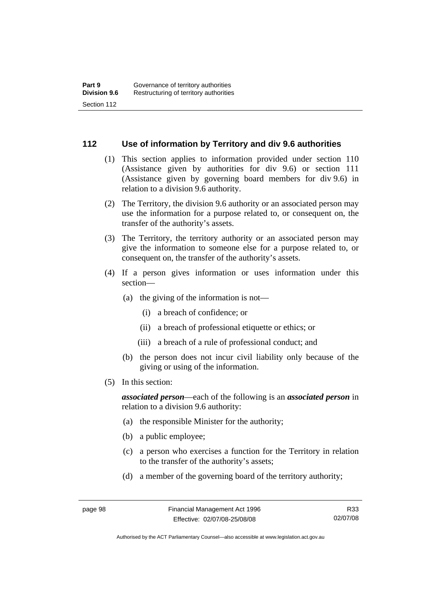#### **112 Use of information by Territory and div 9.6 authorities**

- (1) This section applies to information provided under section 110 (Assistance given by authorities for div 9.6) or section 111 (Assistance given by governing board members for div 9.6) in relation to a division 9.6 authority.
- (2) The Territory, the division 9.6 authority or an associated person may use the information for a purpose related to, or consequent on, the transfer of the authority's assets.
- (3) The Territory, the territory authority or an associated person may give the information to someone else for a purpose related to, or consequent on, the transfer of the authority's assets.
- (4) If a person gives information or uses information under this section—
	- (a) the giving of the information is not—
		- (i) a breach of confidence; or
		- (ii) a breach of professional etiquette or ethics; or
		- (iii) a breach of a rule of professional conduct; and
	- (b) the person does not incur civil liability only because of the giving or using of the information.
- (5) In this section:

*associated person*—each of the following is an *associated person* in relation to a division 9.6 authority:

- (a) the responsible Minister for the authority;
- (b) a public employee;
- (c) a person who exercises a function for the Territory in relation to the transfer of the authority's assets;
- (d) a member of the governing board of the territory authority;

Authorised by the ACT Parliamentary Counsel—also accessible at www.legislation.act.gov.au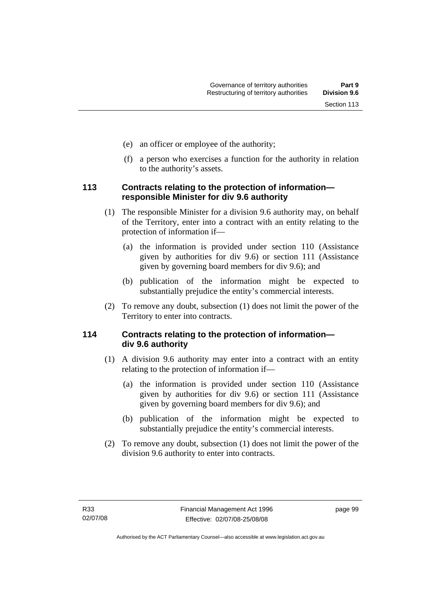- (e) an officer or employee of the authority;
- (f) a person who exercises a function for the authority in relation to the authority's assets.

# **113 Contracts relating to the protection of information responsible Minister for div 9.6 authority**

- (1) The responsible Minister for a division 9.6 authority may, on behalf of the Territory, enter into a contract with an entity relating to the protection of information if—
	- (a) the information is provided under section 110 (Assistance given by authorities for div 9.6) or section 111 (Assistance given by governing board members for div 9.6); and
	- (b) publication of the information might be expected to substantially prejudice the entity's commercial interests.
- (2) To remove any doubt, subsection (1) does not limit the power of the Territory to enter into contracts.

# **114 Contracts relating to the protection of information div 9.6 authority**

- (1) A division 9.6 authority may enter into a contract with an entity relating to the protection of information if—
	- (a) the information is provided under section 110 (Assistance given by authorities for div 9.6) or section 111 (Assistance given by governing board members for div 9.6); and
	- (b) publication of the information might be expected to substantially prejudice the entity's commercial interests.
- (2) To remove any doubt, subsection (1) does not limit the power of the division 9.6 authority to enter into contracts.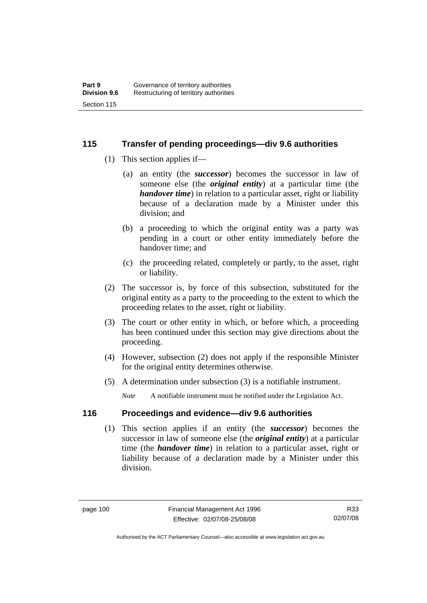# **115 Transfer of pending proceedings—div 9.6 authorities**

- (1) This section applies if—
	- (a) an entity (the *successor*) becomes the successor in law of someone else (the *original entity*) at a particular time (the *handover time*) in relation to a particular asset, right or liability because of a declaration made by a Minister under this division; and
	- (b) a proceeding to which the original entity was a party was pending in a court or other entity immediately before the handover time; and
	- (c) the proceeding related, completely or partly, to the asset, right or liability.
- (2) The successor is, by force of this subsection, substituted for the original entity as a party to the proceeding to the extent to which the proceeding relates to the asset, right or liability.
- (3) The court or other entity in which, or before which, a proceeding has been continued under this section may give directions about the proceeding.
- (4) However, subsection (2) does not apply if the responsible Minister for the original entity determines otherwise.
- (5) A determination under subsection (3) is a notifiable instrument.

*Note* A notifiable instrument must be notified under the Legislation Act.

# **116 Proceedings and evidence—div 9.6 authorities**

 (1) This section applies if an entity (the *successor*) becomes the successor in law of someone else (the *original entity*) at a particular time (the *handover time*) in relation to a particular asset, right or liability because of a declaration made by a Minister under this division.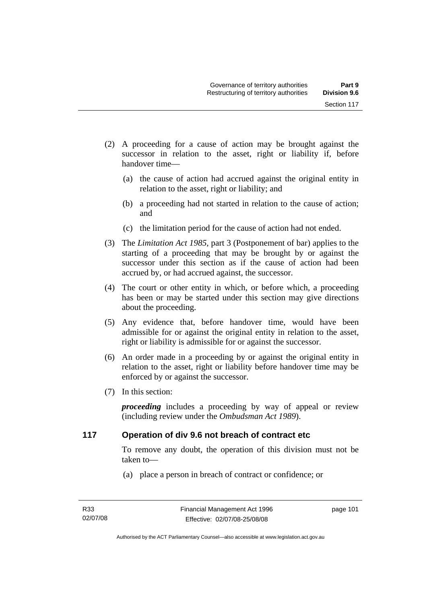- (2) A proceeding for a cause of action may be brought against the successor in relation to the asset, right or liability if, before handover time—
	- (a) the cause of action had accrued against the original entity in relation to the asset, right or liability; and
	- (b) a proceeding had not started in relation to the cause of action; and
	- (c) the limitation period for the cause of action had not ended.
- (3) The *Limitation Act 1985,* part 3 (Postponement of bar) applies to the starting of a proceeding that may be brought by or against the successor under this section as if the cause of action had been accrued by, or had accrued against, the successor.
- (4) The court or other entity in which, or before which, a proceeding has been or may be started under this section may give directions about the proceeding.
- (5) Any evidence that, before handover time, would have been admissible for or against the original entity in relation to the asset, right or liability is admissible for or against the successor.
- (6) An order made in a proceeding by or against the original entity in relation to the asset, right or liability before handover time may be enforced by or against the successor.
- (7) In this section:

*proceeding* includes a proceeding by way of appeal or review (including review under the *Ombudsman Act 1989*).

# **117 Operation of div 9.6 not breach of contract etc**

To remove any doubt, the operation of this division must not be taken to—

(a) place a person in breach of contract or confidence; or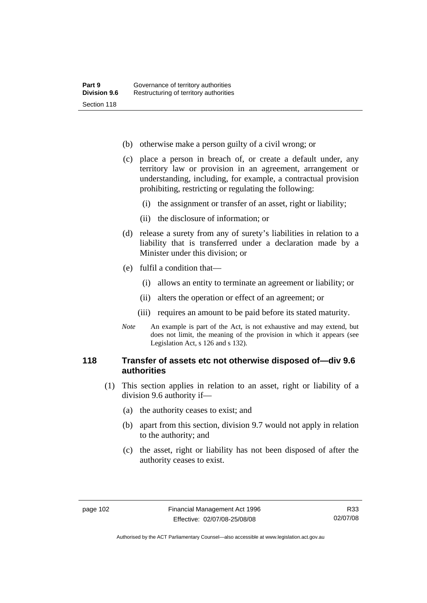- (b) otherwise make a person guilty of a civil wrong; or
- (c) place a person in breach of, or create a default under, any territory law or provision in an agreement, arrangement or understanding, including, for example, a contractual provision prohibiting, restricting or regulating the following:
	- (i) the assignment or transfer of an asset, right or liability;
	- (ii) the disclosure of information; or
- (d) release a surety from any of surety's liabilities in relation to a liability that is transferred under a declaration made by a Minister under this division; or
- (e) fulfil a condition that—
	- (i) allows an entity to terminate an agreement or liability; or
	- (ii) alters the operation or effect of an agreement; or
	- (iii) requires an amount to be paid before its stated maturity.
- *Note* An example is part of the Act, is not exhaustive and may extend, but does not limit, the meaning of the provision in which it appears (see Legislation Act, s 126 and s 132).

# **118 Transfer of assets etc not otherwise disposed of—div 9.6 authorities**

- (1) This section applies in relation to an asset, right or liability of a division 9.6 authority if—
	- (a) the authority ceases to exist; and
	- (b) apart from this section, division 9.7 would not apply in relation to the authority; and
	- (c) the asset, right or liability has not been disposed of after the authority ceases to exist.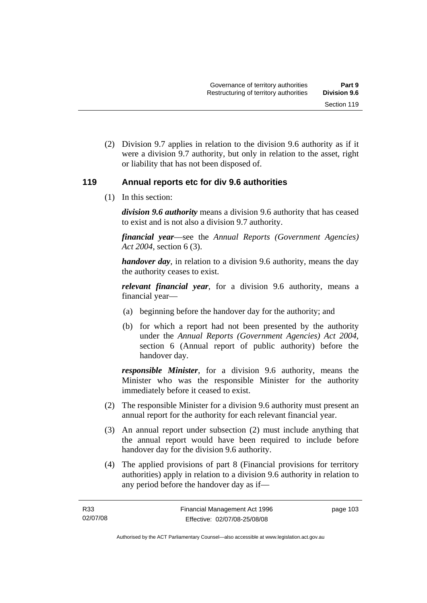(2) Division 9.7 applies in relation to the division 9.6 authority as if it were a division 9.7 authority, but only in relation to the asset, right or liability that has not been disposed of.

# **119 Annual reports etc for div 9.6 authorities**

(1) In this section:

*division 9.6 authority* means a division 9.6 authority that has ceased to exist and is not also a division 9.7 authority.

*financial year*––see the *Annual Reports (Government Agencies) Act 2004*, section 6 (3).

*handover day*, in relation to a division 9.6 authority, means the day the authority ceases to exist.

*relevant financial year*, for a division 9.6 authority, means a financial year—

- (a) beginning before the handover day for the authority; and
- (b) for which a report had not been presented by the authority under the *Annual Reports (Government Agencies) Act 2004*, section 6 (Annual report of public authority) before the handover day.

*responsible Minister*, for a division 9.6 authority, means the Minister who was the responsible Minister for the authority immediately before it ceased to exist.

- (2) The responsible Minister for a division 9.6 authority must present an annual report for the authority for each relevant financial year.
- (3) An annual report under subsection (2) must include anything that the annual report would have been required to include before handover day for the division 9.6 authority.
- (4) The applied provisions of part 8 (Financial provisions for territory authorities) apply in relation to a division 9.6 authority in relation to any period before the handover day as if—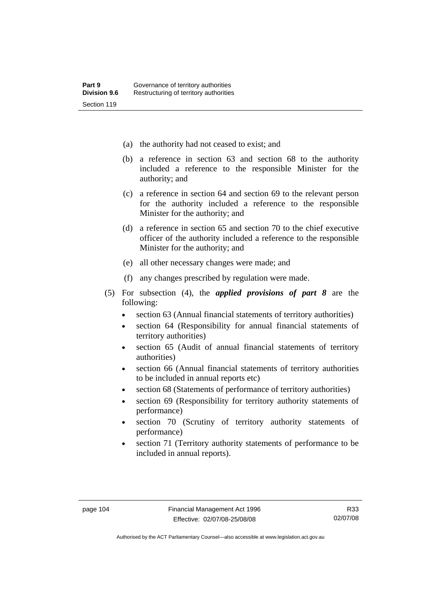- (a) the authority had not ceased to exist; and
- (b) a reference in section 63 and section 68 to the authority included a reference to the responsible Minister for the authority; and
- (c) a reference in section 64 and section 69 to the relevant person for the authority included a reference to the responsible Minister for the authority; and
- (d) a reference in section 65 and section 70 to the chief executive officer of the authority included a reference to the responsible Minister for the authority; and
- (e) all other necessary changes were made; and
- (f) any changes prescribed by regulation were made.
- (5) For subsection (4), the *applied provisions of part 8* are the following:
	- section 63 (Annual financial statements of territory authorities)
	- section 64 (Responsibility for annual financial statements of territory authorities)
	- section 65 (Audit of annual financial statements of territory authorities)
	- section 66 (Annual financial statements of territory authorities to be included in annual reports etc)
	- section 68 (Statements of performance of territory authorities)
	- section 69 (Responsibility for territory authority statements of performance)
	- section 70 (Scrutiny of territory authority statements of performance)
	- section 71 (Territory authority statements of performance to be included in annual reports).

Authorised by the ACT Parliamentary Counsel—also accessible at www.legislation.act.gov.au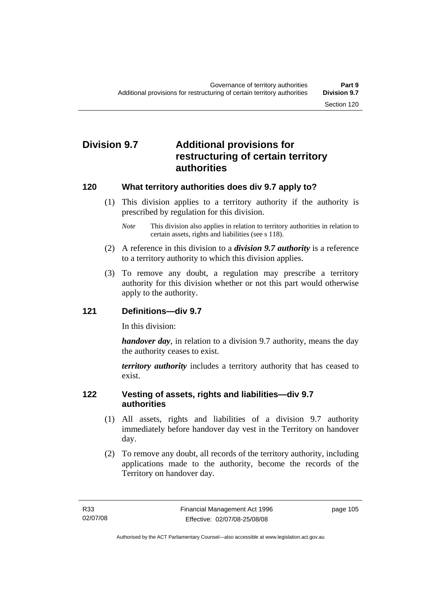# **Division 9.7 Additional provisions for restructuring of certain territory authorities**

# **120 What territory authorities does div 9.7 apply to?**

 (1) This division applies to a territory authority if the authority is prescribed by regulation for this division.

*Note* This division also applies in relation to territory authorities in relation to certain assets, rights and liabilities (see s 118).

- (2) A reference in this division to a *division 9.7 authority* is a reference to a territory authority to which this division applies.
- (3) To remove any doubt, a regulation may prescribe a territory authority for this division whether or not this part would otherwise apply to the authority.

# **121 Definitions—div 9.7**

In this division:

*handover day*, in relation to a division 9.7 authority, means the day the authority ceases to exist.

*territory authority* includes a territory authority that has ceased to exist.

# **122 Vesting of assets, rights and liabilities—div 9.7 authorities**

- (1) All assets, rights and liabilities of a division 9.7 authority immediately before handover day vest in the Territory on handover day.
- (2) To remove any doubt, all records of the territory authority, including applications made to the authority, become the records of the Territory on handover day.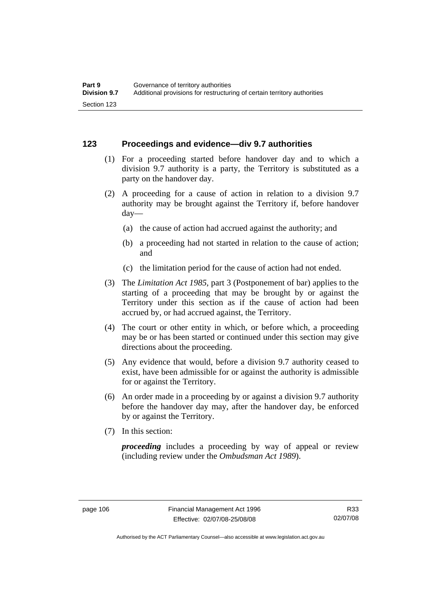# **123 Proceedings and evidence—div 9.7 authorities**

- (1) For a proceeding started before handover day and to which a division 9.7 authority is a party, the Territory is substituted as a party on the handover day.
- (2) A proceeding for a cause of action in relation to a division 9.7 authority may be brought against the Territory if, before handover day—
	- (a) the cause of action had accrued against the authority; and
	- (b) a proceeding had not started in relation to the cause of action; and
	- (c) the limitation period for the cause of action had not ended.
- (3) The *Limitation Act 1985,* part 3 (Postponement of bar) applies to the starting of a proceeding that may be brought by or against the Territory under this section as if the cause of action had been accrued by, or had accrued against, the Territory.
- (4) The court or other entity in which, or before which, a proceeding may be or has been started or continued under this section may give directions about the proceeding.
- (5) Any evidence that would, before a division 9.7 authority ceased to exist, have been admissible for or against the authority is admissible for or against the Territory.
- (6) An order made in a proceeding by or against a division 9.7 authority before the handover day may, after the handover day, be enforced by or against the Territory.
- (7) In this section:

*proceeding* includes a proceeding by way of appeal or review (including review under the *Ombudsman Act 1989*).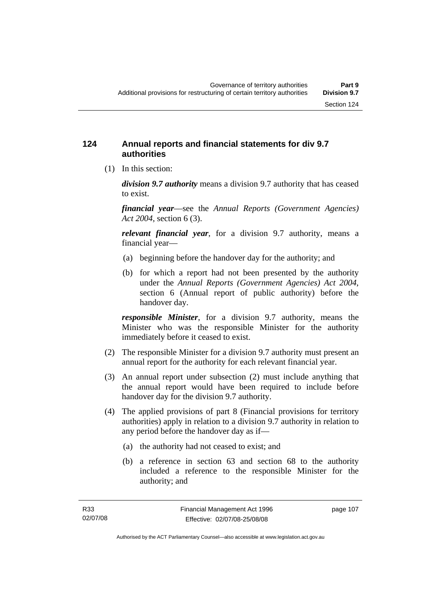# **124 Annual reports and financial statements for div 9.7 authorities**

(1) In this section:

*division 9.7 authority* means a division 9.7 authority that has ceased to exist.

*financial year*––see the *Annual Reports (Government Agencies) Act 2004*, section 6 (3).

*relevant financial year*, for a division 9.7 authority, means a financial year—

- (a) beginning before the handover day for the authority; and
- (b) for which a report had not been presented by the authority under the *Annual Reports (Government Agencies) Act 2004*, section 6 (Annual report of public authority) before the handover day.

*responsible Minister*, for a division 9.7 authority, means the Minister who was the responsible Minister for the authority immediately before it ceased to exist.

- (2) The responsible Minister for a division 9.7 authority must present an annual report for the authority for each relevant financial year.
- (3) An annual report under subsection (2) must include anything that the annual report would have been required to include before handover day for the division 9.7 authority.
- (4) The applied provisions of part 8 (Financial provisions for territory authorities) apply in relation to a division 9.7 authority in relation to any period before the handover day as if—
	- (a) the authority had not ceased to exist; and
	- (b) a reference in section 63 and section 68 to the authority included a reference to the responsible Minister for the authority; and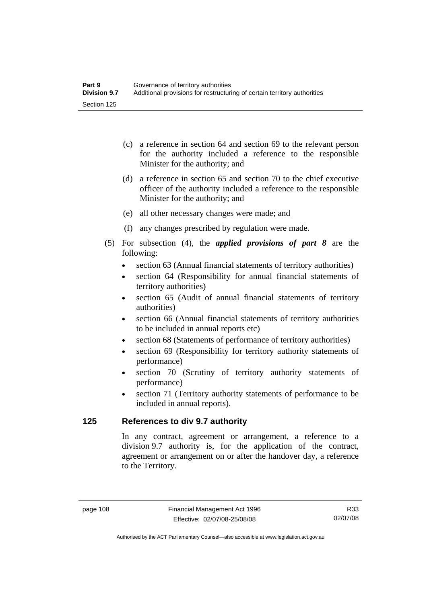- (c) a reference in section 64 and section 69 to the relevant person for the authority included a reference to the responsible Minister for the authority; and
- (d) a reference in section 65 and section 70 to the chief executive officer of the authority included a reference to the responsible Minister for the authority; and
- (e) all other necessary changes were made; and
- (f) any changes prescribed by regulation were made.
- (5) For subsection (4), the *applied provisions of part 8* are the following:
	- section 63 (Annual financial statements of territory authorities)
	- section 64 (Responsibility for annual financial statements of territory authorities)
	- section 65 (Audit of annual financial statements of territory authorities)
	- section 66 (Annual financial statements of territory authorities to be included in annual reports etc)
	- section 68 (Statements of performance of territory authorities)
	- section 69 (Responsibility for territory authority statements of performance)
	- section 70 (Scrutiny of territory authority statements of performance)
	- section 71 (Territory authority statements of performance to be included in annual reports).

# **125 References to div 9.7 authority**

In any contract, agreement or arrangement, a reference to a division 9.7 authority is, for the application of the contract, agreement or arrangement on or after the handover day, a reference to the Territory.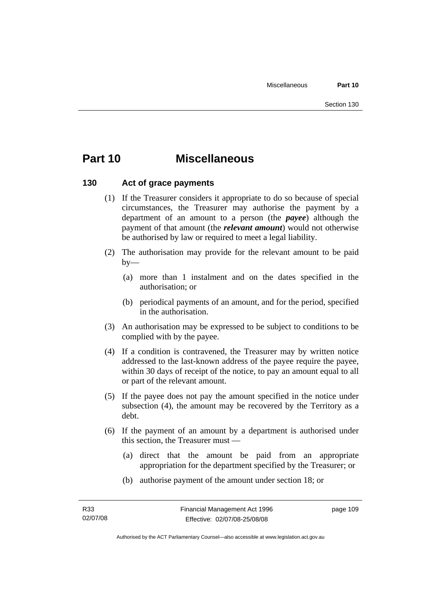# **Part 10 Miscellaneous**

# **130 Act of grace payments**

- (1) If the Treasurer considers it appropriate to do so because of special circumstances, the Treasurer may authorise the payment by a department of an amount to a person (the *payee*) although the payment of that amount (the *relevant amount*) would not otherwise be authorised by law or required to meet a legal liability.
- (2) The authorisation may provide for the relevant amount to be paid  $by-$ 
	- (a) more than 1 instalment and on the dates specified in the authorisation; or
	- (b) periodical payments of an amount, and for the period, specified in the authorisation.
- (3) An authorisation may be expressed to be subject to conditions to be complied with by the payee.
- (4) If a condition is contravened, the Treasurer may by written notice addressed to the last-known address of the payee require the payee, within 30 days of receipt of the notice, to pay an amount equal to all or part of the relevant amount.
- (5) If the payee does not pay the amount specified in the notice under subsection (4), the amount may be recovered by the Territory as a debt.
- (6) If the payment of an amount by a department is authorised under this section, the Treasurer must —
	- (a) direct that the amount be paid from an appropriate appropriation for the department specified by the Treasurer; or
	- (b) authorise payment of the amount under section 18; or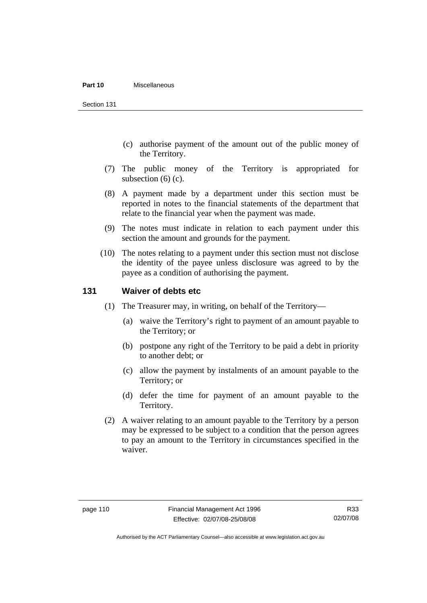#### **Part 10** Miscellaneous

Section 131

- (c) authorise payment of the amount out of the public money of the Territory.
- (7) The public money of the Territory is appropriated for subsection (6) (c).
- (8) A payment made by a department under this section must be reported in notes to the financial statements of the department that relate to the financial year when the payment was made.
- (9) The notes must indicate in relation to each payment under this section the amount and grounds for the payment.
- (10) The notes relating to a payment under this section must not disclose the identity of the payee unless disclosure was agreed to by the payee as a condition of authorising the payment.

# **131 Waiver of debts etc**

- (1) The Treasurer may, in writing, on behalf of the Territory—
	- (a) waive the Territory's right to payment of an amount payable to the Territory; or
	- (b) postpone any right of the Territory to be paid a debt in priority to another debt; or
	- (c) allow the payment by instalments of an amount payable to the Territory; or
	- (d) defer the time for payment of an amount payable to the Territory.
- (2) A waiver relating to an amount payable to the Territory by a person may be expressed to be subject to a condition that the person agrees to pay an amount to the Territory in circumstances specified in the waiver.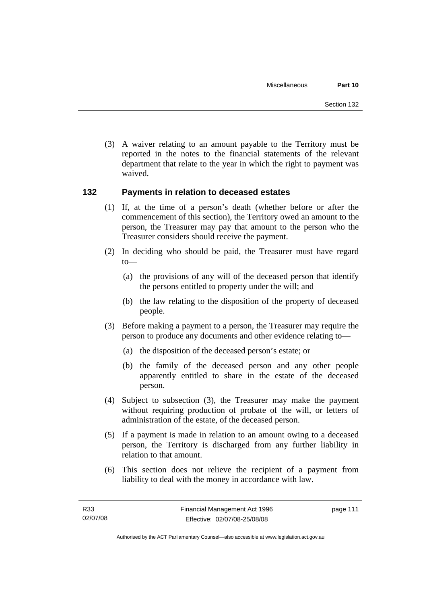(3) A waiver relating to an amount payable to the Territory must be reported in the notes to the financial statements of the relevant department that relate to the year in which the right to payment was waived.

# **132 Payments in relation to deceased estates**

- (1) If, at the time of a person's death (whether before or after the commencement of this section), the Territory owed an amount to the person, the Treasurer may pay that amount to the person who the Treasurer considers should receive the payment.
- (2) In deciding who should be paid, the Treasurer must have regard to—
	- (a) the provisions of any will of the deceased person that identify the persons entitled to property under the will; and
	- (b) the law relating to the disposition of the property of deceased people.
- (3) Before making a payment to a person, the Treasurer may require the person to produce any documents and other evidence relating to—
	- (a) the disposition of the deceased person's estate; or
	- (b) the family of the deceased person and any other people apparently entitled to share in the estate of the deceased person.
- (4) Subject to subsection (3), the Treasurer may make the payment without requiring production of probate of the will, or letters of administration of the estate, of the deceased person.
- (5) If a payment is made in relation to an amount owing to a deceased person, the Territory is discharged from any further liability in relation to that amount.
- (6) This section does not relieve the recipient of a payment from liability to deal with the money in accordance with law.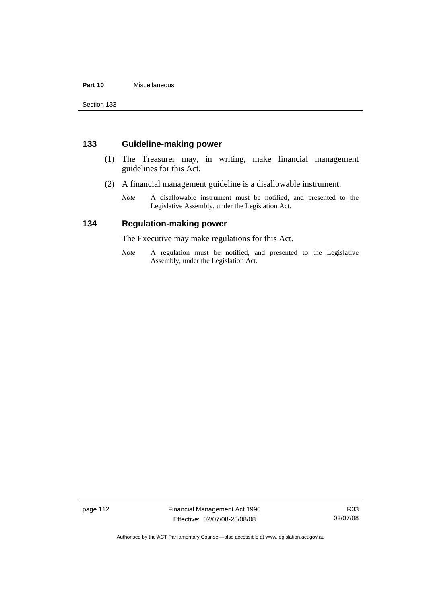### **Part 10** Miscellaneous

Section 133

# **133 Guideline-making power**

- (1) The Treasurer may, in writing, make financial management guidelines for this Act.
- (2) A financial management guideline is a disallowable instrument.
	- *Note* A disallowable instrument must be notified, and presented to the Legislative Assembly, under the Legislation Act.

# **134 Regulation-making power**

The Executive may make regulations for this Act.

*Note* A regulation must be notified, and presented to the Legislative Assembly, under the Legislation Act.

page 112 Financial Management Act 1996 Effective: 02/07/08-25/08/08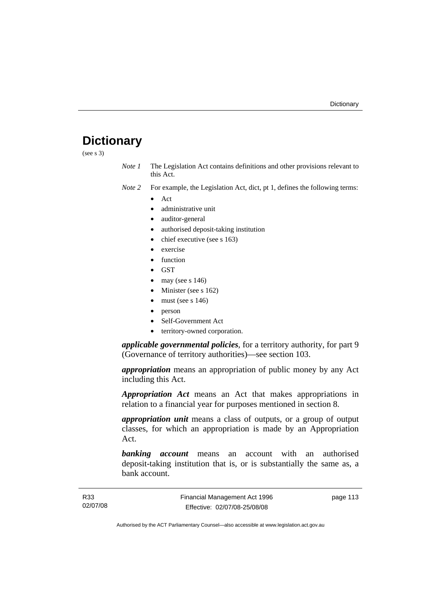# **Dictionary**

(see s 3)

*Note 1* The Legislation Act contains definitions and other provisions relevant to this Act.

*Note 2* For example, the Legislation Act, dict, pt 1, defines the following terms:

- Act
	- administrative unit
	- auditor-general
	- authorised deposit-taking institution
	- chief executive (see s 163)
	- exercise
	- **function**
	- GST
	- may (see s  $146$ )
	- Minister (see s 162)
	- must (see s  $146$ )
	- person
	- Self-Government Act
	- territory-owned corporation.

*applicable governmental policies*, for a territory authority, for part 9 (Governance of territory authorities)—see section 103.

*appropriation* means an appropriation of public money by any Act including this Act.

*Appropriation Act* means an Act that makes appropriations in relation to a financial year for purposes mentioned in section 8.

*appropriation unit* means a class of outputs, or a group of output classes, for which an appropriation is made by an Appropriation Act.

*banking account* means an account with an authorised deposit-taking institution that is, or is substantially the same as, a bank account.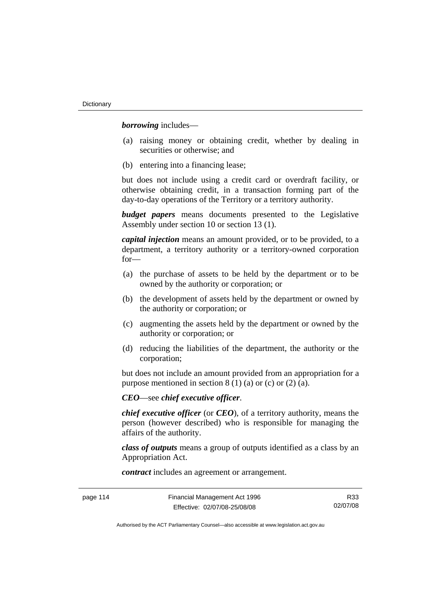*borrowing* includes—

- (a) raising money or obtaining credit, whether by dealing in securities or otherwise; and
- (b) entering into a financing lease;

but does not include using a credit card or overdraft facility, or otherwise obtaining credit, in a transaction forming part of the day-to-day operations of the Territory or a territory authority.

*budget papers* means documents presented to the Legislative Assembly under section 10 or section 13 (1).

*capital injection* means an amount provided, or to be provided, to a department, a territory authority or a territory-owned corporation for—

- (a) the purchase of assets to be held by the department or to be owned by the authority or corporation; or
- (b) the development of assets held by the department or owned by the authority or corporation; or
- (c) augmenting the assets held by the department or owned by the authority or corporation; or
- (d) reducing the liabilities of the department, the authority or the corporation;

but does not include an amount provided from an appropriation for a purpose mentioned in section  $8(1)(a)$  or (c) or  $(2)(a)$ .

*CEO*—see *chief executive officer*.

*chief executive officer* (or *CEO*), of a territory authority, means the person (however described) who is responsible for managing the affairs of the authority.

*class of outputs* means a group of outputs identified as a class by an Appropriation Act.

*contract* includes an agreement or arrangement.

page 114 Financial Management Act 1996 Effective: 02/07/08-25/08/08

R33 02/07/08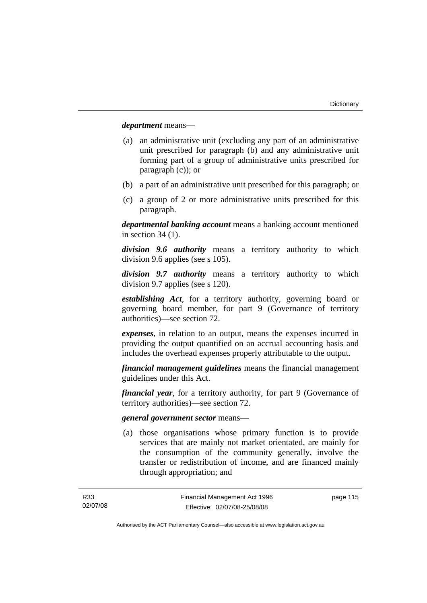*department* means—

- (a) an administrative unit (excluding any part of an administrative unit prescribed for paragraph (b) and any administrative unit forming part of a group of administrative units prescribed for paragraph (c)); or
- (b) a part of an administrative unit prescribed for this paragraph; or
- (c) a group of 2 or more administrative units prescribed for this paragraph.

*departmental banking account* means a banking account mentioned in section 34 (1).

*division 9.6 authority* means a territory authority to which division 9.6 applies (see s 105).

*division 9.7 authority* means a territory authority to which division 9.7 applies (see s 120).

*establishing Act*, for a territory authority, governing board or governing board member, for part 9 (Governance of territory authorities)—see section 72.

*expenses*, in relation to an output, means the expenses incurred in providing the output quantified on an accrual accounting basis and includes the overhead expenses properly attributable to the output.

*financial management guidelines* means the financial management guidelines under this Act.

*financial year*, for a territory authority, for part 9 (Governance of territory authorities)—see section 72.

#### *general government sector* means—

 (a) those organisations whose primary function is to provide services that are mainly not market orientated, are mainly for the consumption of the community generally, involve the transfer or redistribution of income, and are financed mainly through appropriation; and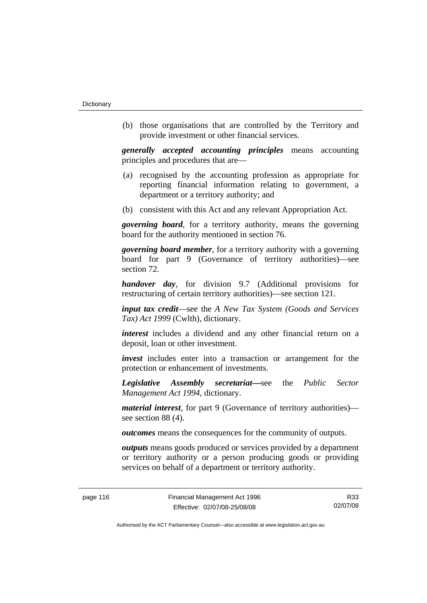(b) those organisations that are controlled by the Territory and provide investment or other financial services.

*generally accepted accounting principles* means accounting principles and procedures that are—

- (a) recognised by the accounting profession as appropriate for reporting financial information relating to government, a department or a territory authority; and
- (b) consistent with this Act and any relevant Appropriation Act.

*governing board*, for a territory authority, means the governing board for the authority mentioned in section 76.

*governing board member*, for a territory authority with a governing board for part 9 (Governance of territory authorities)—see section 72.

*handover day*, for division 9.7 (Additional provisions for restructuring of certain territory authorities)—see section 121.

*input tax credit*—see the *A New Tax System (Goods and Services Tax) Act 1999* (Cwlth), dictionary.

*interest* includes a dividend and any other financial return on a deposit, loan or other investment.

*invest* includes enter into a transaction or arrangement for the protection or enhancement of investments.

*Legislative Assembly secretariat***—**see the *Public Sector Management Act 1994*, dictionary.

*material interest*, for part 9 (Governance of territory authorities) see section 88 (4).

*outcomes* means the consequences for the community of outputs.

*outputs* means goods produced or services provided by a department or territory authority or a person producing goods or providing services on behalf of a department or territory authority.

R33 02/07/08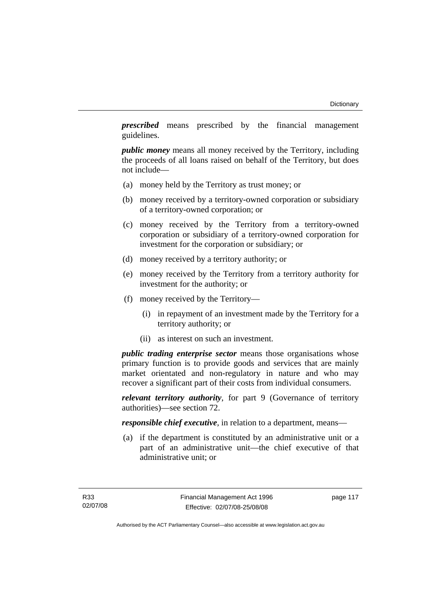*prescribed* means prescribed by the financial management guidelines.

*public money* means all money received by the Territory, including the proceeds of all loans raised on behalf of the Territory, but does not include—

- (a) money held by the Territory as trust money; or
- (b) money received by a territory-owned corporation or subsidiary of a territory-owned corporation; or
- (c) money received by the Territory from a territory-owned corporation or subsidiary of a territory-owned corporation for investment for the corporation or subsidiary; or
- (d) money received by a territory authority; or
- (e) money received by the Territory from a territory authority for investment for the authority; or
- (f) money received by the Territory—
	- (i) in repayment of an investment made by the Territory for a territory authority; or
	- (ii) as interest on such an investment.

*public trading enterprise sector* means those organisations whose primary function is to provide goods and services that are mainly market orientated and non-regulatory in nature and who may recover a significant part of their costs from individual consumers.

*relevant territory authority*, for part 9 (Governance of territory authorities)—see section 72.

*responsible chief executive*, in relation to a department, means—

 (a) if the department is constituted by an administrative unit or a part of an administrative unit—the chief executive of that administrative unit; or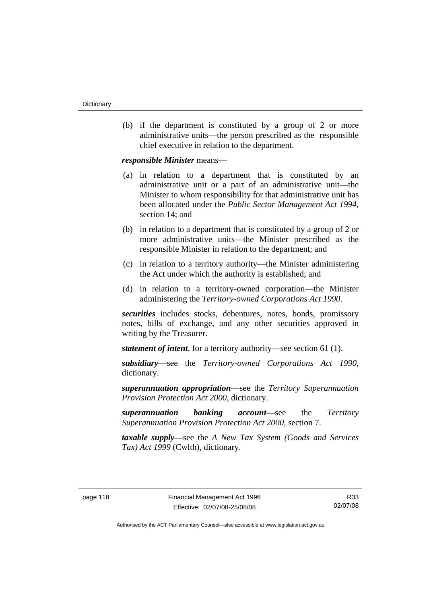(b) if the department is constituted by a group of 2 or more administrative units—the person prescribed as the responsible chief executive in relation to the department.

*responsible Minister* means—

- (a) in relation to a department that is constituted by an administrative unit or a part of an administrative unit—the Minister to whom responsibility for that administrative unit has been allocated under the *Public Sector Management Act 1994*, section 14; and
- (b) in relation to a department that is constituted by a group of 2 or more administrative units—the Minister prescribed as the responsible Minister in relation to the department; and
- (c) in relation to a territory authority—the Minister administering the Act under which the authority is established; and
- (d) in relation to a territory-owned corporation—the Minister administering the *Territory-owned Corporations Act 1990*.

*securities* includes stocks, debentures, notes, bonds, promissory notes, bills of exchange, and any other securities approved in writing by the Treasurer.

*statement of intent*, for a territory authority—see section 61 (1).

*subsidiary*—see the *Territory-owned Corporations Act 1990*, dictionary.

*superannuation appropriation*—see the *Territory Superannuation Provision Protection Act 2000*, dictionary.

*superannuation banking account*—see the *Territory Superannuation Provision Protection Act 2000*, section 7.

*taxable supply*—see the *A New Tax System (Goods and Services Tax) Act 1999* (Cwlth), dictionary.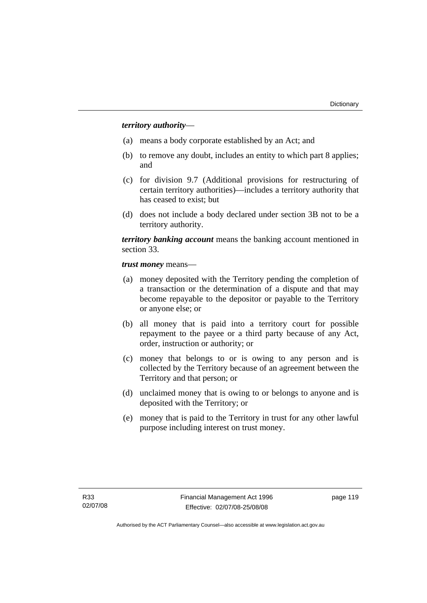# *territory authority*—

- (a) means a body corporate established by an Act; and
- (b) to remove any doubt, includes an entity to which part 8 applies; and
- (c) for division 9.7 (Additional provisions for restructuring of certain territory authorities)—includes a territory authority that has ceased to exist; but
- (d) does not include a body declared under section 3B not to be a territory authority.

*territory banking account* means the banking account mentioned in section 33.

*trust money* means—

- (a) money deposited with the Territory pending the completion of a transaction or the determination of a dispute and that may become repayable to the depositor or payable to the Territory or anyone else; or
- (b) all money that is paid into a territory court for possible repayment to the payee or a third party because of any Act, order, instruction or authority; or
- (c) money that belongs to or is owing to any person and is collected by the Territory because of an agreement between the Territory and that person; or
- (d) unclaimed money that is owing to or belongs to anyone and is deposited with the Territory; or
- (e) money that is paid to the Territory in trust for any other lawful purpose including interest on trust money.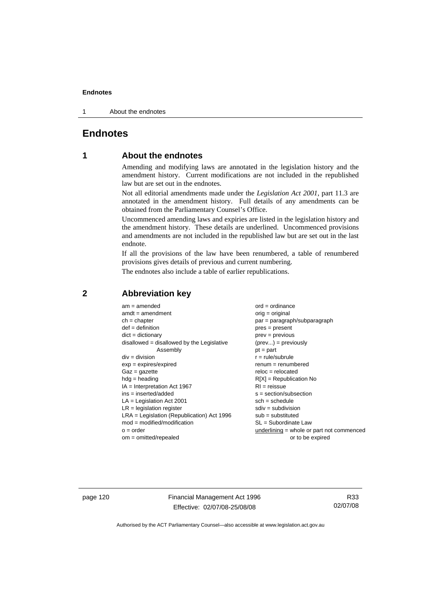1 About the endnotes

# **Endnotes**

# **1 About the endnotes**

Amending and modifying laws are annotated in the legislation history and the amendment history. Current modifications are not included in the republished law but are set out in the endnotes.

Not all editorial amendments made under the *Legislation Act 2001*, part 11.3 are annotated in the amendment history. Full details of any amendments can be obtained from the Parliamentary Counsel's Office.

Uncommenced amending laws and expiries are listed in the legislation history and the amendment history. These details are underlined. Uncommenced provisions and amendments are not included in the republished law but are set out in the last endnote.

If all the provisions of the law have been renumbered, a table of renumbered provisions gives details of previous and current numbering.

The endnotes also include a table of earlier republications.

| $am = amended$                               | $ord = ordinance$                         |
|----------------------------------------------|-------------------------------------------|
| $amdt = amendment$                           | orig = original                           |
| $ch = chapter$                               | par = paragraph/subparagraph              |
| $def = definition$                           | $pres = present$                          |
| $dict = dictionary$                          | $prev = previous$                         |
| $disallowed = disallowed by the Legislative$ | $(\text{prev}) = \text{previously}$       |
| Assembly                                     | $pt = part$                               |
| $div = division$                             | $r = rule/subrule$                        |
| $exp = expires/expired$                      | $renum = renumbered$                      |
| $Gaz = gazette$                              | $reloc = relocated$                       |
| $hdg =$ heading                              | $R[X]$ = Republication No                 |
| $IA = Interpretation Act 1967$               | $RI = reissue$                            |
| $ins = inserted/added$                       | $s = section/subsection$                  |
| $LA =$ Legislation Act 2001                  | $sch = schedule$                          |
| $LR =$ legislation register                  | $sdiv = subdivision$                      |
| $LRA =$ Legislation (Republication) Act 1996 | $sub = substituted$                       |
| $mod = modified/modification$                | SL = Subordinate Law                      |
| $o = order$                                  | underlining = whole or part not commenced |
| $om = omitted/repealed$                      | or to be expired                          |
|                                              |                                           |

# **2 Abbreviation key**

page 120 Financial Management Act 1996 Effective: 02/07/08-25/08/08

R33 02/07/08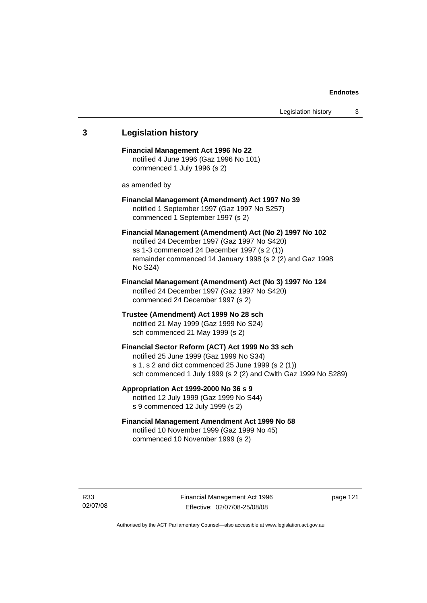# **3 Legislation history Financial Management Act 1996 No 22**  notified 4 June 1996 (Gaz 1996 No 101) commenced 1 July 1996 (s 2) as amended by **Financial Management (Amendment) Act 1997 No 39**  notified 1 September 1997 (Gaz 1997 No S257) commenced 1 September 1997 (s 2) **Financial Management (Amendment) Act (No 2) 1997 No 102**  notified 24 December 1997 (Gaz 1997 No S420) ss 1-3 commenced 24 December 1997 (s 2 (1)) remainder commenced 14 January 1998 (s 2 (2) and Gaz 1998 No S24) **Financial Management (Amendment) Act (No 3) 1997 No 124**  notified 24 December 1997 (Gaz 1997 No S420) commenced 24 December 1997 (s 2) **Trustee (Amendment) Act 1999 No 28 sch**  notified 21 May 1999 (Gaz 1999 No S24) sch commenced 21 May 1999 (s 2) **Financial Sector Reform (ACT) Act 1999 No 33 sch**  notified 25 June 1999 (Gaz 1999 No S34) s 1, s 2 and dict commenced 25 June 1999 (s 2 (1)) sch commenced 1 July 1999 (s 2 (2) and Cwlth Gaz 1999 No S289) **Appropriation Act 1999-2000 No 36 s 9**  notified 12 July 1999 (Gaz 1999 No S44) s 9 commenced 12 July 1999 (s 2) **Financial Management Amendment Act 1999 No 58**  notified 10 November 1999 (Gaz 1999 No 45) commenced 10 November 1999 (s 2)

page 121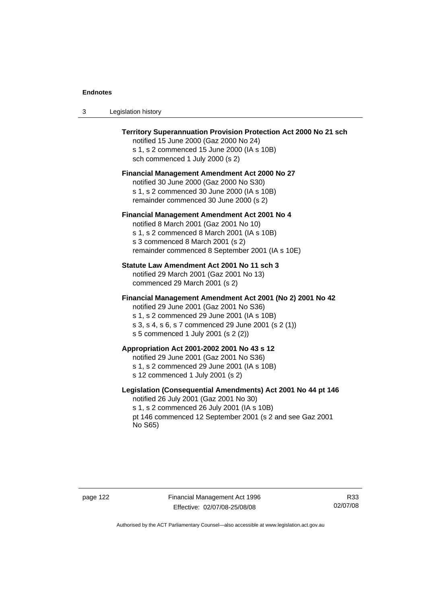| Legislation history<br>- 3 |  |
|----------------------------|--|
|----------------------------|--|

| Territory Superannuation Provision Protection Act 2000 No 21 sch<br>notified 15 June 2000 (Gaz 2000 No 24)<br>s 1, s 2 commenced 15 June 2000 (IA s 10B)<br>sch commenced 1 July 2000 (s 2)                                                      |
|--------------------------------------------------------------------------------------------------------------------------------------------------------------------------------------------------------------------------------------------------|
| <b>Financial Management Amendment Act 2000 No 27</b><br>notified 30 June 2000 (Gaz 2000 No S30)<br>s 1, s 2 commenced 30 June 2000 (IA s 10B)<br>remainder commenced 30 June 2000 (s 2)                                                          |
| Financial Management Amendment Act 2001 No 4<br>notified 8 March 2001 (Gaz 2001 No 10)<br>s 1, s 2 commenced 8 March 2001 (IA s 10B)<br>s 3 commenced 8 March 2001 (s 2)<br>remainder commenced 8 September 2001 (IA s 10E)                      |
| Statute Law Amendment Act 2001 No 11 sch 3<br>notified 29 March 2001 (Gaz 2001 No 13)<br>commenced 29 March 2001 (s 2)                                                                                                                           |
| Financial Management Amendment Act 2001 (No 2) 2001 No 42<br>notified 29 June 2001 (Gaz 2001 No S36)<br>s 1, s 2 commenced 29 June 2001 (IA s 10B)<br>s 3, s 4, s 6, s 7 commenced 29 June 2001 (s 2 (1))<br>s 5 commenced 1 July 2001 (s 2 (2)) |
| Appropriation Act 2001-2002 2001 No 43 s 12<br>notified 29 June 2001 (Gaz 2001 No S36)<br>s 1, s 2 commenced 29 June 2001 (IA s 10B)<br>s 12 commenced 1 July 2001 (s 2)                                                                         |
| Legislation (Consequential Amendments) Act 2001 No 44 pt 146<br>notified 26 July 2001 (Gaz 2001 No 30)<br>s 1, s 2 commenced 26 July 2001 (IA s 10B)<br>pt 146 commenced 12 September 2001 (s 2 and see Gaz 2001<br>No S65)                      |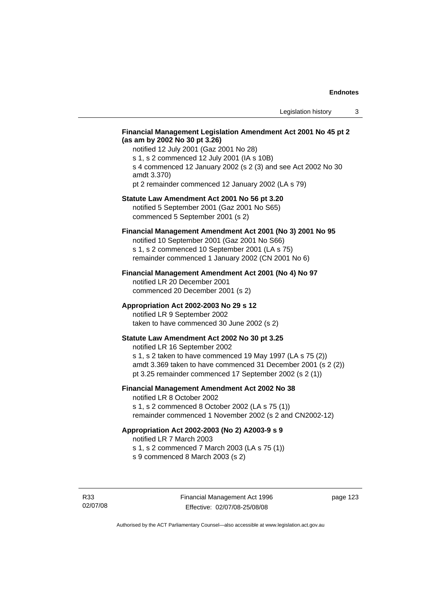#### **Financial Management Legislation Amendment Act 2001 No 45 pt 2 (as am by 2002 No 30 pt 3.26)**

notified 12 July 2001 (Gaz 2001 No 28) s 1, s 2 commenced 12 July 2001 (IA s 10B) s 4 commenced 12 January 2002 (s 2 (3) and see Act 2002 No 30 amdt 3.370) pt 2 remainder commenced 12 January 2002 (LA s 79)

# **Statute Law Amendment Act 2001 No 56 pt 3.20**

notified 5 September 2001 (Gaz 2001 No S65) commenced 5 September 2001 (s 2)

# **Financial Management Amendment Act 2001 (No 3) 2001 No 95**

notified 10 September 2001 (Gaz 2001 No S66) s 1, s 2 commenced 10 September 2001 (LA s 75) remainder commenced 1 January 2002 (CN 2001 No 6)

#### **Financial Management Amendment Act 2001 (No 4) No 97**

notified LR 20 December 2001 commenced 20 December 2001 (s 2)

#### **Appropriation Act 2002-2003 No 29 s 12**

notified LR 9 September 2002 taken to have commenced 30 June 2002 (s 2)

### **Statute Law Amendment Act 2002 No 30 pt 3.25**

notified LR 16 September 2002 s 1, s 2 taken to have commenced 19 May 1997 (LA s 75 (2)) amdt 3.369 taken to have commenced 31 December 2001 (s 2 (2)) pt 3.25 remainder commenced 17 September 2002 (s 2 (1))

### **Financial Management Amendment Act 2002 No 38**

notified LR 8 October 2002 s 1, s 2 commenced 8 October 2002 (LA s 75 (1))

remainder commenced 1 November 2002 (s 2 and CN2002-12)

#### **Appropriation Act 2002-2003 (No 2) A2003-9 s 9**

notified LR 7 March 2003

s 1, s 2 commenced 7 March 2003 (LA s 75 (1))

s 9 commenced 8 March 2003 (s 2)

R33 02/07/08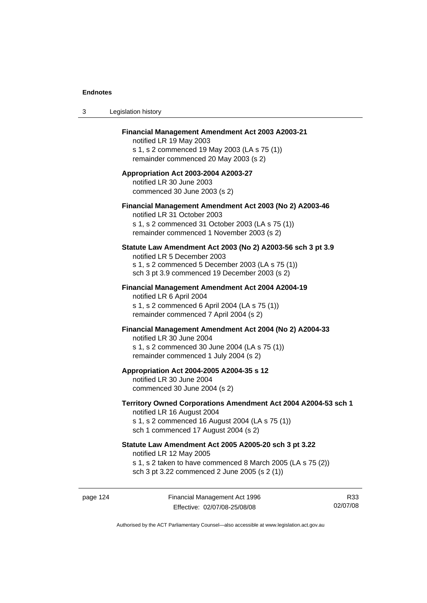| 3 | Legislation history                                                                                                                                                                              |
|---|--------------------------------------------------------------------------------------------------------------------------------------------------------------------------------------------------|
|   | Financial Management Amendment Act 2003 A2003-21<br>notified LR 19 May 2003<br>s 1, s 2 commenced 19 May 2003 (LA s 75 (1))<br>remainder commenced 20 May 2003 (s 2)                             |
|   | Appropriation Act 2003-2004 A2003-27<br>notified LR 30 June 2003<br>commenced 30 June 2003 (s 2)                                                                                                 |
|   | Financial Management Amendment Act 2003 (No 2) A2003-46<br>notified LR 31 October 2003<br>s 1, s 2 commenced 31 October 2003 (LA s 75 (1))<br>remainder commenced 1 November 2003 (s 2)          |
|   | Statute Law Amendment Act 2003 (No 2) A2003-56 sch 3 pt 3.9<br>notified LR 5 December 2003<br>s 1, s 2 commenced 5 December 2003 (LA s 75 (1))<br>sch 3 pt 3.9 commenced 19 December 2003 (s 2)  |
|   | <b>Financial Management Amendment Act 2004 A2004-19</b><br>notified LR 6 April 2004<br>s 1, s 2 commenced 6 April 2004 (LA s 75 (1))<br>remainder commenced 7 April 2004 (s 2)                   |
|   | Financial Management Amendment Act 2004 (No 2) A2004-33<br>notified LR 30 June 2004<br>s 1, s 2 commenced 30 June 2004 (LA s 75 (1))<br>remainder commenced 1 July 2004 (s 2)                    |
|   | Appropriation Act 2004-2005 A2004-35 s 12<br>notified LR 30 June 2004<br>commenced 30 June 2004 (s 2)                                                                                            |
|   | Territory Owned Corporations Amendment Act 2004 A2004-53 sch 1<br>notified LR 16 August 2004<br>s 1, s 2 commenced 16 August 2004 (LA s 75 (1))<br>sch 1 commenced 17 August 2004 (s 2)          |
|   | Statute Law Amendment Act 2005 A2005-20 sch 3 pt 3.22<br>notified LR 12 May 2005<br>s 1, s 2 taken to have commenced 8 March 2005 (LA s 75 (2))<br>sch 3 pt 3.22 commenced 2 June 2005 (s 2 (1)) |
|   |                                                                                                                                                                                                  |

page 124 Financial Management Act 1996 Effective: 02/07/08-25/08/08

R33 02/07/08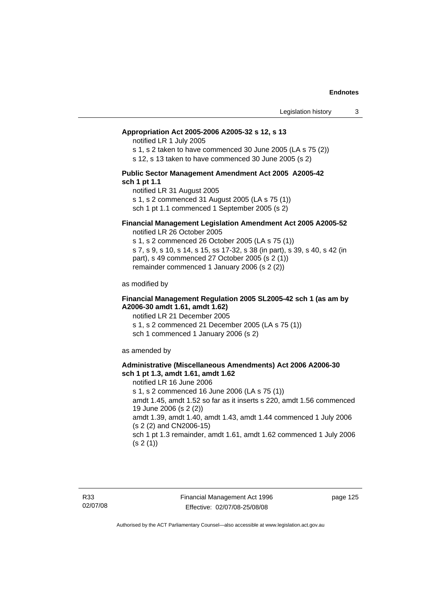#### **Appropriation Act 2005-2006 A2005-32 s 12, s 13**

notified LR 1 July 2005

s 1, s 2 taken to have commenced 30 June 2005 (LA s 75 (2))

s 12, s 13 taken to have commenced 30 June 2005 (s 2)

#### **Public Sector Management Amendment Act 2005 A2005-42 sch 1 pt 1.1**

notified LR 31 August 2005 s 1, s 2 commenced 31 August 2005 (LA s 75 (1)) sch 1 pt 1.1 commenced 1 September 2005 (s 2)

#### **Financial Management Legislation Amendment Act 2005 A2005-52**

notified LR 26 October 2005

s 1, s 2 commenced 26 October 2005 (LA s 75 (1)) s 7, s 9, s 10, s 14, s 15, ss 17-32, s 38 (in part), s 39, s 40, s 42 (in part), s 49 commenced 27 October 2005 (s 2 (1)) remainder commenced 1 January 2006 (s 2 (2))

as modified by

#### **Financial Management Regulation 2005 SL2005-42 sch 1 (as am by A2006-30 amdt 1.61, amdt 1.62)**

notified LR 21 December 2005 s 1, s 2 commenced 21 December 2005 (LA s 75 (1)) sch 1 commenced 1 January 2006 (s 2)

as amended by

#### **Administrative (Miscellaneous Amendments) Act 2006 A2006-30 sch 1 pt 1.3, amdt 1.61, amdt 1.62**

notified LR 16 June 2006 s 1, s 2 commenced 16 June 2006 (LA s 75 (1)) amdt 1.45, amdt 1.52 so far as it inserts s 220, amdt 1.56 commenced 19 June 2006 (s 2 (2)) amdt 1.39, amdt 1.40, amdt 1.43, amdt 1.44 commenced 1 July 2006 (s 2 (2) and CN2006-15) sch 1 pt 1.3 remainder, amdt 1.61, amdt 1.62 commenced 1 July 2006  $(s 2(1))$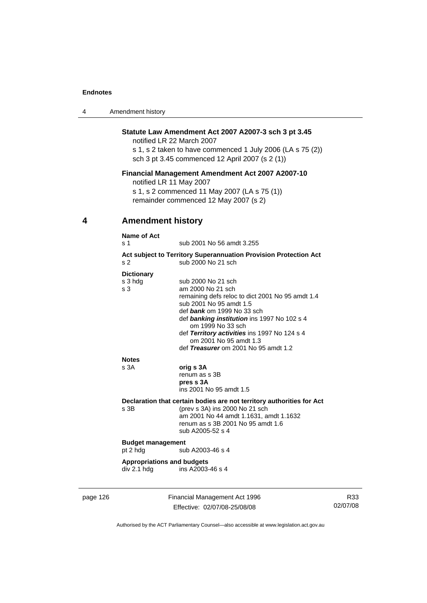| 4 | Amendment history |
|---|-------------------|
|---|-------------------|

### **Statute Law Amendment Act 2007 A2007-3 sch 3 pt 3.45**

notified LR 22 March 2007 s 1, s 2 taken to have commenced 1 July 2006 (LA s 75 (2)) sch 3 pt 3.45 commenced 12 April 2007 (s 2 (1))

### **Financial Management Amendment Act 2007 A2007-10**

notified LR 11 May 2007

s 1, s 2 commenced 11 May 2007 (LA s 75 (1)) remainder commenced 12 May 2007 (s 2)

# **4 Amendment history**

|          | Name of Act                                              |                                                                                                                                                                                                                                                                                                                                            |  |
|----------|----------------------------------------------------------|--------------------------------------------------------------------------------------------------------------------------------------------------------------------------------------------------------------------------------------------------------------------------------------------------------------------------------------------|--|
|          | s 1                                                      | sub 2001 No 56 amdt 3.255                                                                                                                                                                                                                                                                                                                  |  |
|          | s <sub>2</sub>                                           | Act subject to Territory Superannuation Provision Protection Act<br>sub 2000 No 21 sch                                                                                                                                                                                                                                                     |  |
|          | <b>Dictionary</b><br>s 3 hdg<br>s <sub>3</sub>           | sub 2000 No 21 sch<br>am 2000 No 21 sch<br>remaining defs reloc to dict 2001 No 95 amdt 1.4<br>sub 2001 No 95 amdt 1.5<br>def bank om 1999 No 33 sch<br>def banking institution ins 1997 No 102 s 4<br>om 1999 No 33 sch<br>def Territory activities ins 1997 No 124 s 4<br>om 2001 No 95 amdt 1.3<br>def Treasurer om 2001 No 95 amdt 1.2 |  |
|          | <b>Notes</b><br>s 3A                                     | orig s 3A<br>renum as s 3B<br>pres s 3A<br>ins 2001 No 95 amdt 1.5                                                                                                                                                                                                                                                                         |  |
|          | $s$ 3B                                                   | Declaration that certain bodies are not territory authorities for Act<br>(prev s 3A) ins 2000 No 21 sch<br>am 2001 No 44 amdt 1.1631, amdt 1.1632<br>renum as s 3B 2001 No 95 amdt 1.6<br>sub A2005-52 s 4                                                                                                                                 |  |
|          | <b>Budget management</b><br>pt 2 hdg<br>sub A2003-46 s 4 |                                                                                                                                                                                                                                                                                                                                            |  |
|          | <b>Appropriations and budgets</b><br>div 2.1 hdg         | ins A2003-46 s 4                                                                                                                                                                                                                                                                                                                           |  |
| page 126 |                                                          | Financial Management Act 1996                                                                                                                                                                                                                                                                                                              |  |

Effective: 02/07/08-25/08/08

R33 02/07/08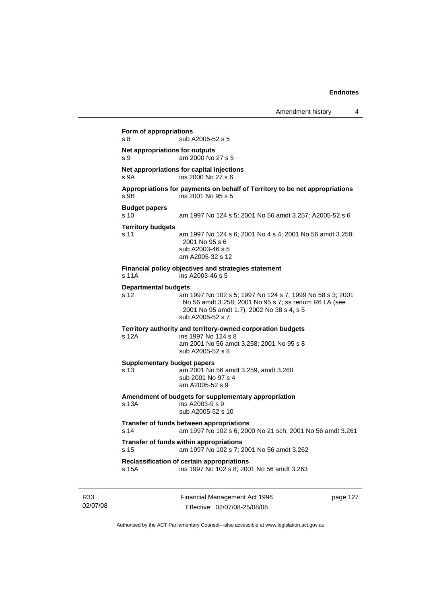Financial Management Act 1996 page 127 **Form of appropriations**  s 8 sub A2005-52 s 5 **Net appropriations for outputs** s 9 am 2000 No 27 s 5 **Net appropriations for capital injections** s 9A ins 2000 No 27 s 6 **Appropriations for payments on behalf of Territory to be net appropriations**  s 9B ins 2001 No 95 s 5 **Budget papers**  s 10 am 1997 No 124 s 5; 2001 No 56 amdt 3.257; A2005-52 s 6 **Territory budgets**  s 11 am 1997 No 124 s 6; 2001 No 4 s 4; 2001 No 56 amdt 3.258; 2001 No 95 s 6 sub A2003-46 s 5 am A2005-32 s 12 **Financial policy objectives and strategies statement**  s 11A ins A2003-46 s 5 **Departmental budgets** s 12 am 1997 No 102 s 5; 1997 No 124 s 7; 1999 No 58 s 3; 2001 No 56 amdt 3.258; 2001 No 95 s 7; ss renum R6 LA (see 2001 No 95 amdt 1.7); 2002 No 38 s 4, s 5 sub A2005-52 s 7 **Territory authority and territory-owned corporation budgets**  s 12A ins 1997 No 124 s 8 am 2001 No 56 amdt 3.258; 2001 No 95 s 8 sub A2005-52 s 8 **Supplementary budget papers**  s 13 am 2001 No 56 amdt 3.259, amdt 3.260 sub 2001 No 97 s 4 am A2005-52 s 9 **Amendment of budgets for supplementary appropriation**   $ins$  A2003-9 s 9 sub A2005-52 s 10 **Transfer of funds between appropriations** s 14 am 1997 No 102 s 6; 2000 No 21 sch; 2001 No 56 amdt 3.261 **Transfer of funds within appropriations** s 15 am 1997 No 102 s 7; 2001 No 56 amdt 3.262 **Reclassification of certain appropriations** s 15A ins 1997 No 102 s 8; 2001 No 56 amdt 3.263

Authorised by the ACT Parliamentary Counsel—also accessible at www.legislation.act.gov.au

Effective: 02/07/08-25/08/08

R33 02/07/08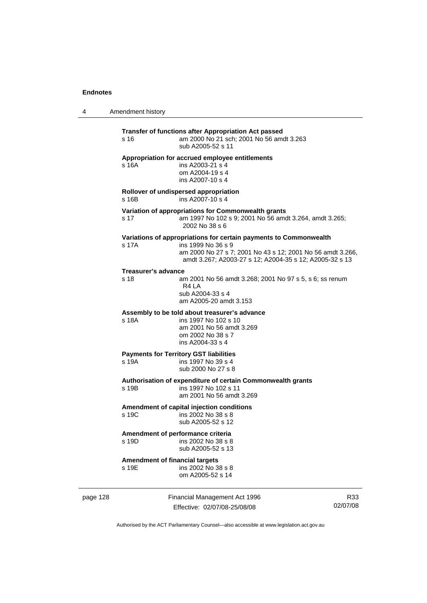4 Amendment history

| s 16                                           | Transfer of functions after Appropriation Act passed<br>am 2000 No 21 sch; 2001 No 56 amdt 3.263<br>sub A2005-52 s 11                                                                                            |
|------------------------------------------------|------------------------------------------------------------------------------------------------------------------------------------------------------------------------------------------------------------------|
| s 16A                                          | Appropriation for accrued employee entitlements<br>ins A2003-21 s 4<br>om A2004-19 s 4<br>ins A2007-10 s 4                                                                                                       |
| s 16B                                          | Rollover of undispersed appropriation<br>ins A2007-10 s 4                                                                                                                                                        |
| s 17                                           | Variation of appropriations for Commonwealth grants<br>am 1997 No 102 s 9; 2001 No 56 amdt 3.264, amdt 3.265;<br>2002 No 38 s 6                                                                                  |
| s 17A                                          | Variations of appropriations for certain payments to Commonwealth<br>ins 1999 No 36 s 9<br>am 2000 No 27 s 7; 2001 No 43 s 12; 2001 No 56 amdt 3.266,<br>amdt 3.267; A2003-27 s 12; A2004-35 s 12; A2005-32 s 13 |
| Treasurer's advance<br>s 18                    | am 2001 No 56 amdt 3.268; 2001 No 97 s 5, s 6; ss renum<br>R4 LA<br>sub A2004-33 s 4<br>am A2005-20 amdt 3.153                                                                                                   |
| s 18A                                          | Assembly to be told about treasurer's advance<br>ins 1997 No 102 s 10<br>am 2001 No 56 amdt 3.269<br>om 2002 No 38 s 7<br>ins A2004-33 s 4                                                                       |
| s 19A                                          | <b>Payments for Territory GST liabilities</b><br>ins 1997 No 39 s 4<br>sub 2000 No 27 s 8                                                                                                                        |
| s 19B                                          | Authorisation of expenditure of certain Commonwealth grants<br>ins 1997 No 102 s 11<br>am 2001 No 56 amdt 3.269                                                                                                  |
| s 19C                                          | Amendment of capital injection conditions<br>ins 2002 No 38 s 8<br>sub A2005-52 s 12                                                                                                                             |
| s 19D                                          | Amendment of performance criteria<br>ins 2002 No 38 s 8<br>sub A2005-52 s 13                                                                                                                                     |
| <b>Amendment of financial targets</b><br>s 19E | ins 2002 No 38 s 8<br>om A2005-52 s 14                                                                                                                                                                           |

page 128 Financial Management Act 1996 Effective: 02/07/08-25/08/08

R33 02/07/08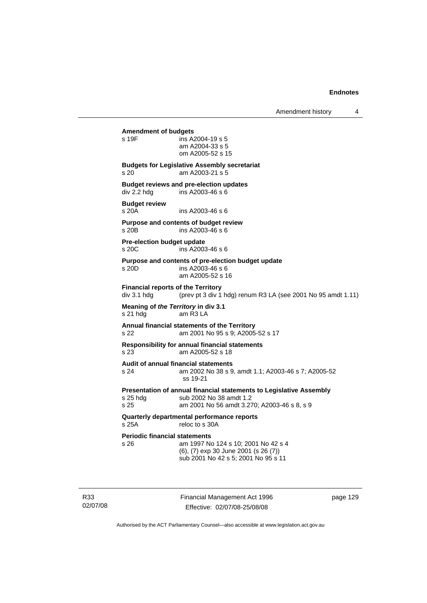#### **Amendment of budgets**

| s 19F | ins A2004-19 s 5 |
|-------|------------------|
|       | am A2004-33 s 5  |
|       | om A2005-52 s 15 |

#### **Budgets for Legislative Assembly secretariat**  s 20 am A2003-21 s 5

**Budget reviews and pre-election updates**  div 2.2 hdg ins A2003-46 s 6

# **Budget review**

s 20A ins A2003-46 s 6

#### **Purpose and contents of budget review**   $ins$  A2003-46 s 6

**Pre-election budget update**  s 20C ins A2003-46 s 6

#### **Purpose and contents of pre-election budget update**

s 20D ins A2003-46 s 6 am A2005-52 s 16

**Financial reports of the Territory**  div 3.1 hdg  $($ prev pt 3 div 1 hdg) renum R3 LA (see 2001 No 95 amdt 1.11)

#### **Meaning of** *the Territory* **in div 3.1**  s 21 hdg am R3 LA

#### **Annual financial statements of the Territory**  s 22 am 2001 No 95 s 9; A2005-52 s 17

**Responsibility for annual financial statements** 

s 23 am A2005-52 s 18

# **Audit of annual financial statements**

s 24 am 2002 No 38 s 9, amdt 1.1; A2003-46 s 7; A2005-52 ss 19-21

# **Presentation of annual financial statements to Legislative Assembly**  s 25 hdg sub 2002 No 38 amdt 1.2<br>s 25 september 2001 No 56 amdt 3.2

am 2001 No 56 amdt 3.270; A2003-46 s 8, s 9

#### **Quarterly departmental performance reports**  s 25A reloc to s 30A

# **Periodic financial statements**<br>s 26 am 1997 No

| s 26. | am 1997 No 124 s 10; 2001 No 42 s 4  |
|-------|--------------------------------------|
|       | (6), (7) exp 30 June 2001 (s 26 (7)) |
|       | sub 2001 No 42 s 5; 2001 No 95 s 11  |

R33 02/07/08 Financial Management Act 1996 Effective: 02/07/08-25/08/08

page 129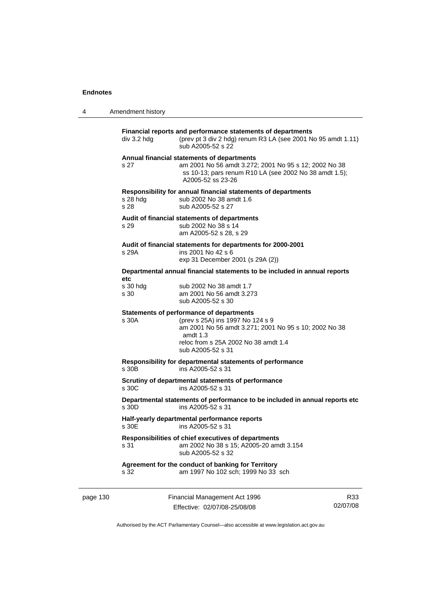4 Amendment history

| div 3.2 hdg        | Financial reports and performance statements of departments<br>(prev pt 3 div 2 hdg) renum R3 LA (see 2001 No 95 amdt 1.11)<br>sub A2005-52 s 22                                                                        |
|--------------------|-------------------------------------------------------------------------------------------------------------------------------------------------------------------------------------------------------------------------|
| s 27               | Annual financial statements of departments<br>am 2001 No 56 amdt 3.272; 2001 No 95 s 12; 2002 No 38<br>ss 10-13; pars renum R10 LA (see 2002 No 38 amdt 1.5);<br>A2005-52 ss 23-26                                      |
| s 28 hdg<br>s 28   | Responsibility for annual financial statements of departments<br>sub 2002 No 38 amdt 1.6<br>sub A2005-52 s 27                                                                                                           |
| s 29               | Audit of financial statements of departments<br>sub 2002 No 38 s 14<br>am A2005-52 s 28, s 29                                                                                                                           |
|                    | Audit of financial statements for departments for 2000-2001                                                                                                                                                             |
| s 29A              | ins 2001 No 42 s 6<br>exp 31 December 2001 (s 29A (2))                                                                                                                                                                  |
| etc                | Departmental annual financial statements to be included in annual reports                                                                                                                                               |
| $s$ 30 hdg<br>s 30 | sub 2002 No 38 amdt 1.7<br>am 2001 No 56 amdt 3.273<br>sub A2005-52 s 30                                                                                                                                                |
| s 30A              | <b>Statements of performance of departments</b><br>(prev s 25A) ins 1997 No 124 s 9<br>am 2001 No 56 amdt 3.271; 2001 No 95 s 10; 2002 No 38<br>amdt $1.3$<br>reloc from s 25A 2002 No 38 amdt 1.4<br>sub A2005-52 s 31 |
| s.30B              | Responsibility for departmental statements of performance<br>ins A2005-52 s 31                                                                                                                                          |
| s 30C              | Scrutiny of departmental statements of performance<br>ins A2005-52 s 31                                                                                                                                                 |
| s 30D              | Departmental statements of performance to be included in annual reports etc<br>ins A2005-52 s 31                                                                                                                        |
| s 30E              | Half-yearly departmental performance reports<br>ins A2005-52 s 31                                                                                                                                                       |
| s 31               | Responsibilities of chief executives of departments<br>am 2002 No 38 s 15; A2005-20 amdt 3.154<br>sub A2005-52 s 32                                                                                                     |
| s 32               | Agreement for the conduct of banking for Territory<br>am 1997 No 102 sch; 1999 No 33 sch                                                                                                                                |
|                    |                                                                                                                                                                                                                         |

page 130 Financial Management Act 1996 Effective: 02/07/08-25/08/08

R33 02/07/08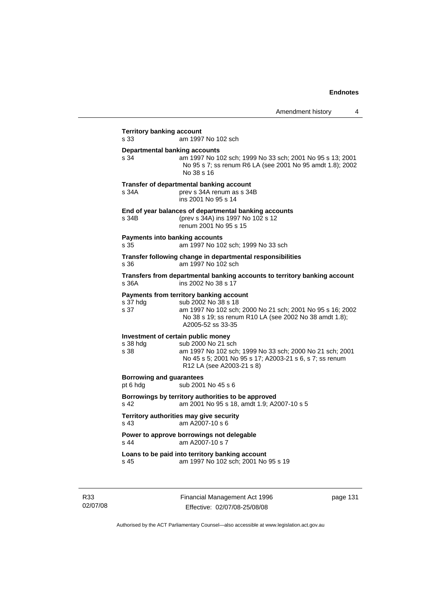| s 33                                         | am 1997 No 102 sch                                                                                                                                                                                           |
|----------------------------------------------|--------------------------------------------------------------------------------------------------------------------------------------------------------------------------------------------------------------|
| <b>Departmental banking accounts</b><br>s 34 | am 1997 No 102 sch; 1999 No 33 sch; 2001 No 95 s 13; 2001<br>No 95 s 7; ss renum R6 LA (see 2001 No 95 amdt 1.8); 2002<br>No 38 s 16                                                                         |
| s 34A                                        | Transfer of departmental banking account<br>prev s 34A renum as s 34B<br>ins 2001 No 95 s 14                                                                                                                 |
| s 34B                                        | End of year balances of departmental banking accounts<br>(prev s 34A) ins 1997 No 102 s 12<br>renum 2001 No 95 s 15                                                                                          |
| s 35                                         | <b>Payments into banking accounts</b><br>am 1997 No 102 sch; 1999 No 33 sch                                                                                                                                  |
| s 36                                         | Transfer following change in departmental responsibilities<br>am 1997 No 102 sch                                                                                                                             |
| s 36A                                        | Transfers from departmental banking accounts to territory banking account<br>ins 2002 No 38 s 17                                                                                                             |
| s 37 hdg<br>s 37                             | Payments from territory banking account<br>sub 2002 No 38 s 18<br>am 1997 No 102 sch; 2000 No 21 sch; 2001 No 95 s 16; 2002<br>No 38 s 19; ss renum R10 LA (see 2002 No 38 amdt 1.8);<br>A2005-52 ss 33-35   |
| s 38 hdg<br>s 38                             | Investment of certain public money<br>sub 2000 No 21 sch<br>am 1997 No 102 sch; 1999 No 33 sch; 2000 No 21 sch; 2001<br>No 45 s 5; 2001 No 95 s 17; A2003-21 s 6, s 7; ss renum<br>R12 LA (see A2003-21 s 8) |
| <b>Borrowing and guarantees</b><br>pt 6 hdg  | sub 2001 No 45 s 6                                                                                                                                                                                           |
| s 42                                         | Borrowings by territory authorities to be approved<br>am 2001 No 95 s 18, amdt 1.9; A2007-10 s 5                                                                                                             |
| s 43                                         | Territory authorities may give security<br>am A2007-10 s 6                                                                                                                                                   |
| s 44                                         | Power to approve borrowings not delegable<br>am A2007-10 s 7                                                                                                                                                 |
|                                              |                                                                                                                                                                                                              |

R33 02/07/08 Financial Management Act 1996 Effective: 02/07/08-25/08/08

page 131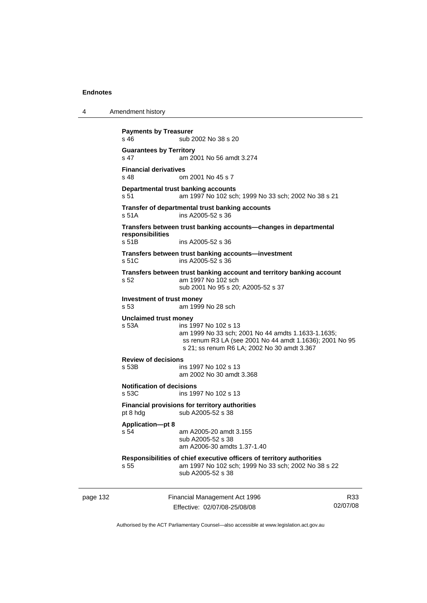4 Amendment history

```
page 132 Financial Management Act 1996 
               Effective: 02/07/08-25/08/08 
                                                                  R33
                                                              02/07/08 
Payments by Treasurer 
s 46 sub 2002 No 38 s 20
Guarantees by Territory 
s 47 am 2001 No 56 amdt 3.274 
Financial derivatives<br>s 48 on
                 om 2001 No 45 s 7
Departmental trust banking accounts
s 51 am 1997 No 102 sch; 1999 No 33 sch; 2002 No 38 s 21 
Transfer of departmental trust banking accounts 
s 51A ins A2005-52 s 36 
Transfers between trust banking accounts—changes in departmental 
responsibilities 
                 ins A2005-52 s 36
Transfers between trust banking accounts—investment 
s 51C ins A2005-52 s 36 
Transfers between trust banking account and territory banking account 
s 52 am 1997 No 102 sch 
                  sub 2001 No 95 s 20; A2005-52 s 37 
Investment of trust money 
s 53 am 1999 No 28 sch 
Unclaimed trust money 
s 53A ins 1997 No 102 s 13 
                  am 1999 No 33 sch; 2001 No 44 amdts 1.1633-1.1635; 
                  ss renum R3 LA (see 2001 No 44 amdt 1.1636); 2001 No 95 
                  s 21; ss renum R6 LA; 2002 No 30 amdt 3.367 
Review of decisions 
s 53B ins 1997 No 102 s 13 
                  am 2002 No 30 amdt 3.368 
Notification of decisions 
s 53C ins 1997 No 102 s 13 
Financial provisions for territory authorities 
pt 8 hdg sub A2005-52 s 38
Application—pt 8 
s 54 am A2005-20 amdt 3.155 
                  sub A2005-52 s 38 
                  am A2006-30 amdts 1.37-1.40 
Responsibilities of chief executive officers of territory authorities 
s 55 am 1997 No 102 sch; 1999 No 33 sch; 2002 No 38 s 22 
                  sub A2005-52 s 38
```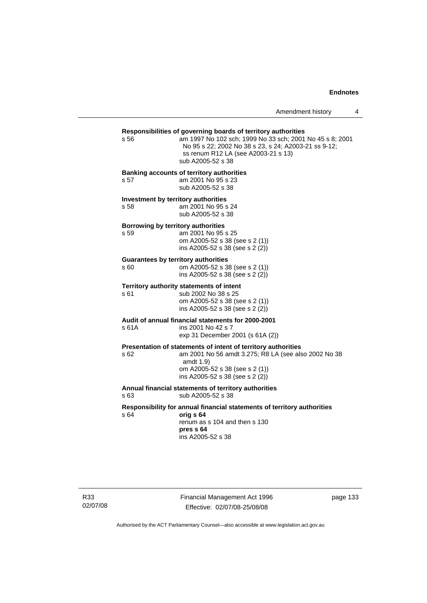Amendment history 4

# **Responsibilities of governing boards of territory authorities**

am 1997 No 102 sch; 1999 No 33 sch; 2001 No 45 s 8; 2001 No 95 s 22; 2002 No 38 s 23, s 24; A2003-21 ss 9-12; ss renum R12 LA (see A2003-21 s 13) sub A2005-52 s 38

#### **Banking accounts of territory authorities**

s 57 am 2001 No 95 s 23 sub A2005-52 s 38

**Investment by territory authorities**  s 58 am 2001 No 95 s 24

sub A2005-52 s 38

#### **Borrowing by territory authorities**

s 59 am 2001 No 95 s 25 om A2005-52 s 38 (see s 2 (1)) ins A2005-52 s 38 (see s 2 (2))

#### **Guarantees by territory authorities**

| s 60 | om A2005-52 s 38 (see s 2 (1))    |
|------|-----------------------------------|
|      | ins A2005-52 s 38 (see s $2(2)$ ) |

# **Territory authority statements of intent**

sub 2002 No 38 s 25 om A2005-52 s 38 (see s 2 (1)) ins A2005-52 s 38 (see s 2 (2))

#### **Audit of annual financial statements for 2000-2001**  s 61A ins 2001 No 42 s 7

exp 31 December 2001 (s 61A (2))

#### **Presentation of statements of intent of territory authorities**

s 62 am 2001 No 56 amdt 3.275; R8 LA (see also 2002 No 38 amdt 1.9) om A2005-52 s 38 (see s 2 (1))

 ins A2005-52 s 38 (see s 2 (2)) **Annual financial statements of territory authorities** 

# s 63 sub A2005-52 s 38

#### **Responsibility for annual financial statements of territory authorities**  s 64 **orig s 64**

 renum as s 104 and then s 130 **pres s 64**  ins A2005-52 s 38

R33 02/07/08 Financial Management Act 1996 Effective: 02/07/08-25/08/08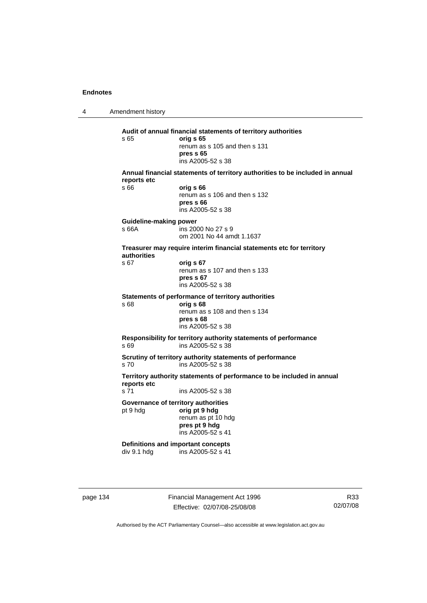4 Amendment history **Audit of annual financial statements of territory authorities**  s 65 **orig s 65**  renum as s 105 and then s 131 **pres s 65**  ins A2005-52 s 38 **Annual financial statements of territory authorities to be included in annual reports etc**  s 66 **orig s 66**  renum as s 106 and then s 132 **pres s 66**  ins A2005-52 s 38 **Guideline-making power**  s 66A ins 2000 No 27 s 9 om 2001 No 44 amdt 1.1637 **Treasurer may require interim financial statements etc for territory authorities** s 67 **orig s 67**  renum as s 107 and then s 133 **pres s 67**  ins A2005-52 s 38 **Statements of performance of territory authorities**  s 68 **orig s 68**  renum as s 108 and then s 134 **pres s 68**  ins A2005-52 s 38 **Responsibility for territory authority statements of performance**  s 69 ins A2005-52 s 38 **Scrutiny of territory authority statements of performance**  s 70 ins A2005-52 s 38 **Territory authority statements of performance to be included in annual reports etc**  s 71 ins A2005-52 s 38 **Governance of territory authorities**  pt 9 hdg **orig pt 9 hdg**  renum as pt 10 hdg **pres pt 9 hdg**  ins A2005-52 s 41 **Definitions and important concepts**  div 9.1 hdg ins A2005-52 s 41

page 134 Financial Management Act 1996 Effective: 02/07/08-25/08/08

R33 02/07/08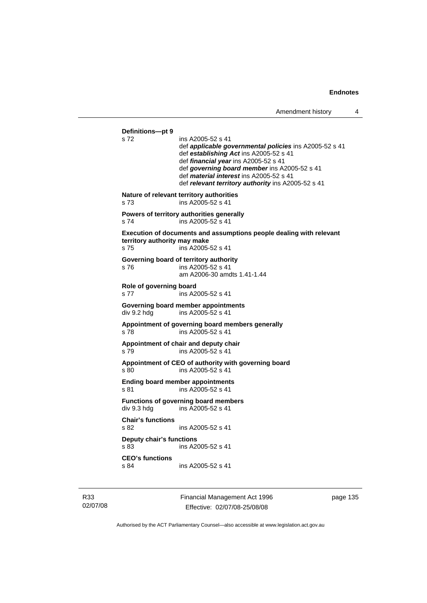**Definitions—pt 9**  ins A2005-52 s 41 def *applicable governmental policies* ins A2005-52 s 41 def *establishing Act* ins A2005-52 s 41 def *financial year* ins A2005-52 s 41 def *governing board member* ins A2005-52 s 41 def *material interest* ins A2005-52 s 41 def *relevant territory authority* ins A2005-52 s 41 **Nature of relevant territory authorities**  s 73 ins A2005-52 s 41 **Powers of territory authorities generally**  s 74 ins A2005-52 s 41 **Execution of documents and assumptions people dealing with relevant territory authority may make**  s 75 ins A2005-52 s 41 **Governing board of territory authority**  s 76 ins A2005-52 s 41 am A2006-30 amdts 1.41-1.44 **Role of governing board**  s 77 ins A2005-52 s 41 **Governing board member appointments**  div 9.2 hdg ins A2005-52 s 41 **Appointment of governing board members generally**  s 78 ins A2005-52 s 41 **Appointment of chair and deputy chair**  s 79 ins A2005-52 s 41 **Appointment of CEO of authority with governing board**  s 80 ins A2005-52 s 41 **Ending board member appointments**  s 81 ins A2005-52 s 41 **Functions of governing board members**  div 9.3 hdg ins A2005-52 s 41 **Chair's functions**  s 82 ins A2005-52 s 41 **Deputy chair's functions**  s 83 ins A2005-52 s 41 **CEO's functions**  s 84 ins A2005-52 s 41

R33 02/07/08 Financial Management Act 1996 Effective: 02/07/08-25/08/08

page 135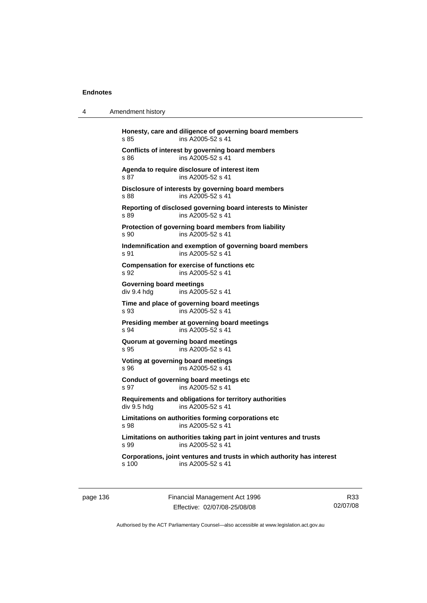4 Amendment history

| s.85                                           | Honesty, care and diligence of governing board members<br>ins A2005-52 s 41                  |
|------------------------------------------------|----------------------------------------------------------------------------------------------|
| \$86                                           | Conflicts of interest by governing board members<br>ins A2005-52 s 41                        |
| s 87                                           | Agenda to require disclosure of interest item<br>ins A2005-52 s 41                           |
| s 88                                           | Disclosure of interests by governing board members<br>ins A2005-52 s 41                      |
| s 89                                           | Reporting of disclosed governing board interests to Minister<br>ins A2005-52 s 41            |
| s 90                                           | Protection of governing board members from liability<br>ins A2005-52 s 41                    |
| s.91                                           | Indemnification and exemption of governing board members<br>ins A2005-52 s 41                |
| s 92                                           | <b>Compensation for exercise of functions etc</b><br>ins A2005-52 s 41                       |
| <b>Governing board meetings</b><br>div 9.4 hda | ins A2005-52 s 41                                                                            |
| s.93                                           | Time and place of governing board meetings<br>ins A2005-52 s 41                              |
| s 94                                           | Presiding member at governing board meetings<br>ins A2005-52 s 41                            |
| s 95                                           | Quorum at governing board meetings<br>ins A2005-52 s 41                                      |
| s 96                                           | Voting at governing board meetings<br>ins A2005-52 s 41                                      |
| s 97                                           | Conduct of governing board meetings etc<br>ins A2005-52 s 41                                 |
| div 9.5 hdg                                    | Requirements and obligations for territory authorities<br>ins A2005-52 s 41                  |
| s 98                                           | Limitations on authorities forming corporations etc<br>ins A2005-52 s 41                     |
| s 99                                           | Limitations on authorities taking part in joint ventures and trusts<br>ins A2005-52 s 41     |
| s, 100                                         | Corporations, joint ventures and trusts in which authority has interest<br>ins A2005-52 s 41 |

page 136 Financial Management Act 1996 Effective: 02/07/08-25/08/08

R33 02/07/08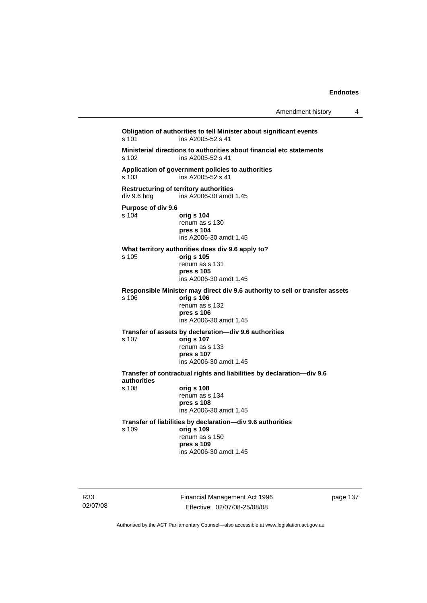| Amendment history |  |
|-------------------|--|
|-------------------|--|

**Obligation of authorities to tell Minister about significant events**  s 101 ins A2005-52 s 41 **Ministerial directions to authorities about financial etc statements**  ins A2005-52 s 41 **Application of government policies to authorities**  s 103 ins A2005-52 s 41 **Restructuring of territory authorities**  div 9.6 hdg ins A2006-30 amdt 1.45 **Purpose of div 9.6**  s 104 **orig s 104** renum as s 130 **pres s 104**  ins A2006-30 amdt 1.45 **What territory authorities does div 9.6 apply to?**  s 105 **orig s 105** renum as s 131 **pres s 105**  ins A2006-30 amdt 1.45 **Responsible Minister may direct div 9.6 authority to sell or transfer assets**  s 106 **orig s 106** renum as s 132 **pres s 106**  ins A2006-30 amdt 1.45 **Transfer of assets by declaration—div 9.6 authorities**  s 107 **orig s 107** renum as s 133 **pres s 107**  ins A2006-30 amdt 1.45 **Transfer of contractual rights and liabilities by declaration—div 9.6 authorities**  s 108 **orig s 108** renum as s 134 **pres s 108**  ins A2006-30 amdt 1.45 **Transfer of liabilities by declaration—div 9.6 authorities**  s 109 **orig s 109** renum as s 150 **pres s 109**  ins A2006-30 amdt 1.45

R33 02/07/08 Financial Management Act 1996 Effective: 02/07/08-25/08/08

page 137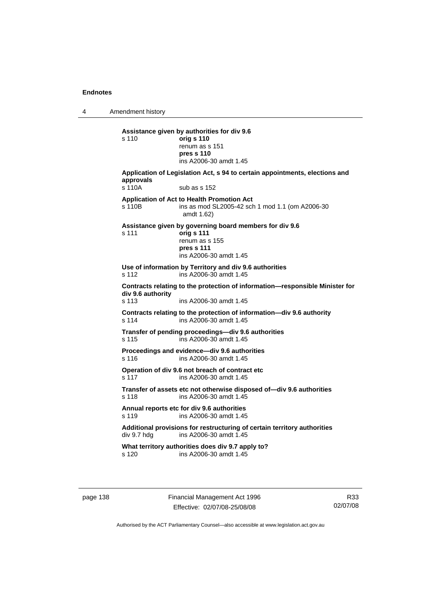4 Amendment history

**Assistance given by authorities for div 9.6**  s 110 **orig s 110** renum as s 151 **pres s 110**  ins A2006-30 amdt 1.45 **Application of Legislation Act, s 94 to certain appointments, elections and approvals**  s 110A sub as s 152 **Application of Act to Health Promotion Act**  s 110B ins as mod SL2005-42 sch 1 mod 1.1 (om A2006-30 amdt 1.62) **Assistance given by governing board members for div 9.6**  s 111 **orig s 111** renum as s 155 **pres s 111**  ins A2006-30 amdt 1.45 **Use of information by Territory and div 9.6 authorities**  s 112 ins A2006-30 amdt 1.45 **Contracts relating to the protection of information—responsible Minister for div 9.6 authority**  s 113 ins A2006-30 amdt 1.45 **Contracts relating to the protection of information—div 9.6 authority**  s 114 ins A2006-30 amdt 1.45 **Transfer of pending proceedings—div 9.6 authorities**  s 115 ins A2006-30 amdt 1.45 **Proceedings and evidence—div 9.6 authorities**  s 116 ins A2006-30 amdt 1.45 **Operation of div 9.6 not breach of contract etc**  s 117 ins A2006-30 amdt 1.45 **Transfer of assets etc not otherwise disposed of—div 9.6 authorities**  s 118 ins A2006-30 amdt 1.45 **Annual reports etc for div 9.6 authorities**  s 119 ins A2006-30 amdt 1.45 Additional provisions for restructuring of certain territory authorities<br>div 9.7 hdg ins A2006-30 amdt 1.45 ins A2006-30 amdt  $1.45$ **What territory authorities does div 9.7 apply to?**  s 120 ins A2006-30 amdt 1.45

page 138 Financial Management Act 1996 Effective: 02/07/08-25/08/08

R33 02/07/08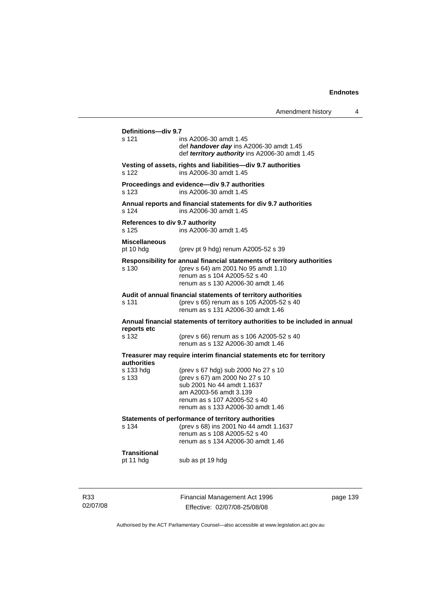|                                          |                                                                                                                                                                                                    | Amendment history | 4 |
|------------------------------------------|----------------------------------------------------------------------------------------------------------------------------------------------------------------------------------------------------|-------------------|---|
| Definitions-div 9.7<br>s 121             | ins A2006-30 amdt 1.45<br>def handover day ins A2006-30 amdt 1.45                                                                                                                                  |                   |   |
|                                          | def territory authority ins A2006-30 amdt 1.45                                                                                                                                                     |                   |   |
| s 122                                    | Vesting of assets, rights and liabilities-div 9.7 authorities<br>ins A2006-30 amdt 1.45                                                                                                            |                   |   |
| s 123                                    | Proceedings and evidence-div 9.7 authorities<br>ins A2006-30 amdt 1.45                                                                                                                             |                   |   |
| s 124                                    | Annual reports and financial statements for div 9.7 authorities<br>ins A2006-30 amdt 1.45                                                                                                          |                   |   |
| References to div 9.7 authority<br>s 125 | ins A2006-30 amdt 1.45                                                                                                                                                                             |                   |   |
| <b>Miscellaneous</b><br>pt 10 hdg        | (prev pt 9 hdg) renum A2005-52 s 39                                                                                                                                                                |                   |   |
| s 130                                    | Responsibility for annual financial statements of territory authorities<br>(prev s 64) am 2001 No 95 amdt 1.10<br>renum as s 104 A2005-52 s 40<br>renum as s 130 A2006-30 amdt 1.46                |                   |   |
| s 131                                    | Audit of annual financial statements of territory authorities<br>(prev s 65) renum as s 105 A2005-52 s 40<br>renum as s 131 A2006-30 amdt 1.46                                                     |                   |   |
|                                          | Annual financial statements of territory authorities to be included in annual                                                                                                                      |                   |   |
| reports etc<br>s 132                     | (prev s 66) renum as s 106 A2005-52 s 40<br>renum as s 132 A2006-30 amdt 1.46                                                                                                                      |                   |   |
|                                          | Treasurer may require interim financial statements etc for territory                                                                                                                               |                   |   |
| authorities<br>s 133 hdg<br>s 133        | (prev s 67 hdg) sub 2000 No 27 s 10<br>(prev s 67) am 2000 No 27 s 10<br>sub 2001 No 44 amdt 1.1637<br>am A2003-56 amdt 3.139<br>renum as s 107 A2005-52 s 40<br>renum as s 133 A2006-30 amdt 1.46 |                   |   |
| s 134                                    | Statements of performance of territory authorities<br>(prev s 68) ins 2001 No 44 amdt 1.1637<br>renum as s 108 A2005-52 s 40<br>renum as s 134 A2006-30 amdt 1.46                                  |                   |   |
| <b>Transitional</b><br>pt 11 hdg         | sub as pt 19 hdg                                                                                                                                                                                   |                   |   |
|                                          |                                                                                                                                                                                                    |                   |   |

R33 02/07/08 Financial Management Act 1996 Effective: 02/07/08-25/08/08

page 139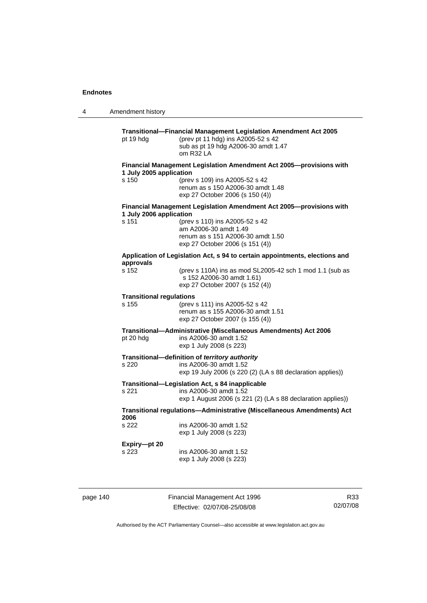4 Amendment history **Transitional—Financial Management Legislation Amendment Act 2005**  pt 19 hdg (prev pt 11 hdg) ins A2005-52 s 42 sub as pt 19 hdg A2006-30 amdt 1.47 om R32 LA **Financial Management Legislation Amendment Act 2005—provisions with 1 July 2005 application**  s 150 (prev s 109) ins A2005-52 s 42 renum as s 150 A2006-30 amdt 1.48 exp 27 October 2006 (s 150 (4)) **Financial Management Legislation Amendment Act 2005—provisions with 1 July 2006 application**  s 151 (prev s 110) ins A2005-52 s 42 am A2006-30 amdt 1.49 renum as s 151 A2006-30 amdt 1.50 exp 27 October 2006 (s 151 (4)) **Application of Legislation Act, s 94 to certain appointments, elections and approvals**  (prev s 110A) ins as mod SL2005-42 sch 1 mod 1.1 (sub as s 152 A2006-30 amdt 1.61) exp 27 October 2007 (s 152 (4)) **Transitional regulations**  s 155 (prev s 111) ins A2005-52 s 42 renum as s 155 A2006-30 amdt 1.51 exp 27 October 2007 (s 155 (4)) **Transitional—Administrative (Miscellaneous Amendments) Act 2006**  pt 20 hdg ins A2006-30 amdt 1.52 exp 1 July 2008 (s 223) **Transitional—definition of** *territory authority*  s 220 ins A2006-30 amdt 1.52 exp 19 July 2006 (s 220 (2) (LA s 88 declaration applies)) **Transitional—Legislation Act, s 84 inapplicable**  s 221 ins A2006-30 amdt 1.52 exp 1 August 2006 (s 221 (2) (LA s 88 declaration applies)) **Transitional regulations—Administrative (Miscellaneous Amendments) Act 2006**  s 222 ins A2006-30 amdt 1.52 exp 1 July 2008 (s 223) **Expiry—pt 20**  s 223 ins A2006-30 amdt 1.52 exp 1 July 2008 (s 223)

page 140 Financial Management Act 1996 Effective: 02/07/08-25/08/08

R33 02/07/08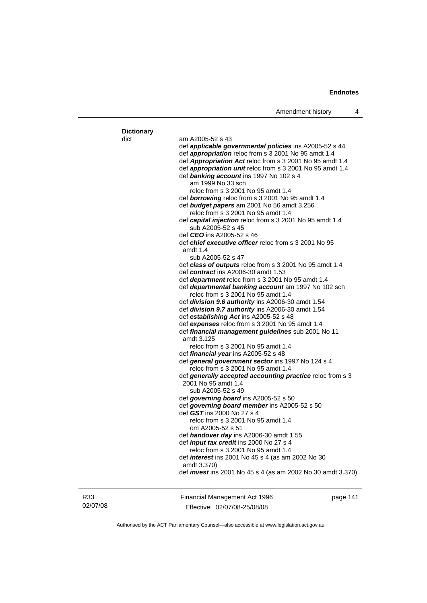| <b>Dictionary</b> |                                                                                           |          |
|-------------------|-------------------------------------------------------------------------------------------|----------|
| dict              | am A2005-52 s 43                                                                          |          |
|                   | def applicable governmental policies ins A2005-52 s 44                                    |          |
|                   | def <i>appropriation</i> reloc from s 3 2001 No 95 amdt 1.4                               |          |
|                   | def Appropriation Act reloc from s 3 2001 No 95 amdt 1.4                                  |          |
|                   | def <i>appropriation unit</i> reloc from s 3 2001 No 95 amdt 1.4                          |          |
|                   | def banking account ins 1997 No 102 s 4<br>am 1999 No 33 sch                              |          |
|                   | reloc from s 3 2001 No 95 amdt 1.4                                                        |          |
|                   | def <b>borrowing</b> reloc from s 3 2001 No 95 amdt 1.4                                   |          |
|                   | def budget papers am 2001 No 56 amdt 3.256                                                |          |
|                   | reloc from s 3 2001 No 95 amdt 1.4                                                        |          |
|                   | def capital injection reloc from s 3 2001 No 95 amdt 1.4                                  |          |
|                   | sub A2005-52 s 45                                                                         |          |
|                   | def <i>CEO</i> ins A2005-52 s 46                                                          |          |
|                   | def chief executive officer reloc from s 3 2001 No 95                                     |          |
|                   | amdt 1.4                                                                                  |          |
|                   | sub A2005-52 s 47                                                                         |          |
|                   | def class of outputs reloc from s 3 2001 No 95 amdt 1.4                                   |          |
|                   | def contract ins A2006-30 amdt 1.53                                                       |          |
|                   | def <b>department</b> reloc from s 3 2001 No 95 amdt 1.4                                  |          |
|                   | def departmental banking account am 1997 No 102 sch<br>reloc from s 3 2001 No 95 amdt 1.4 |          |
|                   | def division 9.6 authority ins A2006-30 amdt 1.54                                         |          |
|                   | def division 9.7 authority ins A2006-30 amdt 1.54                                         |          |
|                   | def establishing Act ins A2005-52 s 48                                                    |          |
|                   | def expenses reloc from s 3 2001 No 95 amdt 1.4                                           |          |
|                   | def financial management guidelines sub 2001 No 11                                        |          |
|                   | amdt 3.125                                                                                |          |
|                   | reloc from s 3 2001 No 95 amdt 1.4                                                        |          |
|                   | def financial year ins A2005-52 s 48                                                      |          |
|                   | def general government sector ins 1997 No 124 s 4<br>reloc from s 3 2001 No 95 amdt 1.4   |          |
|                   | def generally accepted accounting practice reloc from s 3                                 |          |
|                   | 2001 No 95 amdt 1.4                                                                       |          |
|                   | sub A2005-52 s 49                                                                         |          |
|                   | def governing board ins A2005-52 s 50                                                     |          |
|                   | def governing board member ins A2005-52 s 50                                              |          |
|                   | def GST ins 2000 No 27 s 4                                                                |          |
|                   | reloc from s 3 2001 No 95 amdt 1.4                                                        |          |
|                   | om A2005-52 s 51                                                                          |          |
|                   | def handover day ins A2006-30 amdt 1.55<br>def <i>input tax credit</i> ins 2000 No 27 s 4 |          |
|                   | reloc from s 3 2001 No 95 amdt 1.4                                                        |          |
|                   | def <i>interest</i> ins 2001 No 45 s 4 (as am 2002 No 30                                  |          |
|                   | amdt 3.370)                                                                               |          |
|                   | def <i>invest</i> ins 2001 No 45 s 4 (as am 2002 No 30 amdt 3.370)                        |          |
|                   |                                                                                           |          |
| R33               | Financial Management Act 1996                                                             | page 141 |
|                   |                                                                                           |          |

02/07/08

ncial Management Act 1996 Effective: 02/07/08-25/08/08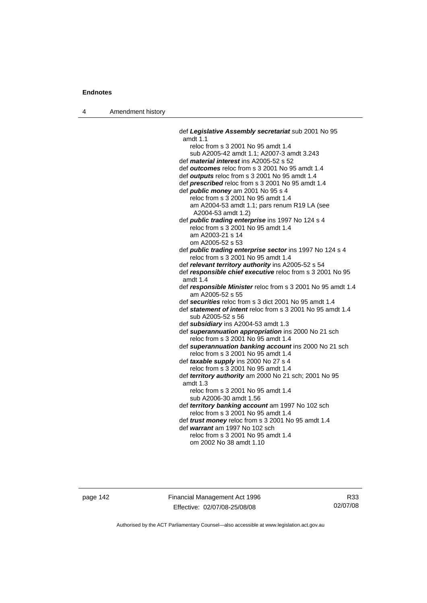4 Amendment history

 def *Legislative Assembly secretariat* sub 2001 No 95 amdt 1.1 reloc from s 3 2001 No 95 amdt 1.4 sub A2005-42 amdt 1.1; A2007-3 amdt 3.243 def *material interest* ins A2005-52 s 52 def *outcomes* reloc from s 3 2001 No 95 amdt 1.4 def *outputs* reloc from s 3 2001 No 95 amdt 1.4 def *prescribed* reloc from s 3 2001 No 95 amdt 1.4 def *public money* am 2001 No 95 s 4 reloc from s 3 2001 No 95 amdt 1.4 am A2004-53 amdt 1.1; pars renum R19 LA (see A2004-53 amdt 1.2) def *public trading enterprise* ins 1997 No 124 s 4 reloc from s 3 2001 No 95 amdt 1.4 am A2003-21 s 14 om A2005-52 s 53 def *public trading enterprise sector* ins 1997 No 124 s 4 reloc from s 3 2001 No 95 amdt 1.4 def *relevant territory authority* ins A2005-52 s 54 def *responsible chief executive* reloc from s 3 2001 No 95 amdt 1.4 def *responsible Minister* reloc from s 3 2001 No 95 amdt 1.4 am A2005-52 s 55 def *securities* reloc from s 3 dict 2001 No 95 amdt 1.4 def *statement of intent* reloc from s 3 2001 No 95 amdt 1.4 sub A2005-52 s 56 def *subsidiary* ins A2004-53 amdt 1.3 def *superannuation appropriation* ins 2000 No 21 sch reloc from s 3 2001 No 95 amdt 1.4 def *superannuation banking account* ins 2000 No 21 sch reloc from s 3 2001 No 95 amdt 1.4 def *taxable supply* ins 2000 No 27 s 4 reloc from s 3 2001 No 95 amdt 1.4 def *territory authority* am 2000 No 21 sch; 2001 No 95 amdt 1.3 reloc from s 3 2001 No 95 amdt 1.4 sub A2006-30 amdt 1.56 def *territory banking account* am 1997 No 102 sch reloc from s 3 2001 No 95 amdt 1.4 def *trust money* reloc from s 3 2001 No 95 amdt 1.4 def *warrant* am 1997 No 102 sch reloc from s 3 2001 No 95 amdt 1.4 om 2002 No 38 amdt 1.10

page 142 Financial Management Act 1996 Effective: 02/07/08-25/08/08

R33 02/07/08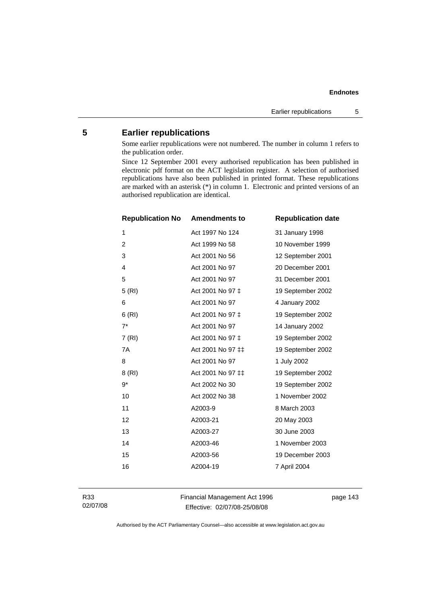# **5 Earlier republications**

Some earlier republications were not numbered. The number in column 1 refers to the publication order.

Since 12 September 2001 every authorised republication has been published in electronic pdf format on the ACT legislation register. A selection of authorised republications have also been published in printed format. These republications are marked with an asterisk (\*) in column 1. Electronic and printed versions of an authorised republication are identical.

| <b>Republication No</b> | <b>Amendments to</b> | <b>Republication date</b> |
|-------------------------|----------------------|---------------------------|
| 1                       | Act 1997 No 124      | 31 January 1998           |
| $\overline{c}$          | Act 1999 No 58       | 10 November 1999          |
| 3                       | Act 2001 No 56       | 12 September 2001         |
| 4                       | Act 2001 No 97       | 20 December 2001          |
| 5                       | Act 2001 No 97       | 31 December 2001          |
| 5(RI)                   | Act 2001 No 97 ‡     | 19 September 2002         |
| 6                       | Act 2001 No 97       | 4 January 2002            |
| 6(RI)                   | Act 2001 No 97 ‡     | 19 September 2002         |
| $7^*$                   | Act 2001 No 97       | 14 January 2002           |
| 7(RI)                   | Act 2001 No 97 ‡     | 19 September 2002         |
| 7A                      | Act 2001 No 97 ‡‡    | 19 September 2002         |
| 8                       | Act 2001 No 97       | 1 July 2002               |
| 8 (RI)                  | Act 2001 No 97 ‡‡    | 19 September 2002         |
| $9*$                    | Act 2002 No 30       | 19 September 2002         |
| 10                      | Act 2002 No 38       | 1 November 2002           |
| 11                      | A2003-9              | 8 March 2003              |
| 12                      | A2003-21             | 20 May 2003               |
| 13                      | A2003-27             | 30 June 2003              |
| 14                      | A2003-46             | 1 November 2003           |
| 15                      | A2003-56             | 19 December 2003          |
| 16                      | A2004-19             | 7 April 2004              |
|                         |                      |                           |

R33 02/07/08 Financial Management Act 1996 Effective: 02/07/08-25/08/08

page 143